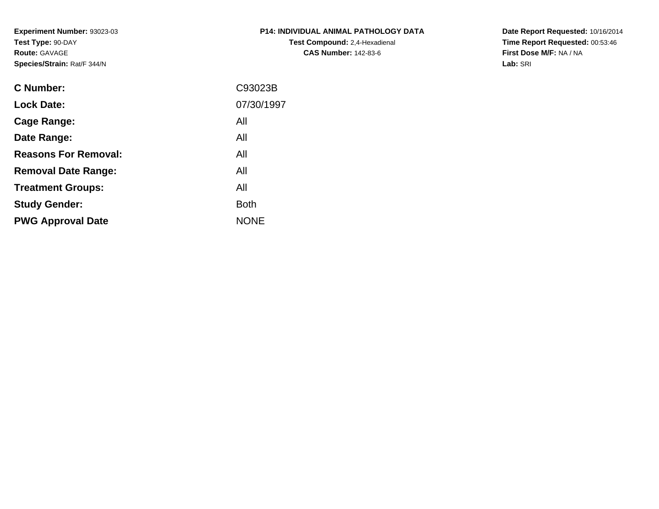**Experiment Number:** 93023-03**Test Type:** 90-DAY**Route:** GAVAGE**Species/Strain:** Rat/F 344/N

## **P14: INDIVIDUAL ANIMAL PATHOLOGY DATATest Compound:** 2,4-Hexadienal **CAS Number:** 142-83-6

**Date Report Requested:** 10/16/2014 **Time Report Requested:** 00:53:46**First Dose M/F:** NA / NA**Lab:** SRI

| <b>C</b> Number:            | C93023B     |
|-----------------------------|-------------|
| <b>Lock Date:</b>           | 07/30/1997  |
| Cage Range:                 | All         |
| Date Range:                 | All         |
| <b>Reasons For Removal:</b> | All         |
| <b>Removal Date Range:</b>  | All         |
| <b>Treatment Groups:</b>    | All         |
| <b>Study Gender:</b>        | <b>Both</b> |
| <b>PWG Approval Date</b>    | <b>NONE</b> |
|                             |             |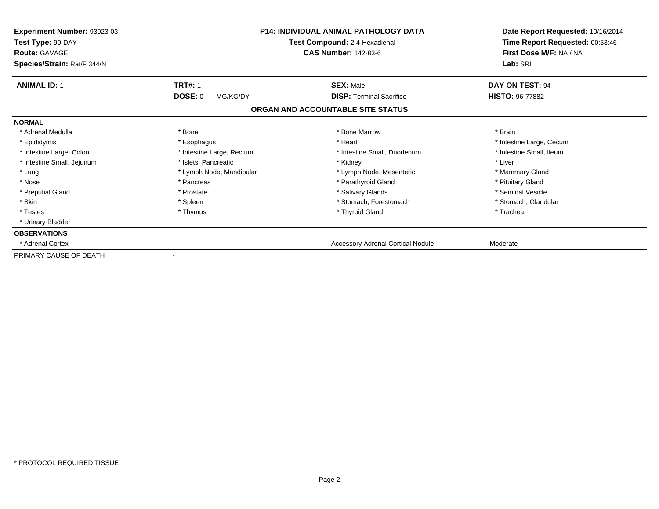| Experiment Number: 93023-03<br>Test Type: 90-DAY<br><b>Route: GAVAGE</b><br>Species/Strain: Rat/F 344/N |                           | <b>P14: INDIVIDUAL ANIMAL PATHOLOGY DATA</b><br>Test Compound: 2,4-Hexadienal<br><b>CAS Number: 142-83-6</b> | Date Report Requested: 10/16/2014<br>Time Report Requested: 00:53:46<br>First Dose M/F: NA / NA<br>Lab: SRI |
|---------------------------------------------------------------------------------------------------------|---------------------------|--------------------------------------------------------------------------------------------------------------|-------------------------------------------------------------------------------------------------------------|
| <b>ANIMAL ID: 1</b>                                                                                     | <b>TRT#: 1</b>            | <b>SEX: Male</b>                                                                                             | DAY ON TEST: 94                                                                                             |
|                                                                                                         | DOSE: 0<br>MG/KG/DY       | <b>DISP: Terminal Sacrifice</b>                                                                              | <b>HISTO: 96-77882</b>                                                                                      |
|                                                                                                         |                           | ORGAN AND ACCOUNTABLE SITE STATUS                                                                            |                                                                                                             |
| <b>NORMAL</b>                                                                                           |                           |                                                                                                              |                                                                                                             |
| * Adrenal Medulla                                                                                       | * Bone                    | * Bone Marrow                                                                                                | * Brain                                                                                                     |
| * Epididymis                                                                                            | * Esophagus               | * Heart                                                                                                      | * Intestine Large, Cecum                                                                                    |
| * Intestine Large, Colon                                                                                | * Intestine Large, Rectum | * Intestine Small, Duodenum                                                                                  | * Intestine Small, Ileum                                                                                    |
| * Intestine Small, Jejunum                                                                              | * Islets, Pancreatic      | * Kidney                                                                                                     | * Liver                                                                                                     |
| * Lung                                                                                                  | * Lymph Node, Mandibular  | * Lymph Node, Mesenteric                                                                                     | * Mammary Gland                                                                                             |
| * Nose                                                                                                  | * Pancreas                | * Parathyroid Gland                                                                                          | * Pituitary Gland                                                                                           |
| * Preputial Gland                                                                                       | * Prostate                | * Salivary Glands                                                                                            | * Seminal Vesicle                                                                                           |
| * Skin                                                                                                  | * Spleen                  | * Stomach, Forestomach                                                                                       | * Stomach, Glandular                                                                                        |
| * Testes                                                                                                | * Thymus                  | * Thyroid Gland                                                                                              | * Trachea                                                                                                   |
| * Urinary Bladder                                                                                       |                           |                                                                                                              |                                                                                                             |
| <b>OBSERVATIONS</b>                                                                                     |                           |                                                                                                              |                                                                                                             |
| * Adrenal Cortex                                                                                        |                           | <b>Accessory Adrenal Cortical Nodule</b>                                                                     | Moderate                                                                                                    |
| PRIMARY CAUSE OF DEATH                                                                                  |                           |                                                                                                              |                                                                                                             |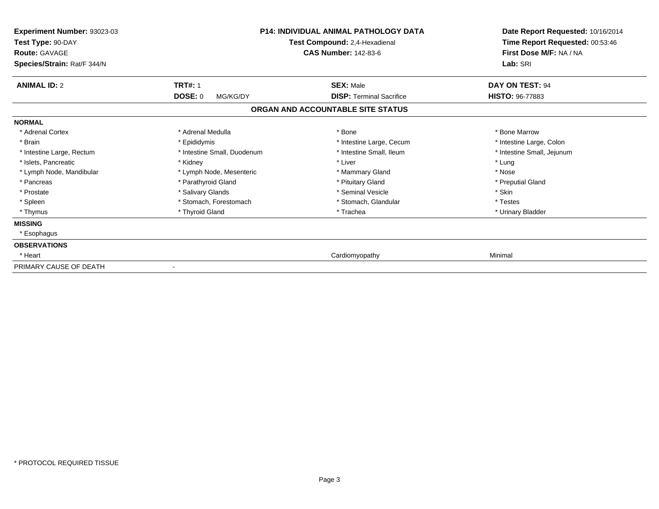| Experiment Number: 93023-03<br>Test Type: 90-DAY<br><b>Route: GAVAGE</b><br>Species/Strain: Rat/F 344/N |                                       | <b>P14: INDIVIDUAL ANIMAL PATHOLOGY DATA</b><br>Test Compound: 2,4-Hexadienal<br><b>CAS Number: 142-83-6</b> | Date Report Requested: 10/16/2014<br>Time Report Requested: 00:53:46<br>First Dose M/F: NA / NA<br>Lab: SRI |
|---------------------------------------------------------------------------------------------------------|---------------------------------------|--------------------------------------------------------------------------------------------------------------|-------------------------------------------------------------------------------------------------------------|
| <b>ANIMAL ID: 2</b>                                                                                     | <b>TRT#: 1</b><br>DOSE: 0<br>MG/KG/DY | <b>SEX: Male</b><br><b>DISP: Terminal Sacrifice</b>                                                          | DAY ON TEST: 94<br>HISTO: 96-77883                                                                          |
|                                                                                                         |                                       | ORGAN AND ACCOUNTABLE SITE STATUS                                                                            |                                                                                                             |
| <b>NORMAL</b>                                                                                           |                                       |                                                                                                              |                                                                                                             |
| * Adrenal Cortex                                                                                        | * Adrenal Medulla                     | * Bone                                                                                                       | * Bone Marrow                                                                                               |
| * Brain                                                                                                 | * Epididymis                          | * Intestine Large, Cecum                                                                                     | * Intestine Large, Colon                                                                                    |
| * Intestine Large, Rectum                                                                               | * Intestine Small, Duodenum           | * Intestine Small, Ileum                                                                                     | * Intestine Small, Jejunum                                                                                  |
| * Islets, Pancreatic                                                                                    | * Kidney                              | * Liver                                                                                                      | * Lung                                                                                                      |
| * Lymph Node, Mandibular                                                                                | * Lymph Node, Mesenteric              | * Mammary Gland                                                                                              | * Nose                                                                                                      |
| * Pancreas                                                                                              | * Parathyroid Gland                   | * Pituitary Gland                                                                                            | * Preputial Gland                                                                                           |
| * Prostate                                                                                              | * Salivary Glands                     | * Seminal Vesicle                                                                                            | * Skin                                                                                                      |
| * Spleen                                                                                                | * Stomach, Forestomach                | * Stomach, Glandular                                                                                         | * Testes                                                                                                    |
| * Thymus                                                                                                | * Thyroid Gland                       | * Trachea                                                                                                    | * Urinary Bladder                                                                                           |
| <b>MISSING</b>                                                                                          |                                       |                                                                                                              |                                                                                                             |
| * Esophagus                                                                                             |                                       |                                                                                                              |                                                                                                             |
| <b>OBSERVATIONS</b>                                                                                     |                                       |                                                                                                              |                                                                                                             |
| * Heart                                                                                                 |                                       | Cardiomyopathy                                                                                               | Minimal                                                                                                     |
| PRIMARY CAUSE OF DEATH                                                                                  |                                       |                                                                                                              |                                                                                                             |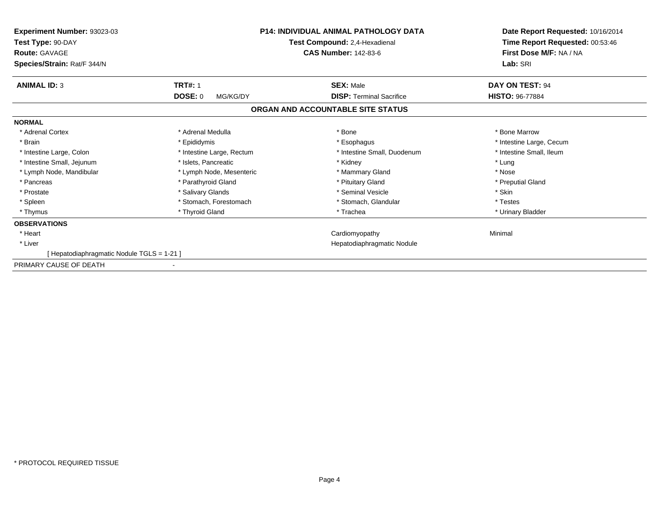| Experiment Number: 93023-03<br>Test Type: 90-DAY<br><b>Route: GAVAGE</b><br>Species/Strain: Rat/F 344/N |                                       | <b>P14: INDIVIDUAL ANIMAL PATHOLOGY DATA</b><br>Test Compound: 2,4-Hexadienal<br><b>CAS Number: 142-83-6</b> | Date Report Requested: 10/16/2014<br>Time Report Requested: 00:53:46<br>First Dose M/F: NA / NA<br>Lab: SRI |
|---------------------------------------------------------------------------------------------------------|---------------------------------------|--------------------------------------------------------------------------------------------------------------|-------------------------------------------------------------------------------------------------------------|
| <b>ANIMAL ID: 3</b>                                                                                     | <b>TRT#: 1</b><br>DOSE: 0<br>MG/KG/DY | <b>SEX: Male</b><br><b>DISP: Terminal Sacrifice</b>                                                          | DAY ON TEST: 94<br><b>HISTO: 96-77884</b>                                                                   |
|                                                                                                         |                                       | ORGAN AND ACCOUNTABLE SITE STATUS                                                                            |                                                                                                             |
| <b>NORMAL</b>                                                                                           |                                       |                                                                                                              |                                                                                                             |
| * Adrenal Cortex                                                                                        | * Adrenal Medulla                     | * Bone                                                                                                       | * Bone Marrow                                                                                               |
| * Brain                                                                                                 | * Epididymis                          | * Esophagus                                                                                                  | * Intestine Large, Cecum                                                                                    |
| * Intestine Large, Colon                                                                                | * Intestine Large, Rectum             | * Intestine Small, Duodenum                                                                                  | * Intestine Small, Ileum                                                                                    |
| * Intestine Small, Jejunum                                                                              | * Islets. Pancreatic                  | * Kidney                                                                                                     | * Lung                                                                                                      |
| * Lymph Node, Mandibular                                                                                | * Lymph Node, Mesenteric              | * Mammary Gland                                                                                              | * Nose                                                                                                      |
| * Pancreas                                                                                              | * Parathyroid Gland                   | * Pituitary Gland                                                                                            | * Preputial Gland                                                                                           |
| * Prostate                                                                                              | * Salivary Glands                     | * Seminal Vesicle                                                                                            | * Skin                                                                                                      |
| * Spleen                                                                                                | * Stomach, Forestomach                | * Stomach, Glandular                                                                                         | * Testes                                                                                                    |
| * Thymus                                                                                                | * Thyroid Gland                       | * Trachea                                                                                                    | * Urinary Bladder                                                                                           |
| <b>OBSERVATIONS</b>                                                                                     |                                       |                                                                                                              |                                                                                                             |
| * Heart                                                                                                 |                                       | Cardiomyopathy                                                                                               | Minimal                                                                                                     |
| * Liver                                                                                                 |                                       | Hepatodiaphragmatic Nodule                                                                                   |                                                                                                             |
| [Hepatodiaphragmatic Nodule TGLS = 1-21]                                                                |                                       |                                                                                                              |                                                                                                             |
| PRIMARY CAUSE OF DEATH                                                                                  |                                       |                                                                                                              |                                                                                                             |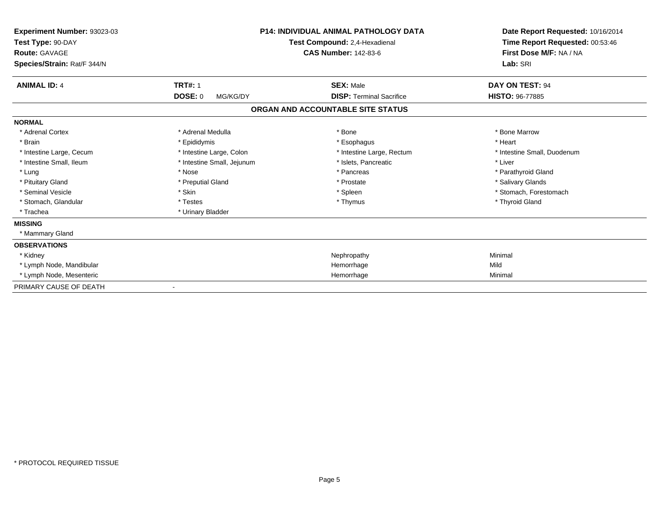| Experiment Number: 93023-03<br>Test Type: 90-DAY<br><b>Route: GAVAGE</b><br>Species/Strain: Rat/F 344/N | <b>P14: INDIVIDUAL ANIMAL PATHOLOGY DATA</b><br>Test Compound: 2,4-Hexadienal<br><b>CAS Number: 142-83-6</b> |                                   | Date Report Requested: 10/16/2014<br>Time Report Requested: 00:53:46<br>First Dose M/F: NA / NA<br>Lab: SRI |  |
|---------------------------------------------------------------------------------------------------------|--------------------------------------------------------------------------------------------------------------|-----------------------------------|-------------------------------------------------------------------------------------------------------------|--|
| <b>ANIMAL ID: 4</b>                                                                                     | <b>TRT#: 1</b>                                                                                               | <b>SEX: Male</b>                  | DAY ON TEST: 94                                                                                             |  |
|                                                                                                         | <b>DOSE: 0</b><br>MG/KG/DY                                                                                   | <b>DISP: Terminal Sacrifice</b>   | <b>HISTO: 96-77885</b>                                                                                      |  |
|                                                                                                         |                                                                                                              | ORGAN AND ACCOUNTABLE SITE STATUS |                                                                                                             |  |
| <b>NORMAL</b>                                                                                           |                                                                                                              |                                   |                                                                                                             |  |
| * Adrenal Cortex                                                                                        | * Adrenal Medulla                                                                                            | * Bone                            | * Bone Marrow                                                                                               |  |
| * Brain                                                                                                 | * Epididymis                                                                                                 | * Esophagus                       | * Heart                                                                                                     |  |
| * Intestine Large, Cecum                                                                                | * Intestine Large, Colon                                                                                     | * Intestine Large, Rectum         | * Intestine Small, Duodenum                                                                                 |  |
| * Intestine Small, Ileum                                                                                | * Intestine Small, Jejunum                                                                                   | * Islets. Pancreatic              | * Liver                                                                                                     |  |
| * Lung                                                                                                  | * Nose                                                                                                       | * Pancreas                        | * Parathyroid Gland                                                                                         |  |
| * Pituitary Gland                                                                                       | * Preputial Gland                                                                                            | * Prostate                        | * Salivary Glands                                                                                           |  |
| * Seminal Vesicle                                                                                       | * Skin                                                                                                       | * Spleen                          | * Stomach, Forestomach                                                                                      |  |
| * Stomach, Glandular                                                                                    | * Testes                                                                                                     | * Thymus                          | * Thyroid Gland                                                                                             |  |
| * Trachea                                                                                               | * Urinary Bladder                                                                                            |                                   |                                                                                                             |  |
| <b>MISSING</b>                                                                                          |                                                                                                              |                                   |                                                                                                             |  |
| * Mammary Gland                                                                                         |                                                                                                              |                                   |                                                                                                             |  |
| <b>OBSERVATIONS</b>                                                                                     |                                                                                                              |                                   |                                                                                                             |  |
| * Kidney                                                                                                |                                                                                                              | Nephropathy                       | Minimal                                                                                                     |  |
| * Lymph Node, Mandibular                                                                                |                                                                                                              | Hemorrhage                        | Mild                                                                                                        |  |
| * Lymph Node, Mesenteric                                                                                |                                                                                                              | Hemorrhage                        | Minimal                                                                                                     |  |
| PRIMARY CAUSE OF DEATH                                                                                  |                                                                                                              |                                   |                                                                                                             |  |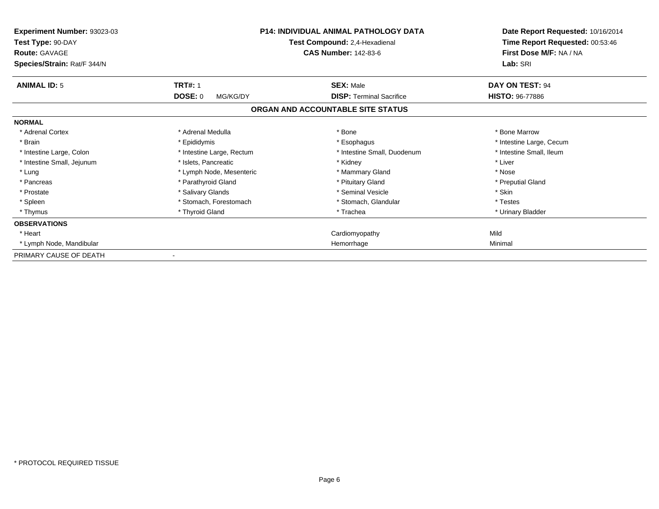| Experiment Number: 93023-03<br>Test Type: 90-DAY<br><b>Route: GAVAGE</b><br>Species/Strain: Rat/F 344/N |                            | <b>P14: INDIVIDUAL ANIMAL PATHOLOGY DATA</b><br>Test Compound: 2,4-Hexadienal<br><b>CAS Number: 142-83-6</b> | Date Report Requested: 10/16/2014<br>Time Report Requested: 00:53:46<br>First Dose M/F: NA / NA<br>Lab: SRI |
|---------------------------------------------------------------------------------------------------------|----------------------------|--------------------------------------------------------------------------------------------------------------|-------------------------------------------------------------------------------------------------------------|
| <b>ANIMAL ID: 5</b>                                                                                     | <b>TRT#: 1</b>             | <b>SEX: Male</b>                                                                                             | DAY ON TEST: 94                                                                                             |
|                                                                                                         | <b>DOSE: 0</b><br>MG/KG/DY | <b>DISP: Terminal Sacrifice</b>                                                                              | <b>HISTO: 96-77886</b>                                                                                      |
|                                                                                                         |                            | ORGAN AND ACCOUNTABLE SITE STATUS                                                                            |                                                                                                             |
| <b>NORMAL</b>                                                                                           |                            |                                                                                                              |                                                                                                             |
| * Adrenal Cortex                                                                                        | * Adrenal Medulla          | * Bone                                                                                                       | * Bone Marrow                                                                                               |
| * Brain                                                                                                 | * Epididymis               | * Esophagus                                                                                                  | * Intestine Large, Cecum                                                                                    |
| * Intestine Large, Colon                                                                                | * Intestine Large, Rectum  | * Intestine Small, Duodenum                                                                                  | * Intestine Small, Ileum                                                                                    |
| * Intestine Small, Jejunum                                                                              | * Islets, Pancreatic       | * Kidney                                                                                                     | * Liver                                                                                                     |
| * Lung                                                                                                  | * Lymph Node, Mesenteric   | * Mammary Gland                                                                                              | * Nose                                                                                                      |
| * Pancreas                                                                                              | * Parathyroid Gland        | * Pituitary Gland                                                                                            | * Preputial Gland                                                                                           |
| * Prostate                                                                                              | * Salivary Glands          | * Seminal Vesicle                                                                                            | * Skin                                                                                                      |
| * Spleen                                                                                                | * Stomach, Forestomach     | * Stomach, Glandular                                                                                         | * Testes                                                                                                    |
| * Thymus                                                                                                | * Thyroid Gland            | * Trachea                                                                                                    | * Urinary Bladder                                                                                           |
| <b>OBSERVATIONS</b>                                                                                     |                            |                                                                                                              |                                                                                                             |
| * Heart                                                                                                 |                            | Cardiomyopathy                                                                                               | Mild                                                                                                        |
| * Lymph Node, Mandibular                                                                                |                            | Hemorrhage                                                                                                   | Minimal                                                                                                     |
| PRIMARY CAUSE OF DEATH                                                                                  |                            |                                                                                                              |                                                                                                             |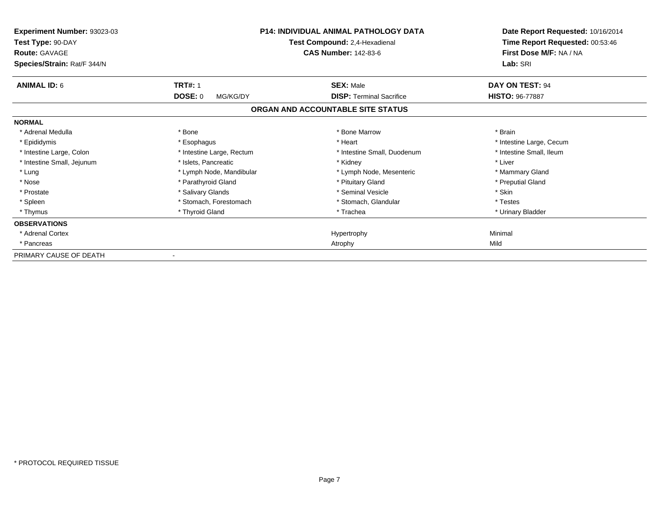| Experiment Number: 93023-03<br>Test Type: 90-DAY<br><b>Route: GAVAGE</b><br>Species/Strain: Rat/F 344/N |                            | <b>P14: INDIVIDUAL ANIMAL PATHOLOGY DATA</b><br>Test Compound: 2,4-Hexadienal<br><b>CAS Number: 142-83-6</b> | Date Report Requested: 10/16/2014<br>Time Report Requested: 00:53:46<br>First Dose M/F: NA / NA<br>Lab: SRI |
|---------------------------------------------------------------------------------------------------------|----------------------------|--------------------------------------------------------------------------------------------------------------|-------------------------------------------------------------------------------------------------------------|
| <b>ANIMAL ID: 6</b>                                                                                     | <b>TRT#: 1</b>             | <b>SEX: Male</b>                                                                                             | DAY ON TEST: 94                                                                                             |
|                                                                                                         | <b>DOSE: 0</b><br>MG/KG/DY | <b>DISP: Terminal Sacrifice</b>                                                                              | <b>HISTO: 96-77887</b>                                                                                      |
|                                                                                                         |                            | ORGAN AND ACCOUNTABLE SITE STATUS                                                                            |                                                                                                             |
| <b>NORMAL</b>                                                                                           |                            |                                                                                                              |                                                                                                             |
| * Adrenal Medulla                                                                                       | * Bone                     | * Bone Marrow                                                                                                | * Brain                                                                                                     |
| * Epididymis                                                                                            | * Esophagus                | * Heart                                                                                                      | * Intestine Large, Cecum                                                                                    |
| * Intestine Large, Colon                                                                                | * Intestine Large, Rectum  | * Intestine Small, Duodenum                                                                                  | * Intestine Small, Ileum                                                                                    |
| * Intestine Small, Jejunum                                                                              | * Islets, Pancreatic       | * Kidney                                                                                                     | * Liver                                                                                                     |
| * Lung                                                                                                  | * Lymph Node, Mandibular   | * Lymph Node, Mesenteric                                                                                     | * Mammary Gland                                                                                             |
| * Nose                                                                                                  | * Parathyroid Gland        | * Pituitary Gland                                                                                            | * Preputial Gland                                                                                           |
| * Prostate                                                                                              | * Salivary Glands          | * Seminal Vesicle                                                                                            | * Skin                                                                                                      |
| * Spleen                                                                                                | * Stomach. Forestomach     | * Stomach, Glandular                                                                                         | * Testes                                                                                                    |
| * Thymus                                                                                                | * Thyroid Gland            | * Trachea                                                                                                    | * Urinary Bladder                                                                                           |
| <b>OBSERVATIONS</b>                                                                                     |                            |                                                                                                              |                                                                                                             |
| * Adrenal Cortex                                                                                        |                            | Hypertrophy                                                                                                  | Minimal                                                                                                     |
| * Pancreas                                                                                              |                            | Atrophy                                                                                                      | Mild                                                                                                        |
| PRIMARY CAUSE OF DEATH                                                                                  |                            |                                                                                                              |                                                                                                             |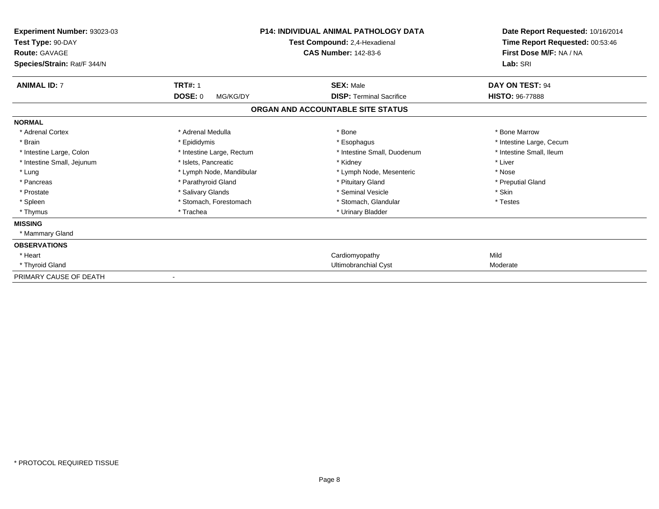| Experiment Number: 93023-03<br>Test Type: 90-DAY<br><b>Route: GAVAGE</b><br>Species/Strain: Rat/F 344/N |                            | <b>P14: INDIVIDUAL ANIMAL PATHOLOGY DATA</b><br>Test Compound: 2,4-Hexadienal<br><b>CAS Number: 142-83-6</b> | Date Report Requested: 10/16/2014<br>Time Report Requested: 00:53:46<br>First Dose M/F: NA / NA<br>Lab: SRI |
|---------------------------------------------------------------------------------------------------------|----------------------------|--------------------------------------------------------------------------------------------------------------|-------------------------------------------------------------------------------------------------------------|
| <b>ANIMAL ID: 7</b>                                                                                     | <b>TRT#: 1</b>             | <b>SEX: Male</b>                                                                                             | DAY ON TEST: 94                                                                                             |
|                                                                                                         | <b>DOSE: 0</b><br>MG/KG/DY | <b>DISP: Terminal Sacrifice</b>                                                                              | <b>HISTO: 96-77888</b>                                                                                      |
|                                                                                                         |                            | ORGAN AND ACCOUNTABLE SITE STATUS                                                                            |                                                                                                             |
| <b>NORMAL</b>                                                                                           |                            |                                                                                                              |                                                                                                             |
| * Adrenal Cortex                                                                                        | * Adrenal Medulla          | * Bone                                                                                                       | * Bone Marrow                                                                                               |
| * Brain                                                                                                 | * Epididymis               | * Esophagus                                                                                                  | * Intestine Large, Cecum                                                                                    |
| * Intestine Large, Colon                                                                                | * Intestine Large, Rectum  | * Intestine Small, Duodenum                                                                                  | * Intestine Small. Ileum                                                                                    |
| * Intestine Small, Jejunum                                                                              | * Islets, Pancreatic       | * Kidney                                                                                                     | * Liver                                                                                                     |
| * Lung                                                                                                  | * Lymph Node, Mandibular   | * Lymph Node, Mesenteric                                                                                     | * Nose                                                                                                      |
| * Pancreas                                                                                              | * Parathyroid Gland        | * Pituitary Gland                                                                                            | * Preputial Gland                                                                                           |
| * Prostate                                                                                              | * Salivary Glands          | * Seminal Vesicle                                                                                            | * Skin                                                                                                      |
| * Spleen                                                                                                | * Stomach, Forestomach     | * Stomach, Glandular                                                                                         | * Testes                                                                                                    |
| * Thymus                                                                                                | * Trachea                  | * Urinary Bladder                                                                                            |                                                                                                             |
| <b>MISSING</b>                                                                                          |                            |                                                                                                              |                                                                                                             |
| * Mammary Gland                                                                                         |                            |                                                                                                              |                                                                                                             |
| <b>OBSERVATIONS</b>                                                                                     |                            |                                                                                                              |                                                                                                             |
| * Heart                                                                                                 |                            | Cardiomyopathy                                                                                               | Mild                                                                                                        |
| * Thyroid Gland                                                                                         |                            | Ultimobranchial Cyst                                                                                         | Moderate                                                                                                    |
| PRIMARY CAUSE OF DEATH                                                                                  |                            |                                                                                                              |                                                                                                             |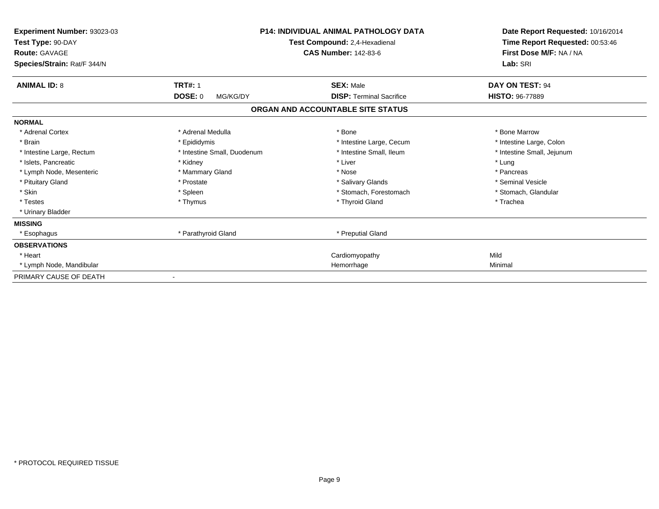| Experiment Number: 93023-03<br>Test Type: 90-DAY<br><b>Route: GAVAGE</b><br>Species/Strain: Rat/F 344/N |                             | <b>P14: INDIVIDUAL ANIMAL PATHOLOGY DATA</b><br>Test Compound: 2,4-Hexadienal<br><b>CAS Number: 142-83-6</b> | Date Report Requested: 10/16/2014<br>Time Report Requested: 00:53:46<br>First Dose M/F: NA / NA<br>Lab: SRI |
|---------------------------------------------------------------------------------------------------------|-----------------------------|--------------------------------------------------------------------------------------------------------------|-------------------------------------------------------------------------------------------------------------|
| <b>ANIMAL ID: 8</b>                                                                                     | <b>TRT#: 1</b>              | <b>SEX: Male</b>                                                                                             | DAY ON TEST: 94                                                                                             |
|                                                                                                         | <b>DOSE: 0</b><br>MG/KG/DY  | <b>DISP: Terminal Sacrifice</b>                                                                              | <b>HISTO: 96-77889</b>                                                                                      |
|                                                                                                         |                             | ORGAN AND ACCOUNTABLE SITE STATUS                                                                            |                                                                                                             |
| <b>NORMAL</b>                                                                                           |                             |                                                                                                              |                                                                                                             |
| * Adrenal Cortex                                                                                        | * Adrenal Medulla           | * Bone                                                                                                       | * Bone Marrow                                                                                               |
| * Brain                                                                                                 | * Epididymis                | * Intestine Large, Cecum                                                                                     | * Intestine Large, Colon                                                                                    |
| * Intestine Large, Rectum                                                                               | * Intestine Small, Duodenum | * Intestine Small, Ileum                                                                                     | * Intestine Small, Jejunum                                                                                  |
| * Islets, Pancreatic                                                                                    | * Kidney                    | * Liver                                                                                                      | * Lung                                                                                                      |
| * Lymph Node, Mesenteric                                                                                | * Mammary Gland             | * Nose                                                                                                       | * Pancreas                                                                                                  |
| * Pituitary Gland                                                                                       | * Prostate                  | * Salivary Glands                                                                                            | * Seminal Vesicle                                                                                           |
| * Skin                                                                                                  | * Spleen                    | * Stomach, Forestomach                                                                                       | * Stomach, Glandular                                                                                        |
| * Testes                                                                                                | * Thymus                    | * Thyroid Gland                                                                                              | * Trachea                                                                                                   |
| * Urinary Bladder                                                                                       |                             |                                                                                                              |                                                                                                             |
| <b>MISSING</b>                                                                                          |                             |                                                                                                              |                                                                                                             |
| * Esophagus                                                                                             | * Parathyroid Gland         | * Preputial Gland                                                                                            |                                                                                                             |
| <b>OBSERVATIONS</b>                                                                                     |                             |                                                                                                              |                                                                                                             |
| * Heart                                                                                                 |                             | Cardiomyopathy                                                                                               | Mild                                                                                                        |
| * Lymph Node, Mandibular                                                                                |                             | Hemorrhage                                                                                                   | Minimal                                                                                                     |
| PRIMARY CAUSE OF DEATH                                                                                  |                             |                                                                                                              |                                                                                                             |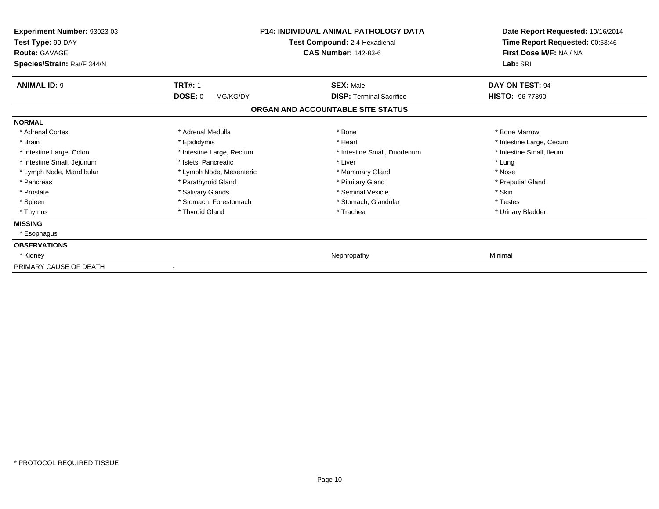| Experiment Number: 93023-03<br>Test Type: 90-DAY<br><b>Route: GAVAGE</b><br>Species/Strain: Rat/F 344/N |                                       | <b>P14: INDIVIDUAL ANIMAL PATHOLOGY DATA</b><br>Test Compound: 2,4-Hexadienal<br><b>CAS Number: 142-83-6</b> | Date Report Requested: 10/16/2014<br>Time Report Requested: 00:53:46<br>First Dose M/F: NA / NA<br>Lab: SRI |
|---------------------------------------------------------------------------------------------------------|---------------------------------------|--------------------------------------------------------------------------------------------------------------|-------------------------------------------------------------------------------------------------------------|
| <b>ANIMAL ID: 9</b>                                                                                     | <b>TRT#: 1</b><br>DOSE: 0<br>MG/KG/DY | <b>SEX: Male</b><br><b>DISP: Terminal Sacrifice</b>                                                          | DAY ON TEST: 94<br>HISTO: -96-77890                                                                         |
|                                                                                                         |                                       | ORGAN AND ACCOUNTABLE SITE STATUS                                                                            |                                                                                                             |
| <b>NORMAL</b>                                                                                           |                                       |                                                                                                              |                                                                                                             |
| * Adrenal Cortex                                                                                        | * Adrenal Medulla                     | * Bone                                                                                                       | * Bone Marrow                                                                                               |
| * Brain                                                                                                 | * Epididymis                          | * Heart                                                                                                      | * Intestine Large, Cecum                                                                                    |
| * Intestine Large, Colon                                                                                | * Intestine Large, Rectum             | * Intestine Small, Duodenum                                                                                  | * Intestine Small. Ileum                                                                                    |
| * Intestine Small, Jejunum                                                                              | * Islets, Pancreatic                  | * Liver                                                                                                      | * Lung                                                                                                      |
| * Lymph Node, Mandibular                                                                                | * Lymph Node, Mesenteric              | * Mammary Gland                                                                                              | * Nose                                                                                                      |
| * Pancreas                                                                                              | * Parathyroid Gland                   | * Pituitary Gland                                                                                            | * Preputial Gland                                                                                           |
| * Prostate                                                                                              | * Salivary Glands                     | * Seminal Vesicle                                                                                            | * Skin                                                                                                      |
| * Spleen                                                                                                | * Stomach, Forestomach                | * Stomach, Glandular                                                                                         | * Testes                                                                                                    |
| * Thymus                                                                                                | * Thyroid Gland                       | * Trachea                                                                                                    | * Urinary Bladder                                                                                           |
| <b>MISSING</b>                                                                                          |                                       |                                                                                                              |                                                                                                             |
| * Esophagus                                                                                             |                                       |                                                                                                              |                                                                                                             |
| <b>OBSERVATIONS</b>                                                                                     |                                       |                                                                                                              |                                                                                                             |
| * Kidney                                                                                                |                                       | Nephropathy                                                                                                  | Minimal                                                                                                     |
| PRIMARY CAUSE OF DEATH                                                                                  |                                       |                                                                                                              |                                                                                                             |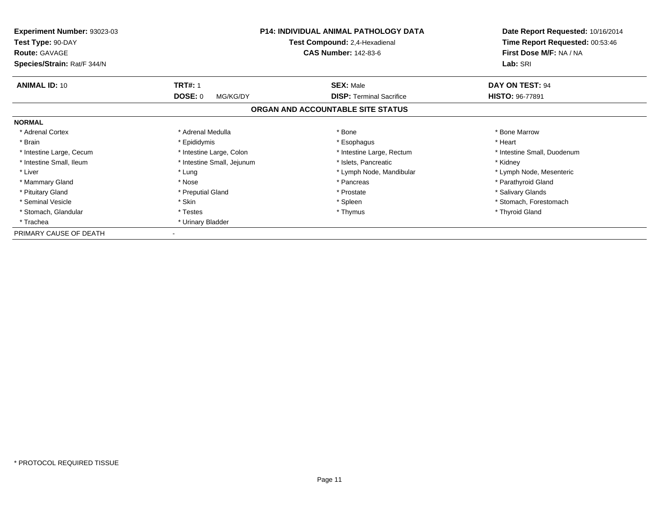| Experiment Number: 93023-03<br>Test Type: 90-DAY<br><b>Route: GAVAGE</b> | <b>P14: INDIVIDUAL ANIMAL PATHOLOGY DATA</b><br>Test Compound: 2,4-Hexadienal<br><b>CAS Number: 142-83-6</b> |                                   | Date Report Requested: 10/16/2014<br>Time Report Requested: 00:53:46<br>First Dose M/F: NA / NA |
|--------------------------------------------------------------------------|--------------------------------------------------------------------------------------------------------------|-----------------------------------|-------------------------------------------------------------------------------------------------|
| Species/Strain: Rat/F 344/N                                              |                                                                                                              |                                   | Lab: SRI                                                                                        |
| <b>ANIMAL ID: 10</b>                                                     | <b>TRT#: 1</b>                                                                                               | <b>SEX: Male</b>                  | DAY ON TEST: 94                                                                                 |
|                                                                          | <b>DOSE: 0</b><br>MG/KG/DY                                                                                   | <b>DISP:</b> Terminal Sacrifice   | <b>HISTO: 96-77891</b>                                                                          |
|                                                                          |                                                                                                              | ORGAN AND ACCOUNTABLE SITE STATUS |                                                                                                 |
| <b>NORMAL</b>                                                            |                                                                                                              |                                   |                                                                                                 |
| * Adrenal Cortex                                                         | * Adrenal Medulla                                                                                            | * Bone                            | * Bone Marrow                                                                                   |
| * Brain                                                                  | * Epididymis                                                                                                 | * Esophagus                       | * Heart                                                                                         |
| * Intestine Large, Cecum                                                 | * Intestine Large, Colon                                                                                     | * Intestine Large, Rectum         | * Intestine Small, Duodenum                                                                     |
| * Intestine Small, Ileum                                                 | * Intestine Small, Jejunum                                                                                   | * Islets, Pancreatic              | * Kidney                                                                                        |
| * Liver                                                                  | * Lung                                                                                                       | * Lymph Node, Mandibular          | * Lymph Node, Mesenteric                                                                        |
| * Mammary Gland                                                          | * Nose                                                                                                       | * Pancreas                        | * Parathyroid Gland                                                                             |
| * Pituitary Gland                                                        | * Preputial Gland                                                                                            | * Prostate                        | * Salivary Glands                                                                               |
| * Seminal Vesicle                                                        | * Skin                                                                                                       | * Spleen                          | * Stomach, Forestomach                                                                          |
| * Stomach, Glandular                                                     | * Testes                                                                                                     | * Thymus                          | * Thyroid Gland                                                                                 |
| * Trachea                                                                | * Urinary Bladder                                                                                            |                                   |                                                                                                 |
| PRIMARY CAUSE OF DEATH                                                   |                                                                                                              |                                   |                                                                                                 |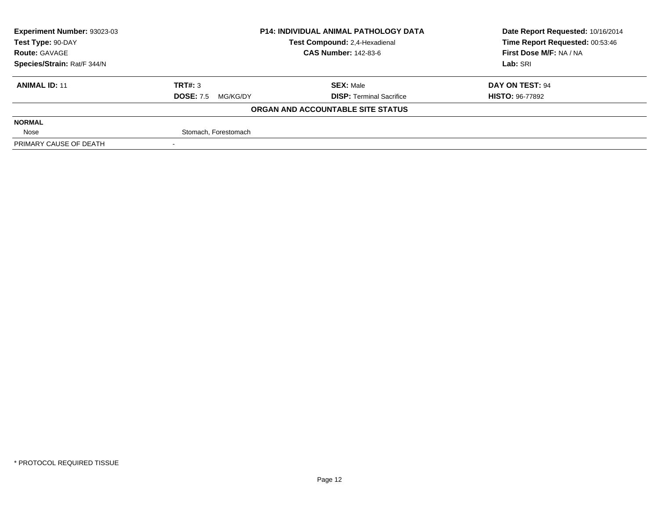| Experiment Number: 93023-03 | <b>P14: INDIVIDUAL ANIMAL PATHOLOGY DATA</b><br>Test Compound: 2,4-Hexadienal<br><b>CAS Number: 142-83-6</b> |                                   | Date Report Requested: 10/16/2014 |  |
|-----------------------------|--------------------------------------------------------------------------------------------------------------|-----------------------------------|-----------------------------------|--|
| Test Type: 90-DAY           |                                                                                                              |                                   | Time Report Requested: 00:53:46   |  |
| <b>Route: GAVAGE</b>        |                                                                                                              |                                   | First Dose M/F: NA / NA           |  |
| Species/Strain: Rat/F 344/N |                                                                                                              |                                   | Lab: SRI                          |  |
| <b>ANIMAL ID: 11</b>        | TRT#: 3                                                                                                      | <b>SEX: Male</b>                  | DAY ON TEST: 94                   |  |
|                             | <b>DOSE: 7.5</b><br>MG/KG/DY                                                                                 | <b>DISP: Terminal Sacrifice</b>   | <b>HISTO: 96-77892</b>            |  |
|                             |                                                                                                              | ORGAN AND ACCOUNTABLE SITE STATUS |                                   |  |
| <b>NORMAL</b>               |                                                                                                              |                                   |                                   |  |
| Nose                        | Stomach, Forestomach                                                                                         |                                   |                                   |  |
| PRIMARY CAUSE OF DEATH      |                                                                                                              |                                   |                                   |  |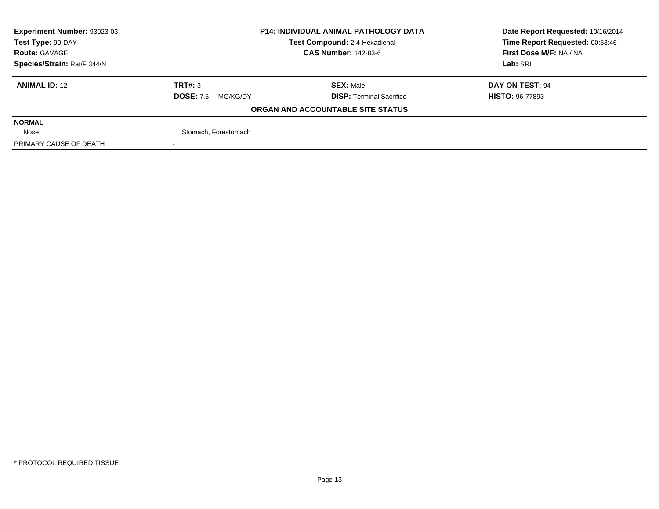| Experiment Number: 93023-03 | <b>P14: INDIVIDUAL ANIMAL PATHOLOGY DATA</b> |                                   | Date Report Requested: 10/16/2014 |  |
|-----------------------------|----------------------------------------------|-----------------------------------|-----------------------------------|--|
| Test Type: 90-DAY           |                                              | Test Compound: 2,4-Hexadienal     | Time Report Requested: 00:53:46   |  |
| <b>Route: GAVAGE</b>        |                                              | <b>CAS Number: 142-83-6</b>       | First Dose M/F: NA / NA           |  |
| Species/Strain: Rat/F 344/N |                                              |                                   | Lab: SRI                          |  |
| <b>ANIMAL ID: 12</b>        | TRT#: 3                                      | <b>SEX: Male</b>                  | DAY ON TEST: 94                   |  |
|                             | <b>DOSE: 7.5</b><br>MG/KG/DY                 | <b>DISP: Terminal Sacrifice</b>   | <b>HISTO: 96-77893</b>            |  |
|                             |                                              | ORGAN AND ACCOUNTABLE SITE STATUS |                                   |  |
| <b>NORMAL</b>               |                                              |                                   |                                   |  |
| Nose                        | Stomach, Forestomach                         |                                   |                                   |  |
| PRIMARY CAUSE OF DEATH      |                                              |                                   |                                   |  |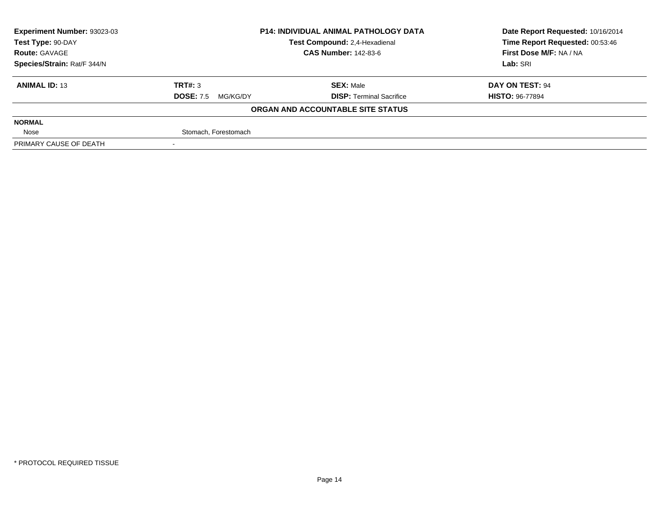| Experiment Number: 93023-03 | <b>P14: INDIVIDUAL ANIMAL PATHOLOGY DATA</b> |                                   | Date Report Requested: 10/16/2014 |  |
|-----------------------------|----------------------------------------------|-----------------------------------|-----------------------------------|--|
| Test Type: 90-DAY           |                                              | Test Compound: 2,4-Hexadienal     | Time Report Requested: 00:53:46   |  |
| <b>Route: GAVAGE</b>        |                                              | <b>CAS Number: 142-83-6</b>       | First Dose M/F: NA / NA           |  |
| Species/Strain: Rat/F 344/N |                                              |                                   | Lab: SRI                          |  |
| <b>ANIMAL ID: 13</b>        | TRT#: 3                                      | <b>SEX: Male</b>                  | DAY ON TEST: 94                   |  |
|                             | <b>DOSE: 7.5</b><br>MG/KG/DY                 | <b>DISP:</b> Terminal Sacrifice   | <b>HISTO: 96-77894</b>            |  |
|                             |                                              | ORGAN AND ACCOUNTABLE SITE STATUS |                                   |  |
| <b>NORMAL</b>               |                                              |                                   |                                   |  |
| Nose                        | Stomach, Forestomach                         |                                   |                                   |  |
| PRIMARY CAUSE OF DEATH      |                                              |                                   |                                   |  |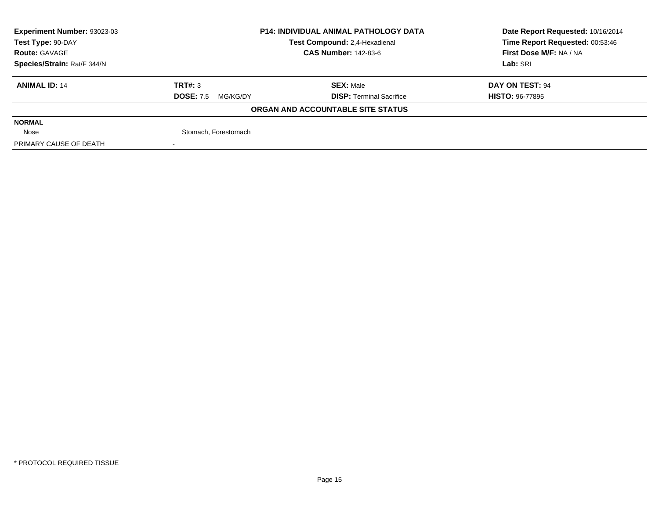| Experiment Number: 93023-03 | <b>P14: INDIVIDUAL ANIMAL PATHOLOGY DATA</b><br>Test Compound: 2,4-Hexadienal |                                   | Date Report Requested: 10/16/2014 |  |
|-----------------------------|-------------------------------------------------------------------------------|-----------------------------------|-----------------------------------|--|
| Test Type: 90-DAY           |                                                                               |                                   | Time Report Requested: 00:53:46   |  |
| <b>Route: GAVAGE</b>        |                                                                               | <b>CAS Number: 142-83-6</b>       | First Dose M/F: NA / NA           |  |
| Species/Strain: Rat/F 344/N |                                                                               |                                   | Lab: SRI                          |  |
| <b>ANIMAL ID: 14</b>        | TRT#: 3                                                                       | <b>SEX: Male</b>                  | DAY ON TEST: 94                   |  |
|                             | <b>DOSE: 7.5</b><br>MG/KG/DY                                                  | <b>DISP:</b> Terminal Sacrifice   | <b>HISTO: 96-77895</b>            |  |
|                             |                                                                               | ORGAN AND ACCOUNTABLE SITE STATUS |                                   |  |
| <b>NORMAL</b>               |                                                                               |                                   |                                   |  |
| Nose                        | Stomach, Forestomach                                                          |                                   |                                   |  |
| PRIMARY CAUSE OF DEATH      |                                                                               |                                   |                                   |  |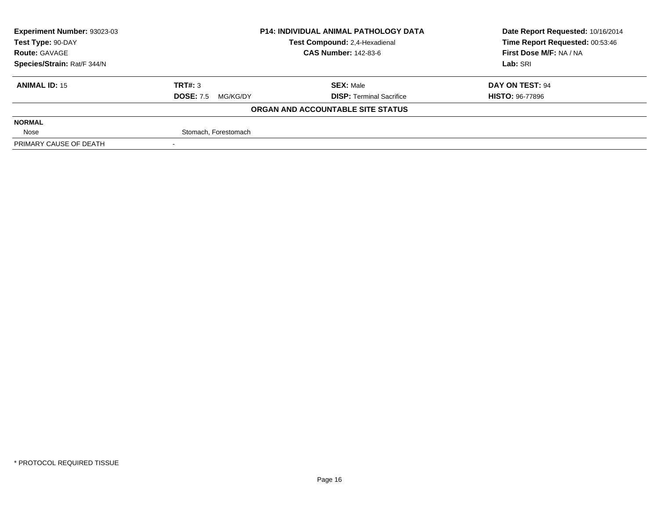| Experiment Number: 93023-03 | <b>P14: INDIVIDUAL ANIMAL PATHOLOGY DATA</b> |                                   | Date Report Requested: 10/16/2014 |  |
|-----------------------------|----------------------------------------------|-----------------------------------|-----------------------------------|--|
| Test Type: 90-DAY           |                                              | Test Compound: 2,4-Hexadienal     | Time Report Requested: 00:53:46   |  |
| <b>Route: GAVAGE</b>        |                                              | <b>CAS Number: 142-83-6</b>       | First Dose M/F: NA / NA           |  |
| Species/Strain: Rat/F 344/N |                                              |                                   | Lab: SRI                          |  |
| <b>ANIMAL ID: 15</b>        | TRT#: 3                                      | <b>SEX: Male</b>                  | DAY ON TEST: 94                   |  |
|                             | <b>DOSE: 7.5</b><br>MG/KG/DY                 | <b>DISP: Terminal Sacrifice</b>   | <b>HISTO: 96-77896</b>            |  |
|                             |                                              | ORGAN AND ACCOUNTABLE SITE STATUS |                                   |  |
| <b>NORMAL</b>               |                                              |                                   |                                   |  |
| Nose                        | Stomach, Forestomach                         |                                   |                                   |  |
| PRIMARY CAUSE OF DEATH      |                                              |                                   |                                   |  |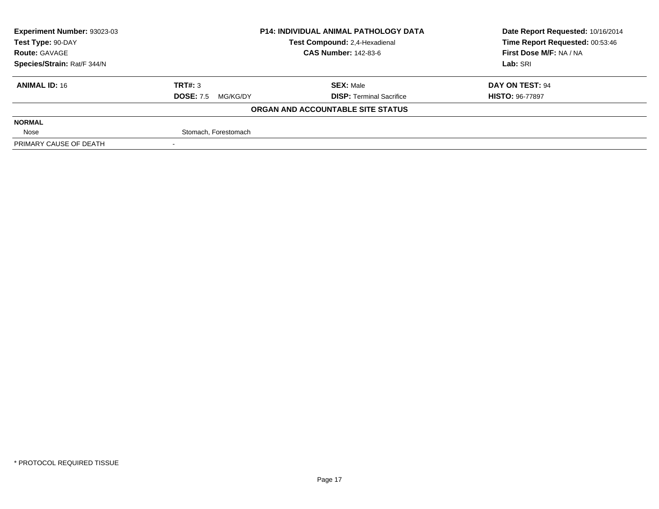| Experiment Number: 93023-03 | <b>P14: INDIVIDUAL ANIMAL PATHOLOGY DATA</b> |                                   | Date Report Requested: 10/16/2014 |  |
|-----------------------------|----------------------------------------------|-----------------------------------|-----------------------------------|--|
| Test Type: 90-DAY           |                                              | Test Compound: 2,4-Hexadienal     | Time Report Requested: 00:53:46   |  |
| <b>Route: GAVAGE</b>        |                                              | <b>CAS Number: 142-83-6</b>       | First Dose M/F: NA / NA           |  |
| Species/Strain: Rat/F 344/N |                                              |                                   | Lab: SRI                          |  |
| <b>ANIMAL ID: 16</b>        | TRT#: 3                                      | <b>SEX: Male</b>                  | DAY ON TEST: 94                   |  |
|                             | <b>DOSE: 7.5</b><br>MG/KG/DY                 | <b>DISP:</b> Terminal Sacrifice   | <b>HISTO: 96-77897</b>            |  |
|                             |                                              | ORGAN AND ACCOUNTABLE SITE STATUS |                                   |  |
| <b>NORMAL</b>               |                                              |                                   |                                   |  |
| Nose                        | Stomach, Forestomach                         |                                   |                                   |  |
| PRIMARY CAUSE OF DEATH      |                                              |                                   |                                   |  |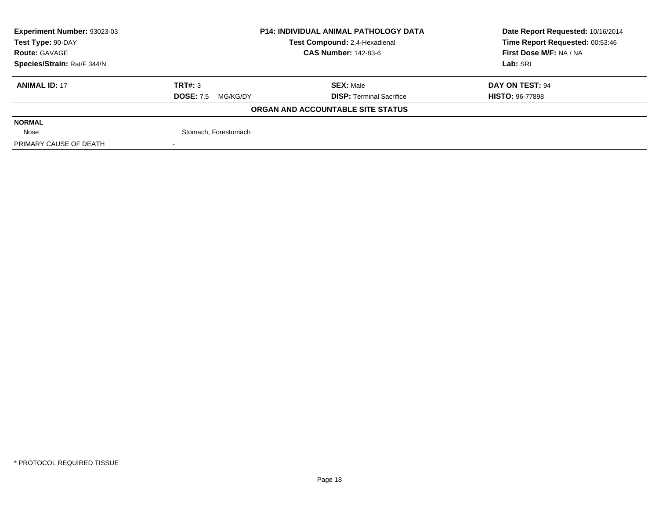| Experiment Number: 93023-03 |                              | <b>P14: INDIVIDUAL ANIMAL PATHOLOGY DATA</b> | Date Report Requested: 10/16/2014 |  |
|-----------------------------|------------------------------|----------------------------------------------|-----------------------------------|--|
| Test Type: 90-DAY           |                              | Test Compound: 2,4-Hexadienal                | Time Report Requested: 00:53:46   |  |
| <b>Route: GAVAGE</b>        |                              | <b>CAS Number: 142-83-6</b>                  | First Dose M/F: NA / NA           |  |
| Species/Strain: Rat/F 344/N |                              |                                              | Lab: SRI                          |  |
| <b>ANIMAL ID: 17</b>        | TRT#: 3                      | <b>SEX: Male</b>                             | DAY ON TEST: 94                   |  |
|                             | <b>DOSE: 7.5</b><br>MG/KG/DY | <b>DISP: Terminal Sacrifice</b>              | <b>HISTO: 96-77898</b>            |  |
|                             |                              | ORGAN AND ACCOUNTABLE SITE STATUS            |                                   |  |
| <b>NORMAL</b>               |                              |                                              |                                   |  |
| Nose                        | Stomach, Forestomach         |                                              |                                   |  |
| PRIMARY CAUSE OF DEATH      |                              |                                              |                                   |  |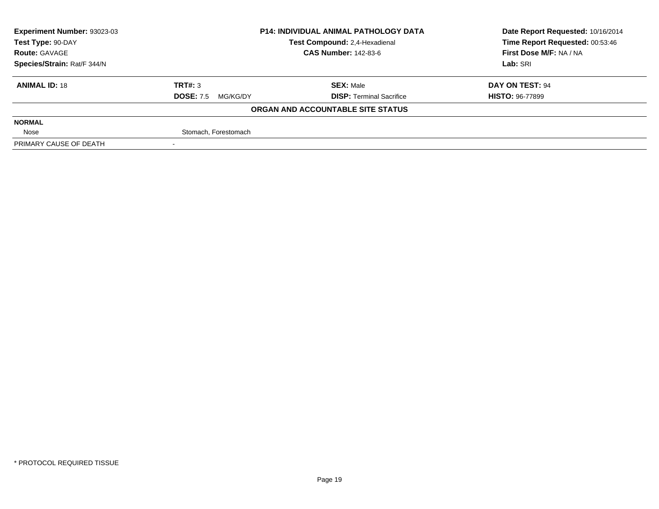| Experiment Number: 93023-03 | <b>P14: INDIVIDUAL ANIMAL PATHOLOGY DATA</b> |                                   | Date Report Requested: 10/16/2014 |  |
|-----------------------------|----------------------------------------------|-----------------------------------|-----------------------------------|--|
| Test Type: 90-DAY           |                                              | Test Compound: 2,4-Hexadienal     | Time Report Requested: 00:53:46   |  |
| <b>Route: GAVAGE</b>        |                                              | <b>CAS Number: 142-83-6</b>       | First Dose M/F: NA / NA           |  |
| Species/Strain: Rat/F 344/N |                                              |                                   | Lab: SRI                          |  |
| <b>ANIMAL ID: 18</b>        | TRT#: 3                                      | <b>SEX: Male</b>                  | DAY ON TEST: 94                   |  |
|                             | <b>DOSE: 7.5</b><br>MG/KG/DY                 | <b>DISP: Terminal Sacrifice</b>   | <b>HISTO: 96-77899</b>            |  |
|                             |                                              | ORGAN AND ACCOUNTABLE SITE STATUS |                                   |  |
| <b>NORMAL</b>               |                                              |                                   |                                   |  |
| Nose                        | Stomach, Forestomach                         |                                   |                                   |  |
| PRIMARY CAUSE OF DEATH      |                                              |                                   |                                   |  |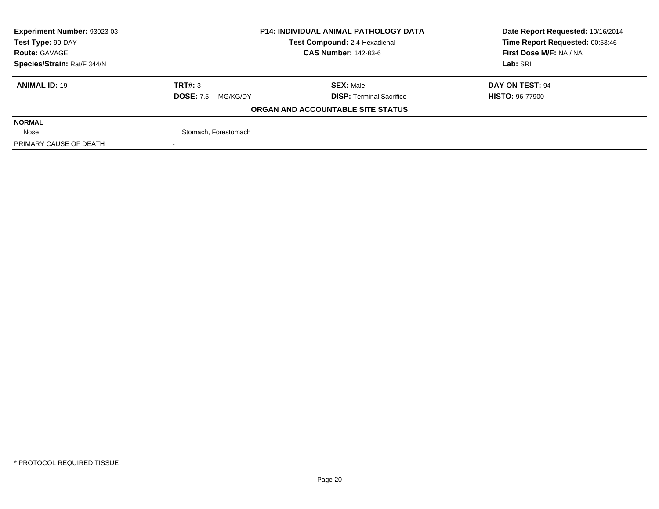| Experiment Number: 93023-03 | <b>P14: INDIVIDUAL ANIMAL PATHOLOGY DATA</b> |                                   | Date Report Requested: 10/16/2014 |  |
|-----------------------------|----------------------------------------------|-----------------------------------|-----------------------------------|--|
| Test Type: 90-DAY           |                                              | Test Compound: 2,4-Hexadienal     | Time Report Requested: 00:53:46   |  |
| <b>Route: GAVAGE</b>        |                                              | <b>CAS Number: 142-83-6</b>       | First Dose M/F: NA / NA           |  |
| Species/Strain: Rat/F 344/N |                                              |                                   | Lab: SRI                          |  |
| <b>ANIMAL ID: 19</b>        | TRT#: 3                                      | <b>SEX: Male</b>                  | DAY ON TEST: 94                   |  |
|                             | <b>DOSE: 7.5</b><br>MG/KG/DY                 | <b>DISP: Terminal Sacrifice</b>   | <b>HISTO: 96-77900</b>            |  |
|                             |                                              | ORGAN AND ACCOUNTABLE SITE STATUS |                                   |  |
| <b>NORMAL</b>               |                                              |                                   |                                   |  |
| Nose                        | Stomach, Forestomach                         |                                   |                                   |  |
| PRIMARY CAUSE OF DEATH      |                                              |                                   |                                   |  |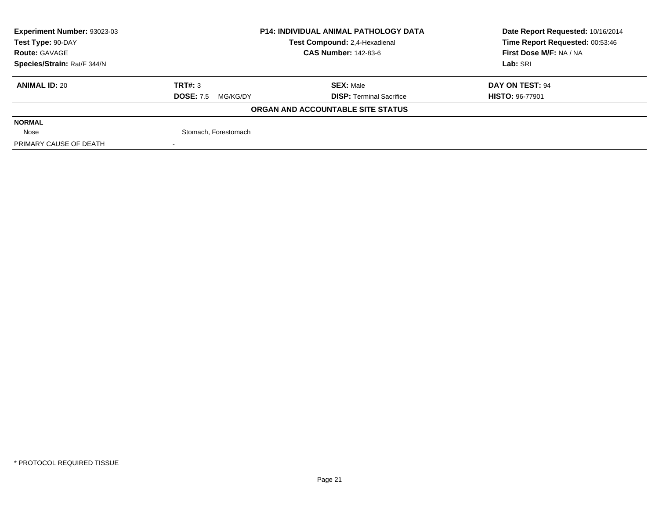| Experiment Number: 93023-03 | <b>P14: INDIVIDUAL ANIMAL PATHOLOGY DATA</b> |                                   | Date Report Requested: 10/16/2014 |  |
|-----------------------------|----------------------------------------------|-----------------------------------|-----------------------------------|--|
| Test Type: 90-DAY           |                                              | Test Compound: 2,4-Hexadienal     | Time Report Requested: 00:53:46   |  |
| <b>Route: GAVAGE</b>        |                                              | <b>CAS Number: 142-83-6</b>       | First Dose M/F: NA / NA           |  |
| Species/Strain: Rat/F 344/N |                                              |                                   | Lab: SRI                          |  |
| <b>ANIMAL ID: 20</b>        | TRT#: 3                                      | <b>SEX: Male</b>                  | DAY ON TEST: 94                   |  |
|                             | <b>DOSE: 7.5</b><br>MG/KG/DY                 | <b>DISP:</b> Terminal Sacrifice   | <b>HISTO: 96-77901</b>            |  |
|                             |                                              | ORGAN AND ACCOUNTABLE SITE STATUS |                                   |  |
| <b>NORMAL</b>               |                                              |                                   |                                   |  |
| Nose                        | Stomach, Forestomach                         |                                   |                                   |  |
| PRIMARY CAUSE OF DEATH      |                                              |                                   |                                   |  |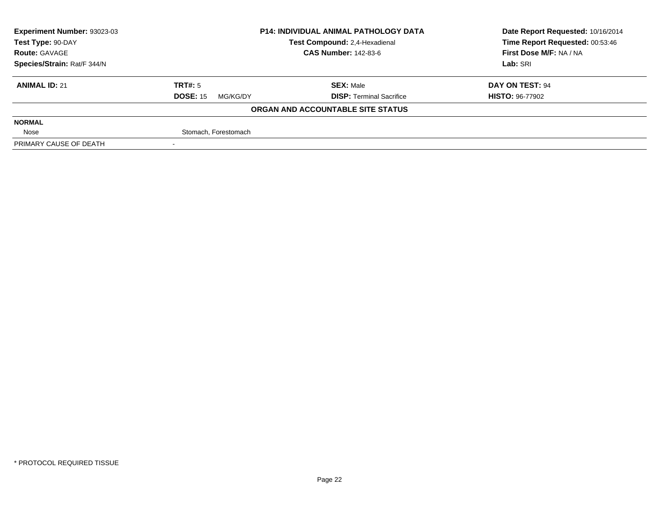| Experiment Number: 93023-03 |                             | <b>P14: INDIVIDUAL ANIMAL PATHOLOGY DATA</b> |                                 |  |
|-----------------------------|-----------------------------|----------------------------------------------|---------------------------------|--|
| Test Type: 90-DAY           |                             | Test Compound: 2,4-Hexadienal                | Time Report Requested: 00:53:46 |  |
| <b>Route: GAVAGE</b>        |                             | <b>CAS Number: 142-83-6</b>                  | First Dose M/F: NA / NA         |  |
| Species/Strain: Rat/F 344/N |                             |                                              | Lab: SRI                        |  |
| <b>ANIMAL ID: 21</b>        | TRT#: 5                     | <b>SEX: Male</b>                             | DAY ON TEST: 94                 |  |
|                             | <b>DOSE: 15</b><br>MG/KG/DY | <b>DISP: Terminal Sacrifice</b>              | <b>HISTO: 96-77902</b>          |  |
|                             |                             | ORGAN AND ACCOUNTABLE SITE STATUS            |                                 |  |
| <b>NORMAL</b>               |                             |                                              |                                 |  |
| Nose                        | Stomach, Forestomach        |                                              |                                 |  |
| PRIMARY CAUSE OF DEATH      |                             |                                              |                                 |  |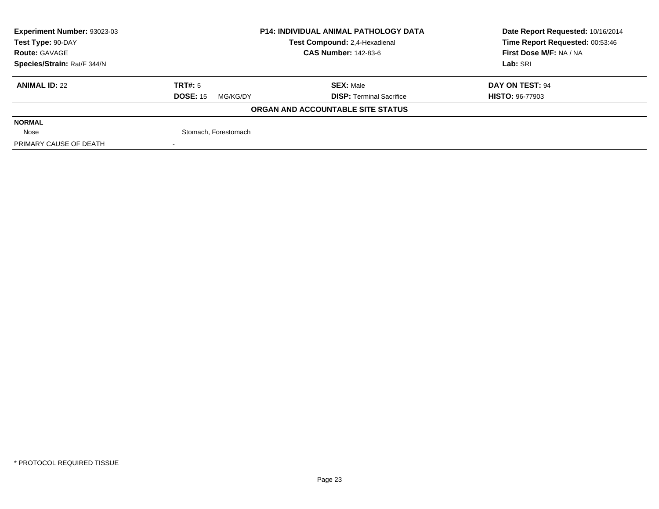| Experiment Number: 93023-03 |                             | <b>P14: INDIVIDUAL ANIMAL PATHOLOGY DATA</b> |                                 |  |
|-----------------------------|-----------------------------|----------------------------------------------|---------------------------------|--|
| Test Type: 90-DAY           |                             | Test Compound: 2,4-Hexadienal                | Time Report Requested: 00:53:46 |  |
| <b>Route: GAVAGE</b>        |                             | <b>CAS Number: 142-83-6</b>                  | First Dose M/F: NA / NA         |  |
| Species/Strain: Rat/F 344/N |                             |                                              | Lab: SRI                        |  |
| <b>ANIMAL ID: 22</b>        | TRT#: 5                     | <b>SEX: Male</b>                             | DAY ON TEST: 94                 |  |
|                             | <b>DOSE: 15</b><br>MG/KG/DY | <b>DISP: Terminal Sacrifice</b>              | <b>HISTO: 96-77903</b>          |  |
|                             |                             | ORGAN AND ACCOUNTABLE SITE STATUS            |                                 |  |
| <b>NORMAL</b>               |                             |                                              |                                 |  |
| Nose                        | Stomach, Forestomach        |                                              |                                 |  |
| PRIMARY CAUSE OF DEATH      |                             |                                              |                                 |  |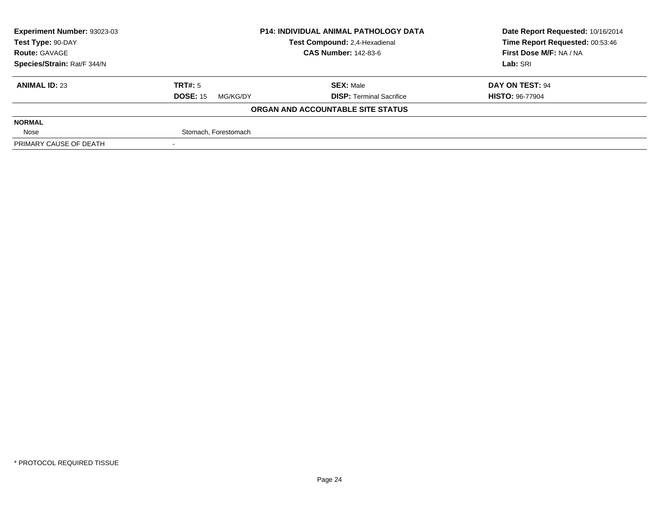| Experiment Number: 93023-03 |                             | <b>P14: INDIVIDUAL ANIMAL PATHOLOGY DATA</b> |                                 |  |
|-----------------------------|-----------------------------|----------------------------------------------|---------------------------------|--|
| Test Type: 90-DAY           |                             | Test Compound: 2,4-Hexadienal                | Time Report Requested: 00:53:46 |  |
| <b>Route: GAVAGE</b>        |                             | <b>CAS Number: 142-83-6</b>                  | First Dose M/F: NA / NA         |  |
| Species/Strain: Rat/F 344/N |                             |                                              | Lab: SRI                        |  |
| <b>ANIMAL ID: 23</b>        | TRT#: 5                     | <b>SEX: Male</b>                             | DAY ON TEST: 94                 |  |
|                             | <b>DOSE: 15</b><br>MG/KG/DY | <b>DISP: Terminal Sacrifice</b>              | <b>HISTO: 96-77904</b>          |  |
|                             |                             | ORGAN AND ACCOUNTABLE SITE STATUS            |                                 |  |
| <b>NORMAL</b>               |                             |                                              |                                 |  |
| Nose                        | Stomach, Forestomach        |                                              |                                 |  |
| PRIMARY CAUSE OF DEATH      |                             |                                              |                                 |  |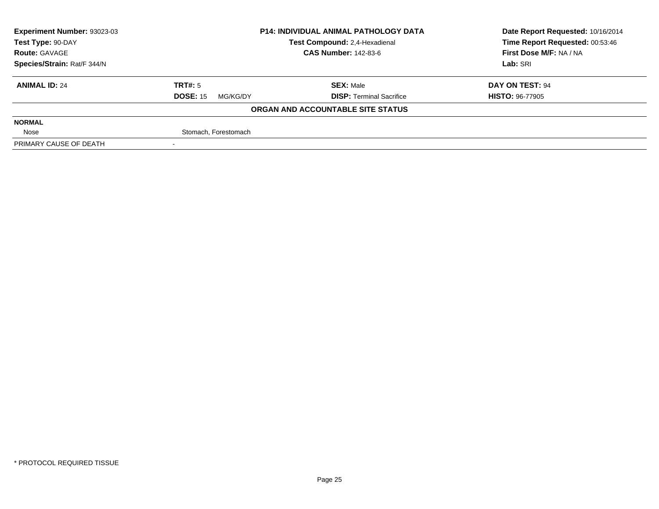| Experiment Number: 93023-03 | <b>P14: INDIVIDUAL ANIMAL PATHOLOGY DATA</b> |                                   | Date Report Requested: 10/16/2014 |  |
|-----------------------------|----------------------------------------------|-----------------------------------|-----------------------------------|--|
| Test Type: 90-DAY           |                                              | Test Compound: 2,4-Hexadienal     | Time Report Requested: 00:53:46   |  |
| <b>Route: GAVAGE</b>        |                                              | <b>CAS Number: 142-83-6</b>       | First Dose M/F: NA / NA           |  |
| Species/Strain: Rat/F 344/N |                                              |                                   | Lab: SRI                          |  |
| <b>ANIMAL ID: 24</b>        | TRT#: 5                                      | <b>SEX: Male</b>                  | DAY ON TEST: 94                   |  |
|                             | <b>DOSE: 15</b><br>MG/KG/DY                  | <b>DISP: Terminal Sacrifice</b>   | <b>HISTO: 96-77905</b>            |  |
|                             |                                              | ORGAN AND ACCOUNTABLE SITE STATUS |                                   |  |
| <b>NORMAL</b>               |                                              |                                   |                                   |  |
| Nose                        | Stomach, Forestomach                         |                                   |                                   |  |
| PRIMARY CAUSE OF DEATH      |                                              |                                   |                                   |  |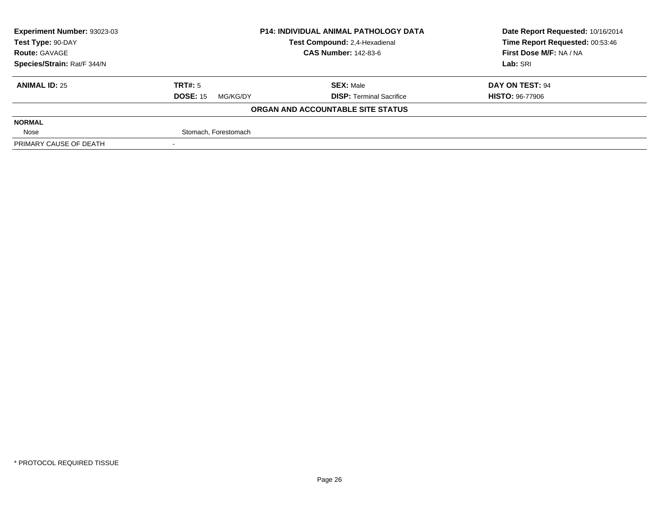| Experiment Number: 93023-03 |                             | <b>P14: INDIVIDUAL ANIMAL PATHOLOGY DATA</b> |                                 |  |
|-----------------------------|-----------------------------|----------------------------------------------|---------------------------------|--|
| Test Type: 90-DAY           |                             | Test Compound: 2,4-Hexadienal                | Time Report Requested: 00:53:46 |  |
| <b>Route: GAVAGE</b>        |                             | <b>CAS Number: 142-83-6</b>                  | First Dose M/F: NA / NA         |  |
| Species/Strain: Rat/F 344/N |                             |                                              | Lab: SRI                        |  |
| <b>ANIMAL ID: 25</b>        | TRT#: 5                     | <b>SEX: Male</b>                             | DAY ON TEST: 94                 |  |
|                             | <b>DOSE: 15</b><br>MG/KG/DY | <b>DISP: Terminal Sacrifice</b>              | <b>HISTO: 96-77906</b>          |  |
|                             |                             | ORGAN AND ACCOUNTABLE SITE STATUS            |                                 |  |
| <b>NORMAL</b>               |                             |                                              |                                 |  |
| Nose                        | Stomach, Forestomach        |                                              |                                 |  |
| PRIMARY CAUSE OF DEATH      |                             |                                              |                                 |  |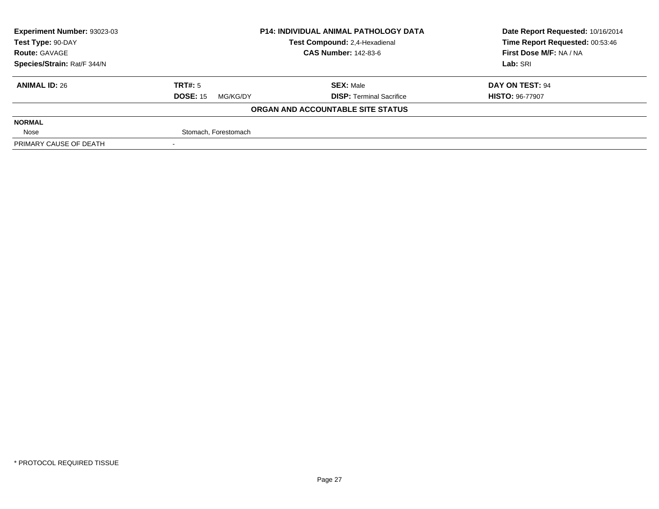| Experiment Number: 93023-03 | <b>P14: INDIVIDUAL ANIMAL PATHOLOGY DATA</b> |                                   | Date Report Requested: 10/16/2014 |  |
|-----------------------------|----------------------------------------------|-----------------------------------|-----------------------------------|--|
| Test Type: 90-DAY           |                                              | Test Compound: 2,4-Hexadienal     | Time Report Requested: 00:53:46   |  |
| <b>Route: GAVAGE</b>        |                                              | <b>CAS Number: 142-83-6</b>       | First Dose M/F: NA / NA           |  |
| Species/Strain: Rat/F 344/N |                                              |                                   | Lab: SRI                          |  |
| <b>ANIMAL ID: 26</b>        | TRT#: 5                                      | <b>SEX: Male</b>                  | DAY ON TEST: 94                   |  |
|                             | <b>DOSE: 15</b><br>MG/KG/DY                  | <b>DISP: Terminal Sacrifice</b>   | <b>HISTO: 96-77907</b>            |  |
|                             |                                              | ORGAN AND ACCOUNTABLE SITE STATUS |                                   |  |
| <b>NORMAL</b>               |                                              |                                   |                                   |  |
| Nose                        | Stomach, Forestomach                         |                                   |                                   |  |
| PRIMARY CAUSE OF DEATH      |                                              |                                   |                                   |  |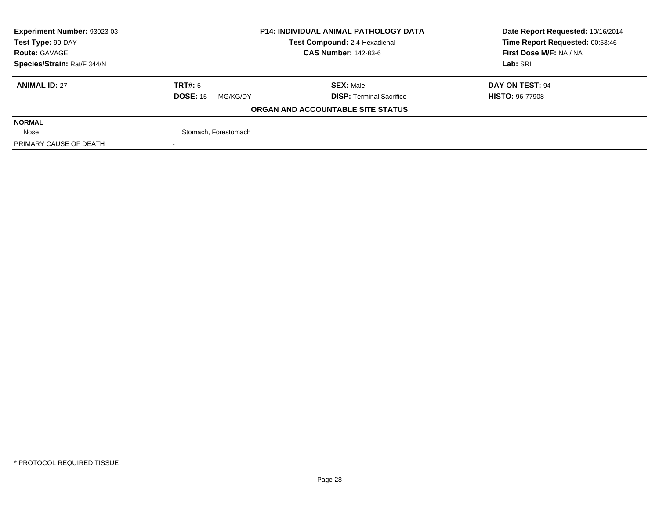| Experiment Number: 93023-03 | <b>P14: INDIVIDUAL ANIMAL PATHOLOGY DATA</b> |                                   | Date Report Requested: 10/16/2014 |  |
|-----------------------------|----------------------------------------------|-----------------------------------|-----------------------------------|--|
| Test Type: 90-DAY           |                                              | Test Compound: 2,4-Hexadienal     | Time Report Requested: 00:53:46   |  |
| <b>Route: GAVAGE</b>        |                                              | <b>CAS Number: 142-83-6</b>       | First Dose M/F: NA / NA           |  |
| Species/Strain: Rat/F 344/N |                                              |                                   | Lab: SRI                          |  |
| <b>ANIMAL ID: 27</b>        | TRT#: 5                                      | <b>SEX: Male</b>                  | DAY ON TEST: 94                   |  |
|                             | <b>DOSE: 15</b><br>MG/KG/DY                  | <b>DISP: Terminal Sacrifice</b>   | <b>HISTO: 96-77908</b>            |  |
|                             |                                              | ORGAN AND ACCOUNTABLE SITE STATUS |                                   |  |
| <b>NORMAL</b>               |                                              |                                   |                                   |  |
| Nose                        | Stomach, Forestomach                         |                                   |                                   |  |
| PRIMARY CAUSE OF DEATH      |                                              |                                   |                                   |  |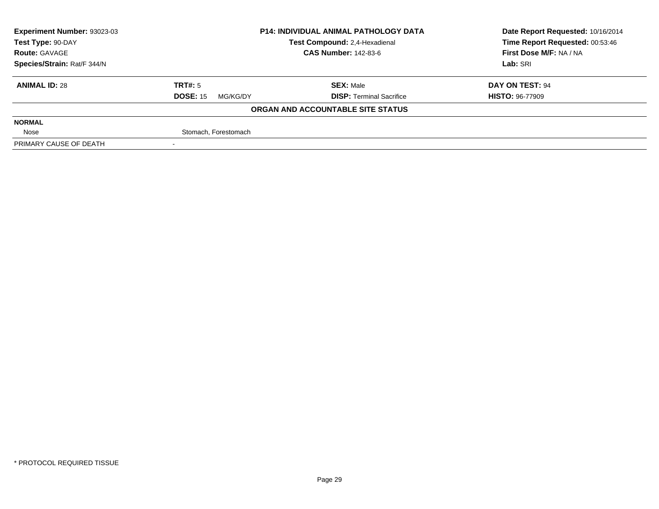| Experiment Number: 93023-03 |                             | <b>P14: INDIVIDUAL ANIMAL PATHOLOGY DATA</b> |                                 |  |
|-----------------------------|-----------------------------|----------------------------------------------|---------------------------------|--|
| Test Type: 90-DAY           |                             | Test Compound: 2,4-Hexadienal                | Time Report Requested: 00:53:46 |  |
| <b>Route: GAVAGE</b>        |                             | <b>CAS Number: 142-83-6</b>                  | First Dose M/F: NA / NA         |  |
| Species/Strain: Rat/F 344/N |                             |                                              | Lab: SRI                        |  |
| <b>ANIMAL ID: 28</b>        | TRT#: 5                     | <b>SEX: Male</b>                             | DAY ON TEST: 94                 |  |
|                             | <b>DOSE: 15</b><br>MG/KG/DY | <b>DISP: Terminal Sacrifice</b>              | <b>HISTO: 96-77909</b>          |  |
|                             |                             | ORGAN AND ACCOUNTABLE SITE STATUS            |                                 |  |
| <b>NORMAL</b>               |                             |                                              |                                 |  |
| Nose                        | Stomach, Forestomach        |                                              |                                 |  |
| PRIMARY CAUSE OF DEATH      |                             |                                              |                                 |  |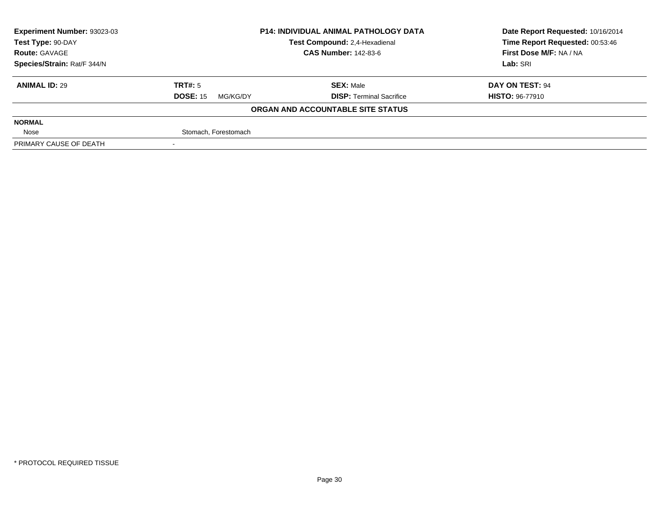| Experiment Number: 93023-03 |                             | <b>P14: INDIVIDUAL ANIMAL PATHOLOGY DATA</b> |                                 |  |
|-----------------------------|-----------------------------|----------------------------------------------|---------------------------------|--|
| Test Type: 90-DAY           |                             | Test Compound: 2,4-Hexadienal                | Time Report Requested: 00:53:46 |  |
| <b>Route: GAVAGE</b>        |                             | <b>CAS Number: 142-83-6</b>                  | First Dose M/F: NA / NA         |  |
| Species/Strain: Rat/F 344/N |                             |                                              | Lab: SRI                        |  |
| <b>ANIMAL ID: 29</b>        | TRT#: 5                     | <b>SEX: Male</b>                             | DAY ON TEST: 94                 |  |
|                             | <b>DOSE: 15</b><br>MG/KG/DY | <b>DISP: Terminal Sacrifice</b>              | <b>HISTO: 96-77910</b>          |  |
|                             |                             | ORGAN AND ACCOUNTABLE SITE STATUS            |                                 |  |
| <b>NORMAL</b>               |                             |                                              |                                 |  |
| Nose                        | Stomach, Forestomach        |                                              |                                 |  |
| PRIMARY CAUSE OF DEATH      |                             |                                              |                                 |  |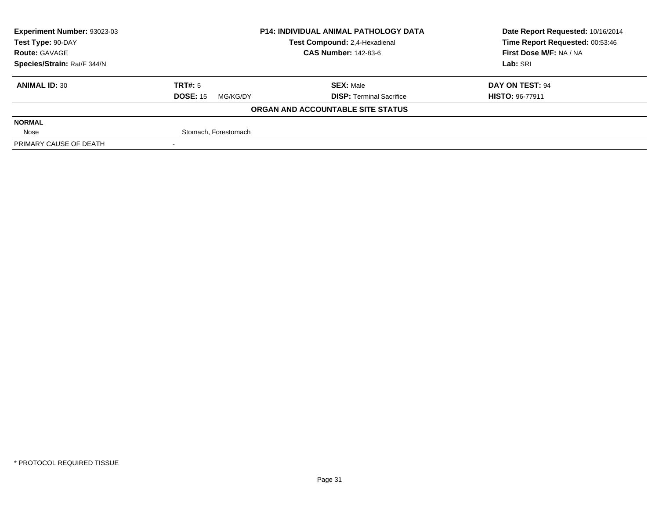| Experiment Number: 93023-03 | <b>P14: INDIVIDUAL ANIMAL PATHOLOGY DATA</b> |                                   | Date Report Requested: 10/16/2014 |  |
|-----------------------------|----------------------------------------------|-----------------------------------|-----------------------------------|--|
| Test Type: 90-DAY           |                                              | Test Compound: 2,4-Hexadienal     | Time Report Requested: 00:53:46   |  |
| <b>Route: GAVAGE</b>        |                                              | <b>CAS Number: 142-83-6</b>       | First Dose M/F: NA / NA           |  |
| Species/Strain: Rat/F 344/N |                                              |                                   | Lab: SRI                          |  |
| <b>ANIMAL ID: 30</b>        | TRT#: 5                                      | <b>SEX: Male</b>                  | DAY ON TEST: 94                   |  |
|                             | <b>DOSE: 15</b><br>MG/KG/DY                  | <b>DISP:</b> Terminal Sacrifice   | <b>HISTO: 96-77911</b>            |  |
|                             |                                              | ORGAN AND ACCOUNTABLE SITE STATUS |                                   |  |
| <b>NORMAL</b>               |                                              |                                   |                                   |  |
| Nose                        | Stomach, Forestomach                         |                                   |                                   |  |
| PRIMARY CAUSE OF DEATH      |                                              |                                   |                                   |  |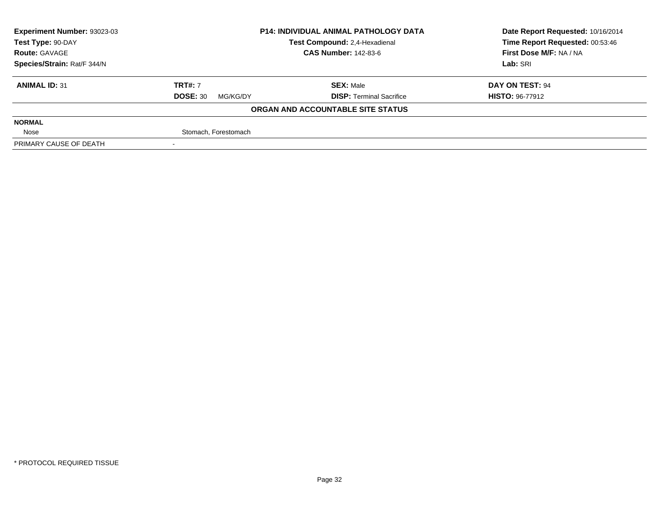| Experiment Number: 93023-03 | <b>P14: INDIVIDUAL ANIMAL PATHOLOGY DATA</b> |                                   | Date Report Requested: 10/16/2014 |  |
|-----------------------------|----------------------------------------------|-----------------------------------|-----------------------------------|--|
| Test Type: 90-DAY           |                                              | Test Compound: 2,4-Hexadienal     | Time Report Requested: 00:53:46   |  |
| <b>Route: GAVAGE</b>        |                                              | <b>CAS Number: 142-83-6</b>       | First Dose M/F: NA / NA           |  |
| Species/Strain: Rat/F 344/N |                                              |                                   | Lab: SRI                          |  |
| <b>ANIMAL ID: 31</b>        | <b>TRT#: 7</b>                               | <b>SEX: Male</b>                  | DAY ON TEST: 94                   |  |
|                             | <b>DOSE: 30</b><br>MG/KG/DY                  | <b>DISP: Terminal Sacrifice</b>   | <b>HISTO: 96-77912</b>            |  |
|                             |                                              | ORGAN AND ACCOUNTABLE SITE STATUS |                                   |  |
| <b>NORMAL</b>               |                                              |                                   |                                   |  |
| Nose                        | Stomach, Forestomach                         |                                   |                                   |  |
| PRIMARY CAUSE OF DEATH      |                                              |                                   |                                   |  |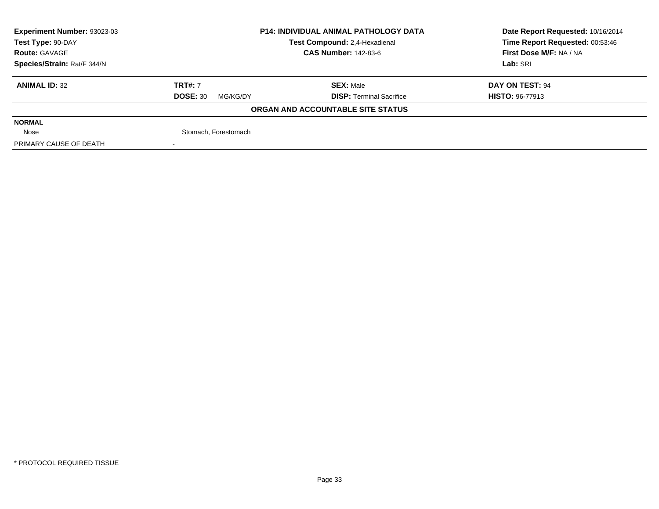| Experiment Number: 93023-03 | <b>P14: INDIVIDUAL ANIMAL PATHOLOGY DATA</b> |                                   | Date Report Requested: 10/16/2014 |  |
|-----------------------------|----------------------------------------------|-----------------------------------|-----------------------------------|--|
| Test Type: 90-DAY           |                                              | Test Compound: 2,4-Hexadienal     | Time Report Requested: 00:53:46   |  |
| <b>Route: GAVAGE</b>        |                                              | <b>CAS Number: 142-83-6</b>       | First Dose M/F: NA / NA           |  |
| Species/Strain: Rat/F 344/N |                                              |                                   | Lab: SRI                          |  |
| <b>ANIMAL ID: 32</b>        | <b>TRT#: 7</b>                               | <b>SEX: Male</b>                  | DAY ON TEST: 94                   |  |
|                             | <b>DOSE: 30</b><br>MG/KG/DY                  | <b>DISP: Terminal Sacrifice</b>   | <b>HISTO: 96-77913</b>            |  |
|                             |                                              | ORGAN AND ACCOUNTABLE SITE STATUS |                                   |  |
| <b>NORMAL</b>               |                                              |                                   |                                   |  |
| Nose                        | Stomach, Forestomach                         |                                   |                                   |  |
| PRIMARY CAUSE OF DEATH      |                                              |                                   |                                   |  |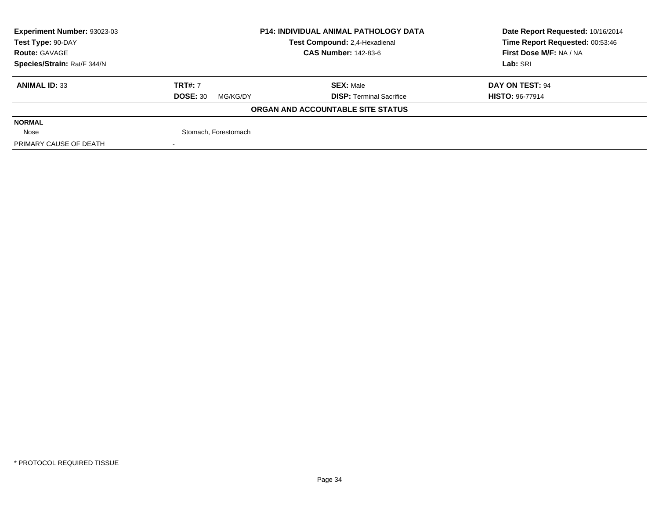| Experiment Number: 93023-03 |                             | <b>P14: INDIVIDUAL ANIMAL PATHOLOGY DATA</b> |                                 |  |
|-----------------------------|-----------------------------|----------------------------------------------|---------------------------------|--|
| Test Type: 90-DAY           |                             | Test Compound: 2,4-Hexadienal                | Time Report Requested: 00:53:46 |  |
| <b>Route: GAVAGE</b>        |                             | <b>CAS Number: 142-83-6</b>                  | First Dose M/F: NA / NA         |  |
| Species/Strain: Rat/F 344/N |                             |                                              | Lab: SRI                        |  |
| <b>ANIMAL ID: 33</b>        | <b>TRT#: 7</b>              | <b>SEX: Male</b>                             | DAY ON TEST: 94                 |  |
|                             | <b>DOSE: 30</b><br>MG/KG/DY | <b>DISP: Terminal Sacrifice</b>              | <b>HISTO: 96-77914</b>          |  |
|                             |                             | ORGAN AND ACCOUNTABLE SITE STATUS            |                                 |  |
| <b>NORMAL</b>               |                             |                                              |                                 |  |
| Nose                        | Stomach, Forestomach        |                                              |                                 |  |
| PRIMARY CAUSE OF DEATH      |                             |                                              |                                 |  |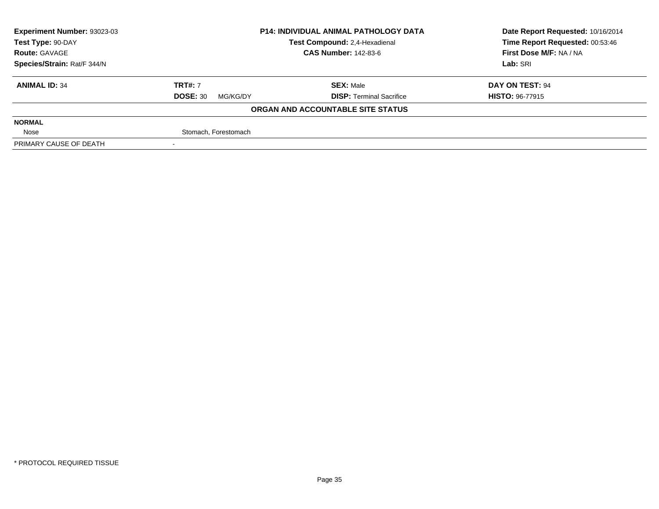| Experiment Number: 93023-03 | <b>P14: INDIVIDUAL ANIMAL PATHOLOGY DATA</b> |                                   | Date Report Requested: 10/16/2014 |  |
|-----------------------------|----------------------------------------------|-----------------------------------|-----------------------------------|--|
| Test Type: 90-DAY           |                                              | Test Compound: 2,4-Hexadienal     | Time Report Requested: 00:53:46   |  |
| <b>Route: GAVAGE</b>        |                                              | <b>CAS Number: 142-83-6</b>       | First Dose M/F: NA / NA           |  |
| Species/Strain: Rat/F 344/N |                                              |                                   | Lab: SRI                          |  |
| <b>ANIMAL ID: 34</b>        | <b>TRT#: 7</b>                               | <b>SEX: Male</b>                  | DAY ON TEST: 94                   |  |
|                             | <b>DOSE: 30</b><br>MG/KG/DY                  | <b>DISP: Terminal Sacrifice</b>   | <b>HISTO: 96-77915</b>            |  |
|                             |                                              | ORGAN AND ACCOUNTABLE SITE STATUS |                                   |  |
| <b>NORMAL</b>               |                                              |                                   |                                   |  |
| Nose                        | Stomach, Forestomach                         |                                   |                                   |  |
| PRIMARY CAUSE OF DEATH      |                                              |                                   |                                   |  |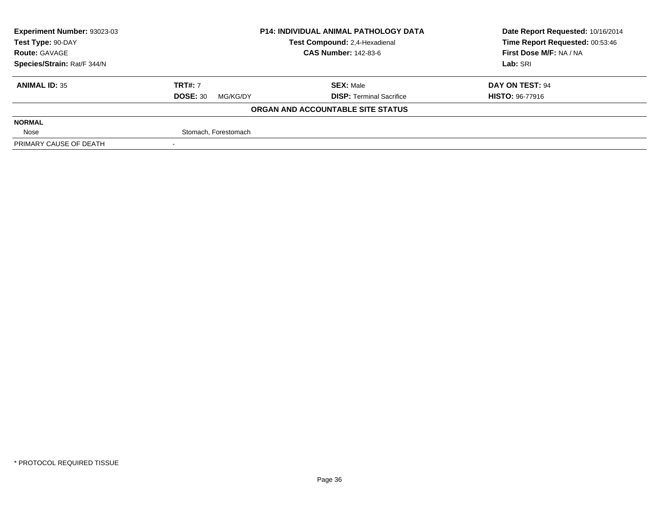| Experiment Number: 93023-03 | <b>P14: INDIVIDUAL ANIMAL PATHOLOGY DATA</b> |                                   | Date Report Requested: 10/16/2014 |  |
|-----------------------------|----------------------------------------------|-----------------------------------|-----------------------------------|--|
| Test Type: 90-DAY           |                                              | Test Compound: 2,4-Hexadienal     | Time Report Requested: 00:53:46   |  |
| <b>Route: GAVAGE</b>        |                                              | <b>CAS Number: 142-83-6</b>       | First Dose M/F: NA / NA           |  |
| Species/Strain: Rat/F 344/N |                                              |                                   | Lab: SRI                          |  |
| <b>ANIMAL ID: 35</b>        | <b>TRT#: 7</b>                               | <b>SEX: Male</b>                  | DAY ON TEST: 94                   |  |
|                             | <b>DOSE: 30</b><br>MG/KG/DY                  | <b>DISP: Terminal Sacrifice</b>   | <b>HISTO: 96-77916</b>            |  |
|                             |                                              | ORGAN AND ACCOUNTABLE SITE STATUS |                                   |  |
| <b>NORMAL</b>               |                                              |                                   |                                   |  |
| Nose                        | Stomach, Forestomach                         |                                   |                                   |  |
| PRIMARY CAUSE OF DEATH      |                                              |                                   |                                   |  |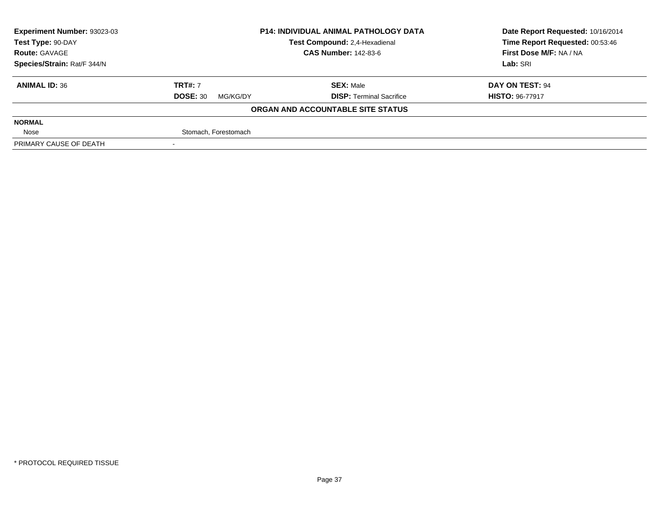| Experiment Number: 93023-03 |                             | <b>P14: INDIVIDUAL ANIMAL PATHOLOGY DATA</b> |                                 |  |
|-----------------------------|-----------------------------|----------------------------------------------|---------------------------------|--|
| Test Type: 90-DAY           |                             | Test Compound: 2,4-Hexadienal                | Time Report Requested: 00:53:46 |  |
| <b>Route: GAVAGE</b>        |                             | <b>CAS Number: 142-83-6</b>                  |                                 |  |
| Species/Strain: Rat/F 344/N |                             |                                              | Lab: SRI                        |  |
| <b>ANIMAL ID: 36</b>        | <b>TRT#: 7</b>              | <b>SEX: Male</b>                             | DAY ON TEST: 94                 |  |
|                             | <b>DOSE: 30</b><br>MG/KG/DY | <b>DISP: Terminal Sacrifice</b>              | <b>HISTO: 96-77917</b>          |  |
|                             |                             | ORGAN AND ACCOUNTABLE SITE STATUS            |                                 |  |
| <b>NORMAL</b>               |                             |                                              |                                 |  |
| Nose                        | Stomach, Forestomach        |                                              |                                 |  |
| PRIMARY CAUSE OF DEATH      |                             |                                              |                                 |  |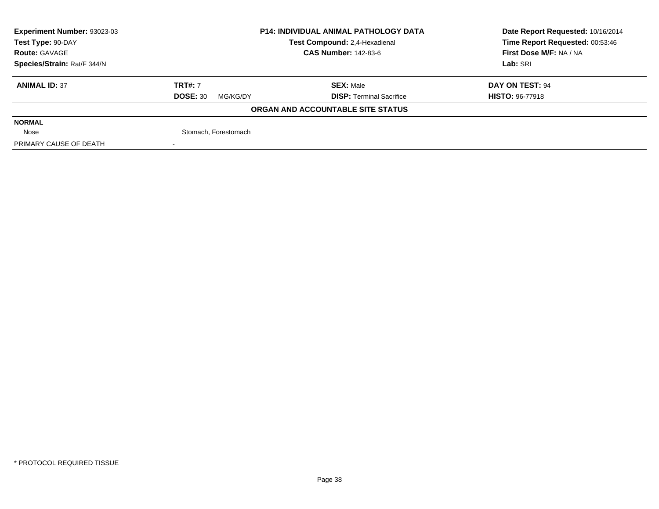| Experiment Number: 93023-03 | <b>P14: INDIVIDUAL ANIMAL PATHOLOGY DATA</b> |                                   | Date Report Requested: 10/16/2014 |  |
|-----------------------------|----------------------------------------------|-----------------------------------|-----------------------------------|--|
| Test Type: 90-DAY           |                                              | Test Compound: 2,4-Hexadienal     | Time Report Requested: 00:53:46   |  |
| <b>Route: GAVAGE</b>        |                                              | <b>CAS Number: 142-83-6</b>       |                                   |  |
| Species/Strain: Rat/F 344/N |                                              |                                   | Lab: SRI                          |  |
| <b>ANIMAL ID: 37</b>        | <b>TRT#: 7</b>                               | <b>SEX: Male</b>                  | DAY ON TEST: 94                   |  |
|                             | <b>DOSE: 30</b><br>MG/KG/DY                  | <b>DISP: Terminal Sacrifice</b>   | <b>HISTO: 96-77918</b>            |  |
|                             |                                              | ORGAN AND ACCOUNTABLE SITE STATUS |                                   |  |
| <b>NORMAL</b>               |                                              |                                   |                                   |  |
| Nose                        | Stomach, Forestomach                         |                                   |                                   |  |
| PRIMARY CAUSE OF DEATH      |                                              |                                   |                                   |  |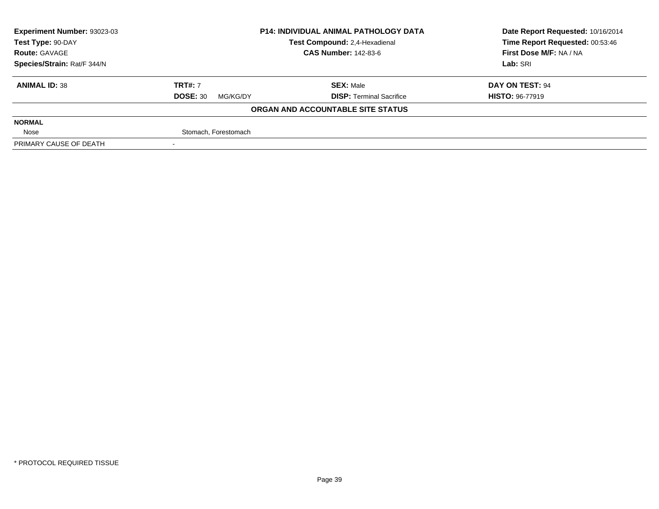| Experiment Number: 93023-03 | <b>P14: INDIVIDUAL ANIMAL PATHOLOGY DATA</b> |                                   | Date Report Requested: 10/16/2014 |  |
|-----------------------------|----------------------------------------------|-----------------------------------|-----------------------------------|--|
| Test Type: 90-DAY           |                                              | Test Compound: 2,4-Hexadienal     | Time Report Requested: 00:53:46   |  |
| <b>Route: GAVAGE</b>        |                                              | <b>CAS Number: 142-83-6</b>       |                                   |  |
| Species/Strain: Rat/F 344/N |                                              |                                   | Lab: SRI                          |  |
| <b>ANIMAL ID: 38</b>        | <b>TRT#: 7</b>                               | <b>SEX: Male</b>                  | DAY ON TEST: 94                   |  |
|                             | <b>DOSE: 30</b><br>MG/KG/DY                  | <b>DISP: Terminal Sacrifice</b>   | <b>HISTO: 96-77919</b>            |  |
|                             |                                              | ORGAN AND ACCOUNTABLE SITE STATUS |                                   |  |
| <b>NORMAL</b>               |                                              |                                   |                                   |  |
| Nose                        | Stomach, Forestomach                         |                                   |                                   |  |
| PRIMARY CAUSE OF DEATH      |                                              |                                   |                                   |  |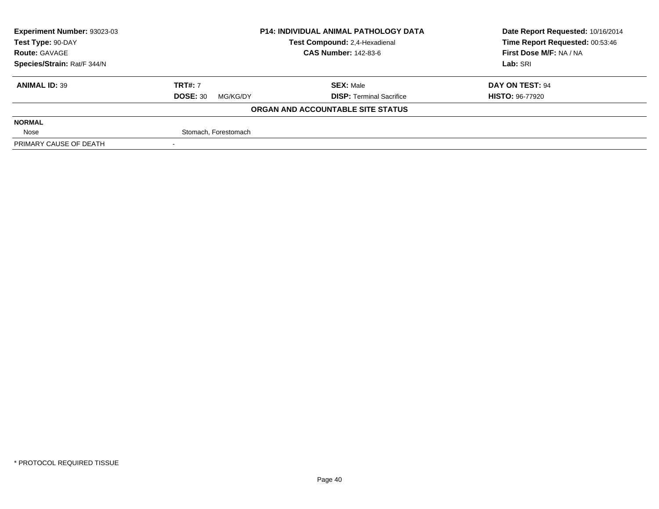| Experiment Number: 93023-03 |                             | <b>P14: INDIVIDUAL ANIMAL PATHOLOGY DATA</b> |                                 |  |
|-----------------------------|-----------------------------|----------------------------------------------|---------------------------------|--|
| Test Type: 90-DAY           |                             | Test Compound: 2,4-Hexadienal                | Time Report Requested: 00:53:46 |  |
| <b>Route: GAVAGE</b>        |                             | <b>CAS Number: 142-83-6</b>                  |                                 |  |
| Species/Strain: Rat/F 344/N |                             |                                              | Lab: SRI                        |  |
| <b>ANIMAL ID: 39</b>        | <b>TRT#: 7</b>              | <b>SEX: Male</b>                             | DAY ON TEST: 94                 |  |
|                             | <b>DOSE: 30</b><br>MG/KG/DY | <b>DISP: Terminal Sacrifice</b>              | <b>HISTO: 96-77920</b>          |  |
|                             |                             | ORGAN AND ACCOUNTABLE SITE STATUS            |                                 |  |
| <b>NORMAL</b>               |                             |                                              |                                 |  |
| Nose                        | Stomach, Forestomach        |                                              |                                 |  |
| PRIMARY CAUSE OF DEATH      |                             |                                              |                                 |  |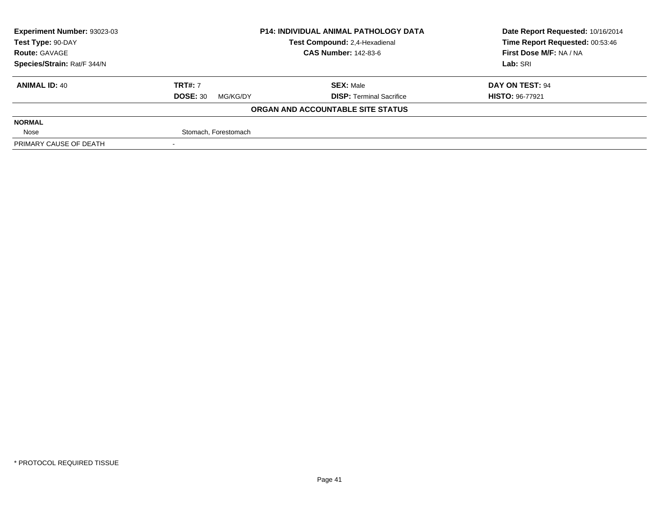| Experiment Number: 93023-03 | <b>P14: INDIVIDUAL ANIMAL PATHOLOGY DATA</b> |                                   | Date Report Requested: 10/16/2014 |  |
|-----------------------------|----------------------------------------------|-----------------------------------|-----------------------------------|--|
| Test Type: 90-DAY           |                                              | Test Compound: 2,4-Hexadienal     | Time Report Requested: 00:53:46   |  |
| <b>Route: GAVAGE</b>        |                                              | <b>CAS Number: 142-83-6</b>       | First Dose M/F: NA / NA           |  |
| Species/Strain: Rat/F 344/N |                                              |                                   | Lab: SRI                          |  |
| <b>ANIMAL ID: 40</b>        | <b>TRT#: 7</b>                               | <b>SEX: Male</b>                  | DAY ON TEST: 94                   |  |
|                             | <b>DOSE: 30</b><br>MG/KG/DY                  | <b>DISP: Terminal Sacrifice</b>   | <b>HISTO: 96-77921</b>            |  |
|                             |                                              | ORGAN AND ACCOUNTABLE SITE STATUS |                                   |  |
| <b>NORMAL</b>               |                                              |                                   |                                   |  |
| Nose                        | Stomach, Forestomach                         |                                   |                                   |  |
| PRIMARY CAUSE OF DEATH      |                                              |                                   |                                   |  |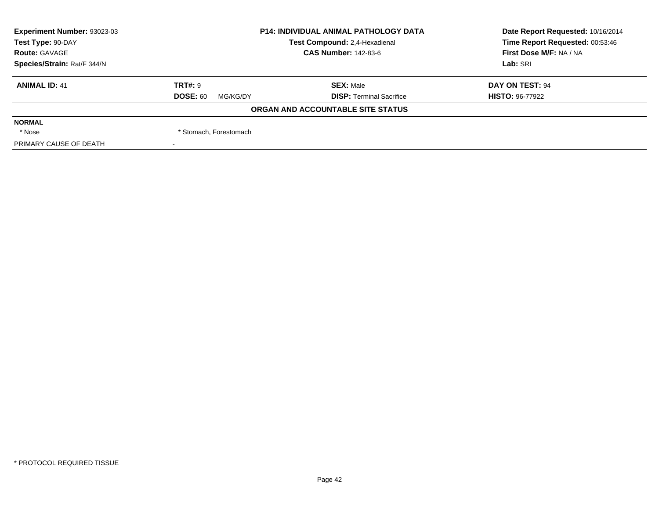| Experiment Number: 93023-03 |                             | <b>P14: INDIVIDUAL ANIMAL PATHOLOGY DATA</b> |                                 |  |
|-----------------------------|-----------------------------|----------------------------------------------|---------------------------------|--|
| Test Type: 90-DAY           |                             | Test Compound: 2,4-Hexadienal                | Time Report Requested: 00:53:46 |  |
| <b>Route: GAVAGE</b>        |                             | <b>CAS Number: 142-83-6</b>                  | First Dose M/F: NA / NA         |  |
| Species/Strain: Rat/F 344/N |                             |                                              | Lab: SRI                        |  |
| <b>ANIMAL ID: 41</b>        | <b>TRT#: 9</b>              | <b>SEX: Male</b>                             | DAY ON TEST: 94                 |  |
|                             | <b>DOSE: 60</b><br>MG/KG/DY | <b>DISP: Terminal Sacrifice</b>              | <b>HISTO: 96-77922</b>          |  |
|                             |                             | ORGAN AND ACCOUNTABLE SITE STATUS            |                                 |  |
| <b>NORMAL</b>               |                             |                                              |                                 |  |
| * Nose                      | * Stomach, Forestomach      |                                              |                                 |  |
| PRIMARY CAUSE OF DEATH      |                             |                                              |                                 |  |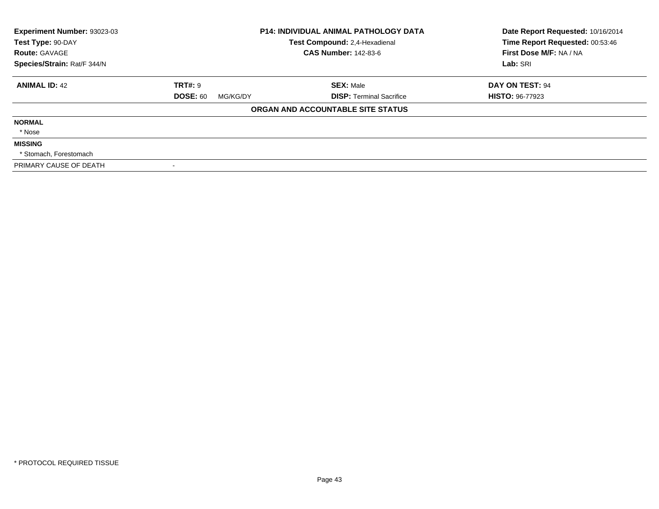| Experiment Number: 93023-03<br>Test Type: 90-DAY | <b>P14: INDIVIDUAL ANIMAL PATHOLOGY DATA</b><br>Test Compound: 2,4-Hexadienal |                                   | Date Report Requested: 10/16/2014<br>Time Report Requested: 00:53:46 |
|--------------------------------------------------|-------------------------------------------------------------------------------|-----------------------------------|----------------------------------------------------------------------|
| <b>Route: GAVAGE</b>                             |                                                                               | <b>CAS Number: 142-83-6</b>       | First Dose M/F: NA / NA                                              |
| Species/Strain: Rat/F 344/N                      |                                                                               |                                   | Lab: SRI                                                             |
| <b>ANIMAL ID: 42</b>                             | <b>TRT#: 9</b>                                                                | <b>SEX: Male</b>                  | DAY ON TEST: 94                                                      |
|                                                  | <b>DOSE: 60</b><br>MG/KG/DY                                                   | <b>DISP:</b> Terminal Sacrifice   | <b>HISTO: 96-77923</b>                                               |
|                                                  |                                                                               | ORGAN AND ACCOUNTABLE SITE STATUS |                                                                      |
| <b>NORMAL</b>                                    |                                                                               |                                   |                                                                      |
| * Nose                                           |                                                                               |                                   |                                                                      |
| <b>MISSING</b>                                   |                                                                               |                                   |                                                                      |
| * Stomach, Forestomach                           |                                                                               |                                   |                                                                      |
| PRIMARY CAUSE OF DEATH                           |                                                                               |                                   |                                                                      |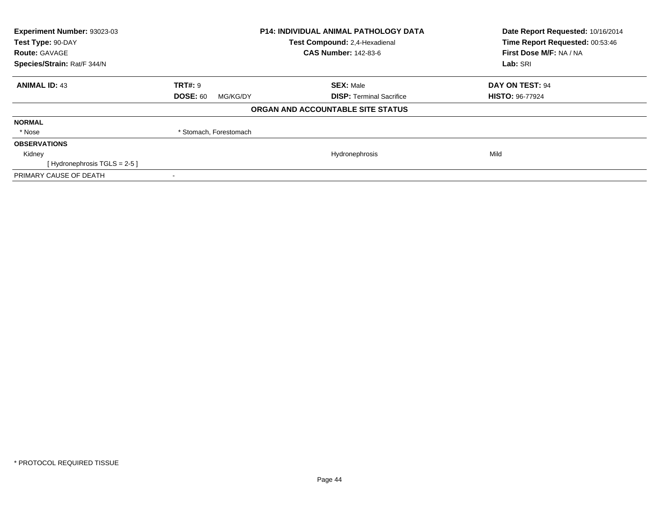| Experiment Number: 93023-03<br>Test Type: 90-DAY | <b>P14: INDIVIDUAL ANIMAL PATHOLOGY DATA</b><br>Test Compound: 2,4-Hexadienal |                                   | Date Report Requested: 10/16/2014<br>Time Report Requested: 00:53:46 |  |
|--------------------------------------------------|-------------------------------------------------------------------------------|-----------------------------------|----------------------------------------------------------------------|--|
| <b>Route: GAVAGE</b>                             |                                                                               | <b>CAS Number: 142-83-6</b>       | First Dose M/F: NA / NA                                              |  |
| Species/Strain: Rat/F 344/N                      |                                                                               |                                   | Lab: SRI                                                             |  |
| <b>ANIMAL ID: 43</b>                             | <b>TRT#: 9</b>                                                                | <b>SEX: Male</b>                  | DAY ON TEST: 94                                                      |  |
|                                                  | <b>DOSE: 60</b><br>MG/KG/DY                                                   | <b>DISP:</b> Terminal Sacrifice   | <b>HISTO: 96-77924</b>                                               |  |
|                                                  |                                                                               | ORGAN AND ACCOUNTABLE SITE STATUS |                                                                      |  |
| <b>NORMAL</b>                                    |                                                                               |                                   |                                                                      |  |
| * Nose                                           | * Stomach, Forestomach                                                        |                                   |                                                                      |  |
| <b>OBSERVATIONS</b>                              |                                                                               |                                   |                                                                      |  |
| Kidney                                           |                                                                               | Hydronephrosis                    | Mild                                                                 |  |
| [Hydronephrosis $TGLS = 2-5$ ]                   |                                                                               |                                   |                                                                      |  |
| PRIMARY CAUSE OF DEATH                           |                                                                               |                                   |                                                                      |  |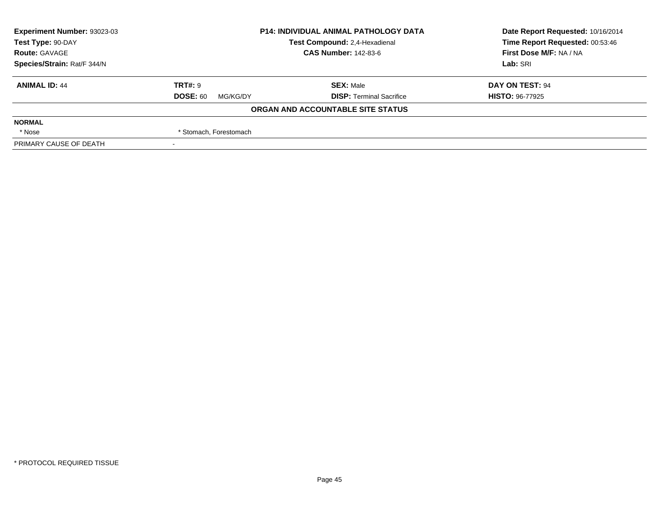| Experiment Number: 93023-03 | <b>P14: INDIVIDUAL ANIMAL PATHOLOGY DATA</b> |                                   | Date Report Requested: 10/16/2014 |  |
|-----------------------------|----------------------------------------------|-----------------------------------|-----------------------------------|--|
| Test Type: 90-DAY           |                                              | Test Compound: 2,4-Hexadienal     | Time Report Requested: 00:53:46   |  |
| <b>Route: GAVAGE</b>        |                                              | <b>CAS Number: 142-83-6</b>       |                                   |  |
| Species/Strain: Rat/F 344/N |                                              |                                   | Lab: SRI                          |  |
| <b>ANIMAL ID: 44</b>        | <b>TRT#: 9</b>                               | <b>SEX: Male</b>                  | DAY ON TEST: 94                   |  |
|                             | <b>DOSE: 60</b><br>MG/KG/DY                  | <b>DISP: Terminal Sacrifice</b>   | <b>HISTO: 96-77925</b>            |  |
|                             |                                              | ORGAN AND ACCOUNTABLE SITE STATUS |                                   |  |
| <b>NORMAL</b>               |                                              |                                   |                                   |  |
| * Nose                      | * Stomach, Forestomach                       |                                   |                                   |  |
| PRIMARY CAUSE OF DEATH      |                                              |                                   |                                   |  |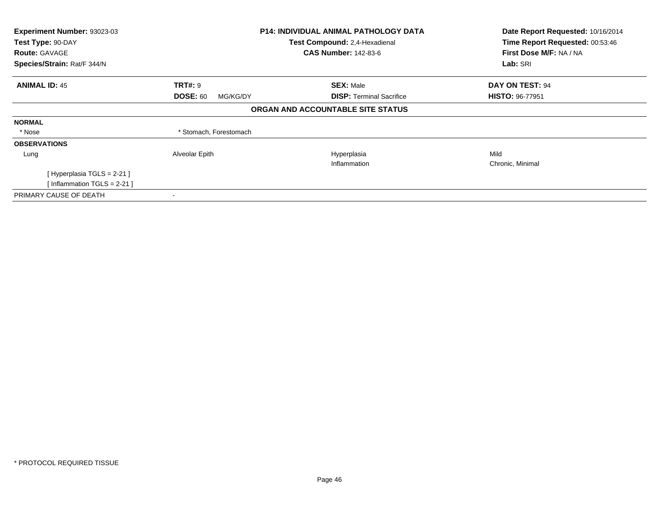| Experiment Number: 93023-03   |                             | <b>P14: INDIVIDUAL ANIMAL PATHOLOGY DATA</b> | Date Report Requested: 10/16/2014 |
|-------------------------------|-----------------------------|----------------------------------------------|-----------------------------------|
| Test Type: 90-DAY             |                             | Test Compound: 2,4-Hexadienal                | Time Report Requested: 00:53:46   |
| <b>Route: GAVAGE</b>          |                             | <b>CAS Number: 142-83-6</b>                  | First Dose M/F: NA / NA           |
| Species/Strain: Rat/F 344/N   |                             |                                              | Lab: SRI                          |
| <b>ANIMAL ID: 45</b>          | <b>TRT#: 9</b>              | <b>SEX: Male</b>                             | DAY ON TEST: 94                   |
|                               | <b>DOSE: 60</b><br>MG/KG/DY | <b>DISP:</b> Terminal Sacrifice              | <b>HISTO: 96-77951</b>            |
|                               |                             | ORGAN AND ACCOUNTABLE SITE STATUS            |                                   |
| <b>NORMAL</b>                 |                             |                                              |                                   |
| * Nose                        | * Stomach, Forestomach      |                                              |                                   |
| <b>OBSERVATIONS</b>           |                             |                                              |                                   |
| Lung                          | Alveolar Epith              | Hyperplasia                                  | Mild                              |
|                               |                             | Inflammation                                 | Chronic, Minimal                  |
| [Hyperplasia TGLS = 2-21]     |                             |                                              |                                   |
| [Inflammation TGLS = $2-21$ ] |                             |                                              |                                   |
| PRIMARY CAUSE OF DEATH        |                             |                                              |                                   |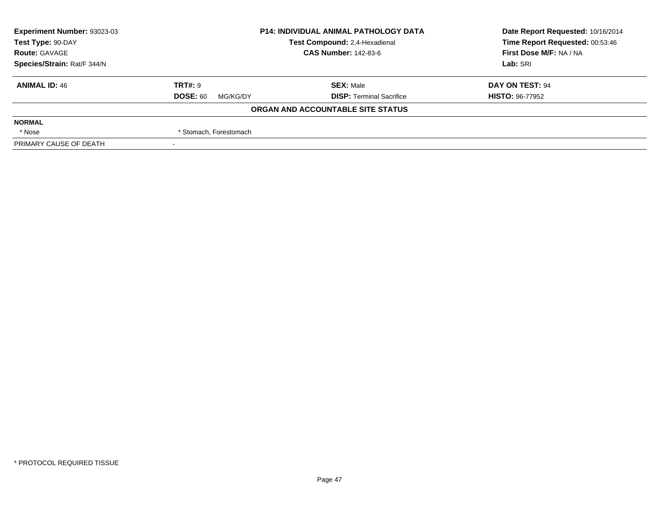| Experiment Number: 93023-03 |                             | <b>P14: INDIVIDUAL ANIMAL PATHOLOGY DATA</b> |                                 |  |
|-----------------------------|-----------------------------|----------------------------------------------|---------------------------------|--|
| Test Type: 90-DAY           |                             | Test Compound: 2,4-Hexadienal                | Time Report Requested: 00:53:46 |  |
| <b>Route: GAVAGE</b>        |                             | <b>CAS Number: 142-83-6</b>                  |                                 |  |
| Species/Strain: Rat/F 344/N |                             |                                              | Lab: SRI                        |  |
| <b>ANIMAL ID: 46</b>        | <b>TRT#: 9</b>              | <b>SEX: Male</b>                             | DAY ON TEST: 94                 |  |
|                             | <b>DOSE: 60</b><br>MG/KG/DY | <b>DISP: Terminal Sacrifice</b>              | <b>HISTO: 96-77952</b>          |  |
|                             |                             | ORGAN AND ACCOUNTABLE SITE STATUS            |                                 |  |
| <b>NORMAL</b>               |                             |                                              |                                 |  |
| * Nose                      | * Stomach, Forestomach      |                                              |                                 |  |
| PRIMARY CAUSE OF DEATH      |                             |                                              |                                 |  |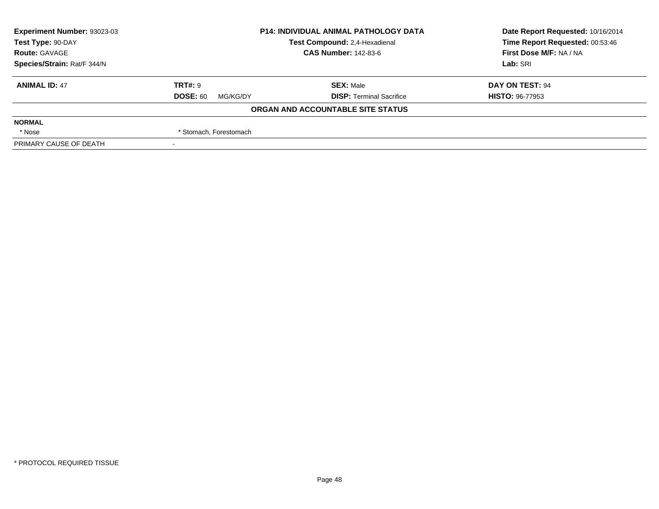| Experiment Number: 93023-03 | <b>P14: INDIVIDUAL ANIMAL PATHOLOGY DATA</b> |                                   | Date Report Requested: 10/16/2014 |  |
|-----------------------------|----------------------------------------------|-----------------------------------|-----------------------------------|--|
| Test Type: 90-DAY           |                                              | Test Compound: 2,4-Hexadienal     | Time Report Requested: 00:53:46   |  |
| <b>Route: GAVAGE</b>        |                                              | <b>CAS Number: 142-83-6</b>       | First Dose M/F: NA / NA           |  |
| Species/Strain: Rat/F 344/N |                                              |                                   | Lab: SRI                          |  |
| <b>ANIMAL ID: 47</b>        | <b>TRT#: 9</b>                               | <b>SEX: Male</b>                  | DAY ON TEST: 94                   |  |
|                             | <b>DOSE: 60</b><br>MG/KG/DY                  | <b>DISP: Terminal Sacrifice</b>   | <b>HISTO: 96-77953</b>            |  |
|                             |                                              | ORGAN AND ACCOUNTABLE SITE STATUS |                                   |  |
| <b>NORMAL</b>               |                                              |                                   |                                   |  |
| * Nose                      | * Stomach, Forestomach                       |                                   |                                   |  |
| PRIMARY CAUSE OF DEATH      |                                              |                                   |                                   |  |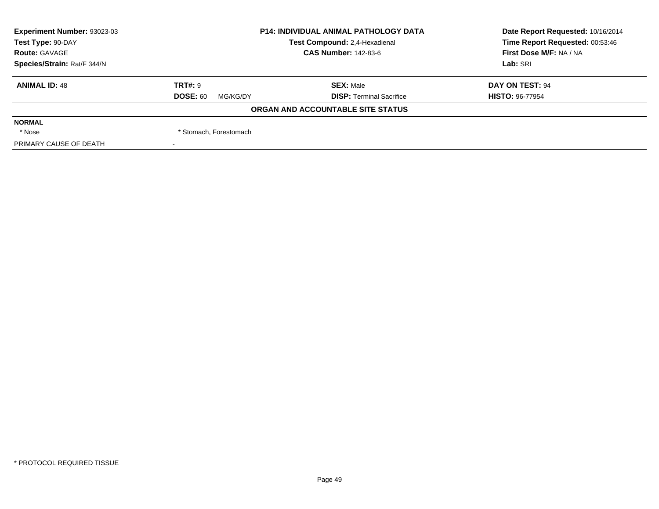| Experiment Number: 93023-03 | <b>P14: INDIVIDUAL ANIMAL PATHOLOGY DATA</b> |                                   | Date Report Requested: 10/16/2014 |
|-----------------------------|----------------------------------------------|-----------------------------------|-----------------------------------|
| Test Type: 90-DAY           |                                              | Test Compound: 2,4-Hexadienal     | Time Report Requested: 00:53:46   |
| <b>Route: GAVAGE</b>        | <b>CAS Number: 142-83-6</b>                  |                                   | First Dose M/F: NA / NA           |
| Species/Strain: Rat/F 344/N |                                              |                                   | Lab: SRI                          |
| <b>ANIMAL ID: 48</b>        | <b>TRT#: 9</b>                               | <b>SEX: Male</b>                  | DAY ON TEST: 94                   |
|                             | <b>DOSE: 60</b><br>MG/KG/DY                  | <b>DISP: Terminal Sacrifice</b>   | <b>HISTO: 96-77954</b>            |
|                             |                                              | ORGAN AND ACCOUNTABLE SITE STATUS |                                   |
| <b>NORMAL</b>               |                                              |                                   |                                   |
| * Nose                      | * Stomach, Forestomach                       |                                   |                                   |
| PRIMARY CAUSE OF DEATH      |                                              |                                   |                                   |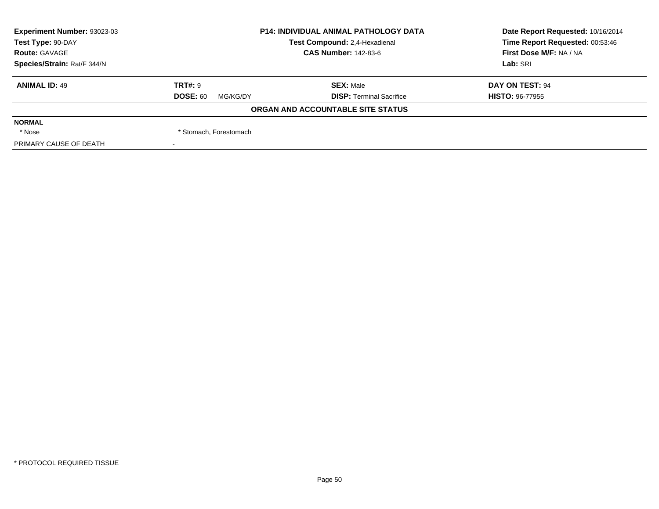| Experiment Number: 93023-03 | <b>P14: INDIVIDUAL ANIMAL PATHOLOGY DATA</b> |                                   | Date Report Requested: 10/16/2014 |
|-----------------------------|----------------------------------------------|-----------------------------------|-----------------------------------|
| Test Type: 90-DAY           |                                              | Test Compound: 2,4-Hexadienal     | Time Report Requested: 00:53:46   |
| <b>Route: GAVAGE</b>        | <b>CAS Number: 142-83-6</b>                  |                                   | First Dose M/F: NA / NA           |
| Species/Strain: Rat/F 344/N |                                              |                                   | Lab: SRI                          |
| <b>ANIMAL ID: 49</b>        | <b>TRT#: 9</b>                               | <b>SEX: Male</b>                  | DAY ON TEST: 94                   |
|                             | <b>DOSE: 60</b><br>MG/KG/DY                  | <b>DISP: Terminal Sacrifice</b>   | <b>HISTO: 96-77955</b>            |
|                             |                                              | ORGAN AND ACCOUNTABLE SITE STATUS |                                   |
| <b>NORMAL</b>               |                                              |                                   |                                   |
| * Nose                      | * Stomach, Forestomach                       |                                   |                                   |
| PRIMARY CAUSE OF DEATH      |                                              |                                   |                                   |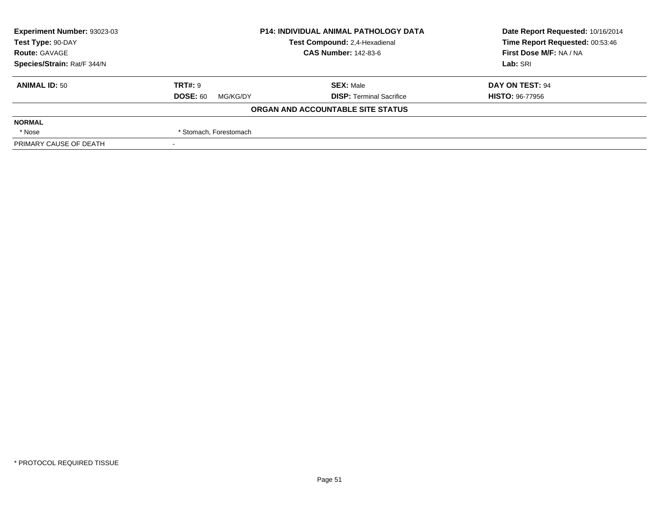| Experiment Number: 93023-03 | <b>P14: INDIVIDUAL ANIMAL PATHOLOGY DATA</b> |                                   | Date Report Requested: 10/16/2014 |
|-----------------------------|----------------------------------------------|-----------------------------------|-----------------------------------|
| Test Type: 90-DAY           |                                              | Test Compound: 2,4-Hexadienal     | Time Report Requested: 00:53:46   |
| <b>Route: GAVAGE</b>        |                                              | <b>CAS Number: 142-83-6</b>       | First Dose M/F: NA / NA           |
| Species/Strain: Rat/F 344/N |                                              |                                   | Lab: SRI                          |
| <b>ANIMAL ID: 50</b>        | <b>TRT#: 9</b>                               | <b>SEX: Male</b>                  | DAY ON TEST: 94                   |
|                             | <b>DOSE: 60</b><br>MG/KG/DY                  | <b>DISP: Terminal Sacrifice</b>   | <b>HISTO: 96-77956</b>            |
|                             |                                              | ORGAN AND ACCOUNTABLE SITE STATUS |                                   |
| <b>NORMAL</b>               |                                              |                                   |                                   |
| * Nose                      | * Stomach, Forestomach                       |                                   |                                   |
| PRIMARY CAUSE OF DEATH      |                                              |                                   |                                   |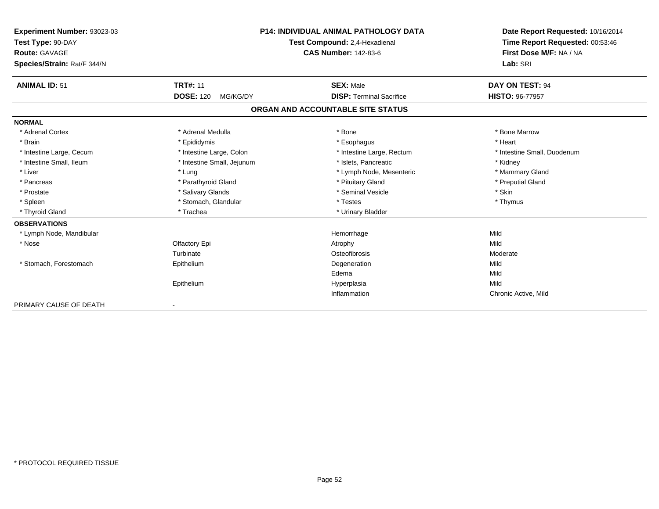| Experiment Number: 93023-03 |                              | <b>P14: INDIVIDUAL ANIMAL PATHOLOGY DATA</b> | Date Report Requested: 10/16/2014<br>Time Report Requested: 00:53:46 |
|-----------------------------|------------------------------|----------------------------------------------|----------------------------------------------------------------------|
| Test Type: 90-DAY           |                              | Test Compound: 2,4-Hexadienal                |                                                                      |
| Route: GAVAGE               |                              | <b>CAS Number: 142-83-6</b>                  | First Dose M/F: NA / NA                                              |
| Species/Strain: Rat/F 344/N |                              |                                              | Lab: SRI                                                             |
| <b>ANIMAL ID: 51</b>        | <b>TRT#: 11</b>              | <b>SEX: Male</b>                             | DAY ON TEST: 94                                                      |
|                             | <b>DOSE: 120</b><br>MG/KG/DY | <b>DISP: Terminal Sacrifice</b>              | <b>HISTO: 96-77957</b>                                               |
|                             |                              | ORGAN AND ACCOUNTABLE SITE STATUS            |                                                                      |
| <b>NORMAL</b>               |                              |                                              |                                                                      |
| * Adrenal Cortex            | * Adrenal Medulla            | * Bone                                       | * Bone Marrow                                                        |
| * Brain                     | * Epididymis                 | * Esophagus                                  | * Heart                                                              |
| * Intestine Large, Cecum    | * Intestine Large, Colon     | * Intestine Large, Rectum                    | * Intestine Small, Duodenum                                          |
| * Intestine Small. Ileum    | * Intestine Small, Jejunum   | * Islets, Pancreatic                         | * Kidney                                                             |
| * Liver                     | * Lung                       | * Lymph Node, Mesenteric                     | * Mammary Gland                                                      |
| * Pancreas                  | * Parathyroid Gland          | * Pituitary Gland                            | * Preputial Gland                                                    |
| * Prostate                  | * Salivary Glands            | * Seminal Vesicle                            | * Skin                                                               |
| * Spleen                    | * Stomach, Glandular         | * Testes                                     | * Thymus                                                             |
| * Thyroid Gland             | * Trachea                    | * Urinary Bladder                            |                                                                      |
| <b>OBSERVATIONS</b>         |                              |                                              |                                                                      |
| * Lymph Node, Mandibular    |                              | Hemorrhage                                   | Mild                                                                 |
| * Nose                      | Olfactory Epi                | Atrophy                                      | Mild                                                                 |
|                             | Turbinate                    | Osteofibrosis                                | Moderate                                                             |
| * Stomach, Forestomach      | Epithelium                   | Degeneration                                 | Mild                                                                 |
|                             |                              | Edema                                        | Mild                                                                 |
|                             | Epithelium                   | Hyperplasia                                  | Mild                                                                 |
|                             |                              | Inflammation                                 | Chronic Active, Mild                                                 |
| PRIMARY CAUSE OF DEATH      |                              |                                              |                                                                      |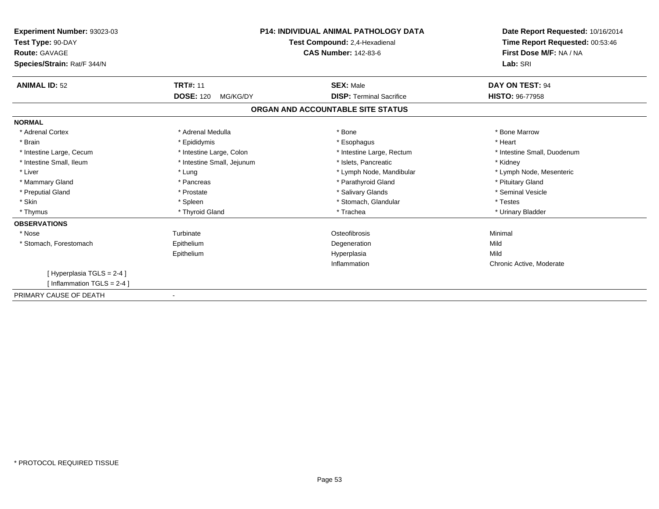| Experiment Number: 93023-03<br>Test Type: 90-DAY<br><b>Route: GAVAGE</b><br>Species/Strain: Rat/F 344/N |                              | <b>P14: INDIVIDUAL ANIMAL PATHOLOGY DATA</b><br>Test Compound: 2,4-Hexadienal<br><b>CAS Number: 142-83-6</b> | Date Report Requested: 10/16/2014<br>Time Report Requested: 00:53:46<br>First Dose M/F: NA / NA<br>Lab: SRI |
|---------------------------------------------------------------------------------------------------------|------------------------------|--------------------------------------------------------------------------------------------------------------|-------------------------------------------------------------------------------------------------------------|
| <b>ANIMAL ID: 52</b>                                                                                    | <b>TRT#: 11</b>              | <b>SEX: Male</b>                                                                                             | DAY ON TEST: 94                                                                                             |
|                                                                                                         | <b>DOSE: 120</b><br>MG/KG/DY | <b>DISP: Terminal Sacrifice</b>                                                                              | HISTO: 96-77958                                                                                             |
|                                                                                                         |                              | ORGAN AND ACCOUNTABLE SITE STATUS                                                                            |                                                                                                             |
| <b>NORMAL</b>                                                                                           |                              |                                                                                                              |                                                                                                             |
| * Adrenal Cortex                                                                                        | * Adrenal Medulla            | * Bone                                                                                                       | * Bone Marrow                                                                                               |
| * Brain                                                                                                 | * Epididymis                 | * Esophagus                                                                                                  | * Heart                                                                                                     |
| * Intestine Large, Cecum                                                                                | * Intestine Large, Colon     | * Intestine Large, Rectum                                                                                    | * Intestine Small, Duodenum                                                                                 |
| * Intestine Small, Ileum                                                                                | * Intestine Small, Jejunum   | * Islets, Pancreatic                                                                                         | * Kidney                                                                                                    |
| * Liver                                                                                                 | * Lung                       | * Lymph Node, Mandibular                                                                                     | * Lymph Node, Mesenteric                                                                                    |
| * Mammary Gland                                                                                         | * Pancreas                   | * Parathyroid Gland                                                                                          | * Pituitary Gland                                                                                           |
| * Preputial Gland                                                                                       | * Prostate                   | * Salivary Glands                                                                                            | * Seminal Vesicle                                                                                           |
| * Skin                                                                                                  | * Spleen                     | * Stomach, Glandular                                                                                         | * Testes                                                                                                    |
| * Thymus                                                                                                | * Thyroid Gland              | * Trachea                                                                                                    | * Urinary Bladder                                                                                           |
| <b>OBSERVATIONS</b>                                                                                     |                              |                                                                                                              |                                                                                                             |
| * Nose                                                                                                  | Turbinate                    | Osteofibrosis                                                                                                | Minimal                                                                                                     |
| * Stomach, Forestomach                                                                                  | Epithelium                   | Degeneration                                                                                                 | Mild                                                                                                        |
|                                                                                                         | Epithelium                   | Hyperplasia                                                                                                  | Mild                                                                                                        |
|                                                                                                         |                              | Inflammation                                                                                                 | Chronic Active, Moderate                                                                                    |
| [Hyperplasia TGLS = 2-4]<br>[Inflammation TGLS = $2-4$ ]                                                |                              |                                                                                                              |                                                                                                             |
| PRIMARY CAUSE OF DEATH                                                                                  |                              |                                                                                                              |                                                                                                             |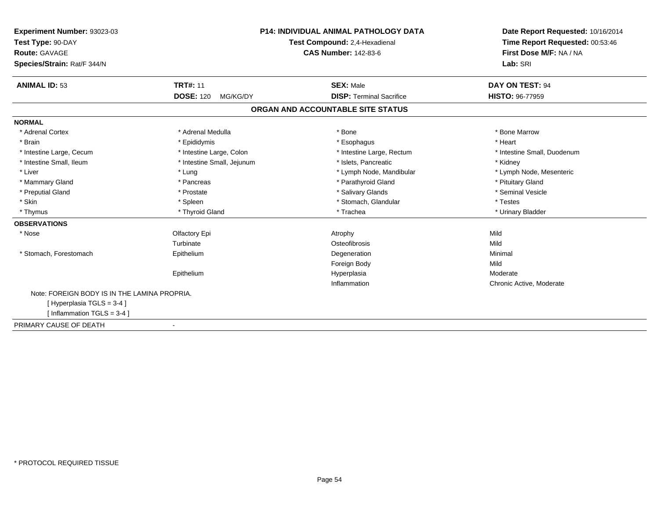| Experiment Number: 93023-03                  |                               | <b>P14: INDIVIDUAL ANIMAL PATHOLOGY DATA</b> | Date Report Requested: 10/16/2014 |
|----------------------------------------------|-------------------------------|----------------------------------------------|-----------------------------------|
| Test Type: 90-DAY                            | Test Compound: 2,4-Hexadienal |                                              | Time Report Requested: 00:53:46   |
| <b>Route: GAVAGE</b>                         |                               | <b>CAS Number: 142-83-6</b>                  | First Dose M/F: NA / NA           |
| Species/Strain: Rat/F 344/N                  |                               |                                              | Lab: SRI                          |
| <b>ANIMAL ID: 53</b>                         | <b>TRT#: 11</b>               | <b>SEX: Male</b>                             | <b>DAY ON TEST: 94</b>            |
|                                              | <b>DOSE: 120</b><br>MG/KG/DY  | <b>DISP: Terminal Sacrifice</b>              | HISTO: 96-77959                   |
|                                              |                               | ORGAN AND ACCOUNTABLE SITE STATUS            |                                   |
| <b>NORMAL</b>                                |                               |                                              |                                   |
| * Adrenal Cortex                             | * Adrenal Medulla             | * Bone                                       | * Bone Marrow                     |
| * Brain                                      | * Epididymis                  | * Esophagus                                  | * Heart                           |
| * Intestine Large, Cecum                     | * Intestine Large, Colon      | * Intestine Large, Rectum                    | * Intestine Small, Duodenum       |
| * Intestine Small, Ileum                     | * Intestine Small, Jejunum    | * Islets. Pancreatic                         | * Kidney                          |
| * Liver                                      | * Lung                        | * Lymph Node, Mandibular                     | * Lymph Node, Mesenteric          |
| * Mammary Gland                              | * Pancreas                    | * Parathyroid Gland                          | * Pituitary Gland                 |
| * Preputial Gland                            | * Prostate                    | * Salivary Glands                            | * Seminal Vesicle                 |
| * Skin                                       | * Spleen                      | * Stomach, Glandular                         | * Testes                          |
| * Thymus                                     | * Thyroid Gland               | * Trachea                                    | * Urinary Bladder                 |
| <b>OBSERVATIONS</b>                          |                               |                                              |                                   |
| * Nose                                       | Olfactory Epi                 | Atrophy                                      | Mild                              |
|                                              | Turbinate                     | Osteofibrosis                                | Mild                              |
| * Stomach, Forestomach                       | Epithelium                    | Degeneration                                 | Minimal                           |
|                                              |                               | Foreign Body                                 | Mild                              |
|                                              | Epithelium                    | Hyperplasia                                  | Moderate                          |
|                                              |                               | Inflammation                                 | Chronic Active, Moderate          |
| Note: FOREIGN BODY IS IN THE LAMINA PROPRIA. |                               |                                              |                                   |
| [Hyperplasia TGLS = 3-4]                     |                               |                                              |                                   |
| [Inflammation TGLS = $3-4$ ]                 |                               |                                              |                                   |
| PRIMARY CAUSE OF DEATH                       | $\blacksquare$                |                                              |                                   |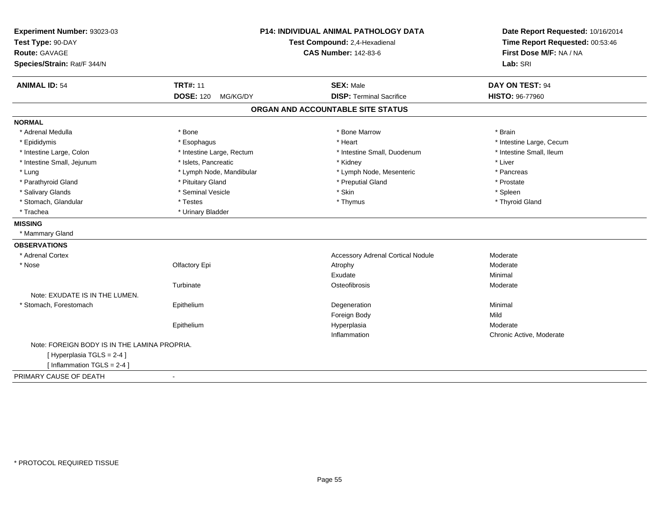| Experiment Number: 93023-03<br>Test Type: 90-DAY<br>Route: GAVAGE<br>Species/Strain: Rat/F 344/N |                                                 | P14: INDIVIDUAL ANIMAL PATHOLOGY DATA<br>Test Compound: 2,4-Hexadienal<br><b>CAS Number: 142-83-6</b> | Date Report Requested: 10/16/2014<br>Time Report Requested: 00:53:46<br>First Dose M/F: NA / NA<br>Lab: SRI |
|--------------------------------------------------------------------------------------------------|-------------------------------------------------|-------------------------------------------------------------------------------------------------------|-------------------------------------------------------------------------------------------------------------|
| <b>ANIMAL ID: 54</b>                                                                             | <b>TRT#: 11</b><br><b>DOSE: 120</b><br>MG/KG/DY | <b>SEX: Male</b><br><b>DISP: Terminal Sacrifice</b>                                                   | DAY ON TEST: 94<br><b>HISTO: 96-77960</b>                                                                   |
|                                                                                                  |                                                 |                                                                                                       |                                                                                                             |
|                                                                                                  |                                                 | ORGAN AND ACCOUNTABLE SITE STATUS                                                                     |                                                                                                             |
| <b>NORMAL</b>                                                                                    |                                                 |                                                                                                       |                                                                                                             |
| * Adrenal Medulla                                                                                | * Bone                                          | * Bone Marrow                                                                                         | * Brain                                                                                                     |
| * Epididymis                                                                                     | * Esophagus                                     | * Heart                                                                                               | * Intestine Large, Cecum                                                                                    |
| * Intestine Large, Colon                                                                         | * Intestine Large, Rectum                       | * Intestine Small, Duodenum                                                                           | * Intestine Small, Ileum                                                                                    |
| * Intestine Small, Jejunum                                                                       | * Islets, Pancreatic                            | * Kidney                                                                                              | * Liver                                                                                                     |
| * Lung                                                                                           | * Lymph Node, Mandibular                        | * Lymph Node, Mesenteric                                                                              | * Pancreas                                                                                                  |
| * Parathyroid Gland                                                                              | * Pituitary Gland                               | * Preputial Gland                                                                                     | * Prostate                                                                                                  |
| * Salivary Glands                                                                                | * Seminal Vesicle                               | * Skin                                                                                                | * Spleen                                                                                                    |
| * Stomach, Glandular                                                                             | * Testes                                        | * Thymus                                                                                              | * Thyroid Gland                                                                                             |
| * Trachea                                                                                        | * Urinary Bladder                               |                                                                                                       |                                                                                                             |
| <b>MISSING</b>                                                                                   |                                                 |                                                                                                       |                                                                                                             |
| * Mammary Gland                                                                                  |                                                 |                                                                                                       |                                                                                                             |
| <b>OBSERVATIONS</b>                                                                              |                                                 |                                                                                                       |                                                                                                             |
| * Adrenal Cortex                                                                                 |                                                 | <b>Accessory Adrenal Cortical Nodule</b>                                                              | Moderate                                                                                                    |
| * Nose                                                                                           | Olfactory Epi                                   | Atrophy                                                                                               | Moderate                                                                                                    |
|                                                                                                  |                                                 | Exudate                                                                                               | Minimal                                                                                                     |
|                                                                                                  | Turbinate                                       | Osteofibrosis                                                                                         | Moderate                                                                                                    |
| Note: EXUDATE IS IN THE LUMEN.                                                                   |                                                 |                                                                                                       |                                                                                                             |
| * Stomach, Forestomach                                                                           | Epithelium                                      | Degeneration                                                                                          | Minimal                                                                                                     |
|                                                                                                  |                                                 | Foreign Body                                                                                          | Mild                                                                                                        |
|                                                                                                  | Epithelium                                      | Hyperplasia                                                                                           | Moderate                                                                                                    |
|                                                                                                  |                                                 | Inflammation                                                                                          | Chronic Active, Moderate                                                                                    |
| Note: FOREIGN BODY IS IN THE LAMINA PROPRIA.                                                     |                                                 |                                                                                                       |                                                                                                             |
| [Hyperplasia TGLS = 2-4]                                                                         |                                                 |                                                                                                       |                                                                                                             |
| [Inflammation TGLS = $2-4$ ]                                                                     |                                                 |                                                                                                       |                                                                                                             |
| PRIMARY CAUSE OF DEATH                                                                           | $\blacksquare$                                  |                                                                                                       |                                                                                                             |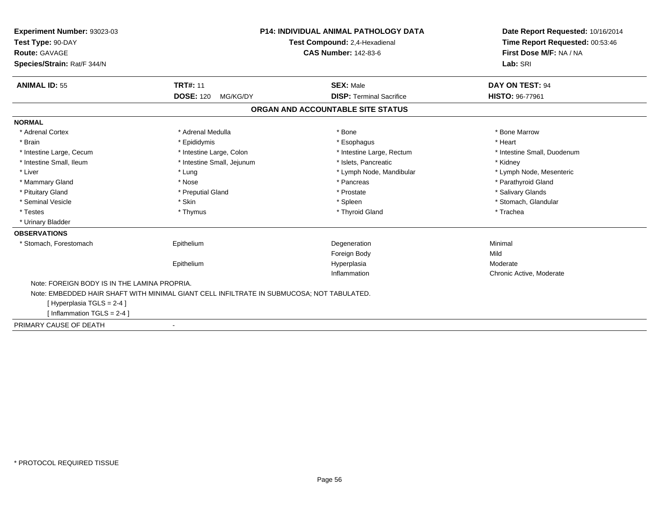| <b>Experiment Number: 93023-03</b><br>Test Type: 90-DAY<br>Route: GAVAGE                  |                              | <b>P14: INDIVIDUAL ANIMAL PATHOLOGY DATA</b><br>Test Compound: 2,4-Hexadienal<br><b>CAS Number: 142-83-6</b> | Date Report Requested: 10/16/2014<br>Time Report Requested: 00:53:46<br>First Dose M/F: NA / NA |
|-------------------------------------------------------------------------------------------|------------------------------|--------------------------------------------------------------------------------------------------------------|-------------------------------------------------------------------------------------------------|
| Species/Strain: Rat/F 344/N                                                               |                              |                                                                                                              | Lab: SRI                                                                                        |
| <b>ANIMAL ID: 55</b>                                                                      | <b>TRT#: 11</b>              | <b>SEX: Male</b>                                                                                             | <b>DAY ON TEST: 94</b>                                                                          |
|                                                                                           | <b>DOSE: 120</b><br>MG/KG/DY | <b>DISP: Terminal Sacrifice</b>                                                                              | <b>HISTO: 96-77961</b>                                                                          |
|                                                                                           |                              | ORGAN AND ACCOUNTABLE SITE STATUS                                                                            |                                                                                                 |
| <b>NORMAL</b>                                                                             |                              |                                                                                                              |                                                                                                 |
| * Adrenal Cortex                                                                          | * Adrenal Medulla            | * Bone                                                                                                       | * Bone Marrow                                                                                   |
| * Brain                                                                                   | * Epididymis                 | * Esophagus                                                                                                  | * Heart                                                                                         |
| * Intestine Large, Cecum                                                                  | * Intestine Large, Colon     | * Intestine Large, Rectum                                                                                    | * Intestine Small, Duodenum                                                                     |
| * Intestine Small. Ileum                                                                  | * Intestine Small, Jejunum   | * Islets. Pancreatic                                                                                         | * Kidney                                                                                        |
| * Liver                                                                                   | * Lung                       | * Lymph Node, Mandibular                                                                                     | * Lymph Node, Mesenteric                                                                        |
| * Mammary Gland                                                                           | * Nose                       | * Pancreas                                                                                                   | * Parathyroid Gland                                                                             |
| * Pituitary Gland                                                                         | * Preputial Gland            | * Prostate                                                                                                   | * Salivary Glands                                                                               |
| * Seminal Vesicle                                                                         | * Skin                       | * Spleen                                                                                                     | * Stomach, Glandular                                                                            |
| * Testes                                                                                  | * Thymus                     | * Thyroid Gland                                                                                              | * Trachea                                                                                       |
| * Urinary Bladder                                                                         |                              |                                                                                                              |                                                                                                 |
| <b>OBSERVATIONS</b>                                                                       |                              |                                                                                                              |                                                                                                 |
| * Stomach, Forestomach                                                                    | Epithelium                   | Degeneration                                                                                                 | Minimal                                                                                         |
|                                                                                           |                              | Foreign Body                                                                                                 | Mild                                                                                            |
|                                                                                           | Epithelium                   | Hyperplasia                                                                                                  | Moderate                                                                                        |
|                                                                                           |                              | Inflammation                                                                                                 | Chronic Active, Moderate                                                                        |
| Note: FOREIGN BODY IS IN THE LAMINA PROPRIA.                                              |                              |                                                                                                              |                                                                                                 |
| Note: EMBEDDED HAIR SHAFT WITH MINIMAL GIANT CELL INFILTRATE IN SUBMUCOSA; NOT TABULATED. |                              |                                                                                                              |                                                                                                 |
| [Hyperplasia TGLS = 2-4]                                                                  |                              |                                                                                                              |                                                                                                 |
| [Inflammation TGLS = $2-4$ ]                                                              |                              |                                                                                                              |                                                                                                 |
| PRIMARY CAUSE OF DEATH                                                                    | $\blacksquare$               |                                                                                                              |                                                                                                 |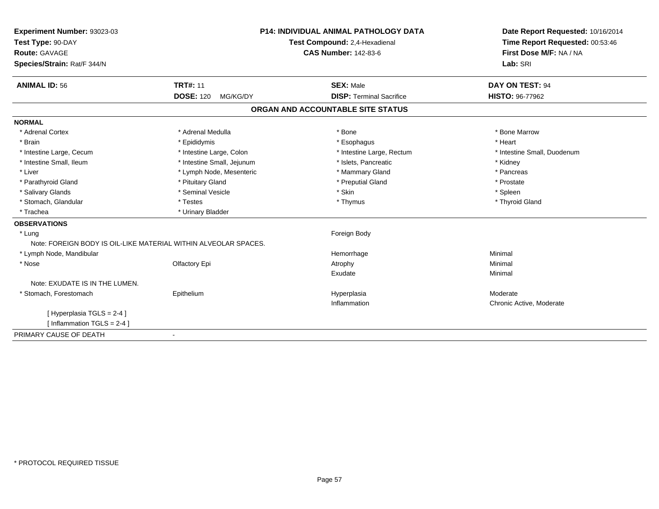| Experiment Number: 93023-03                                     |                              | <b>P14: INDIVIDUAL ANIMAL PATHOLOGY DATA</b> | Date Report Requested: 10/16/2014 |
|-----------------------------------------------------------------|------------------------------|----------------------------------------------|-----------------------------------|
| Test Type: 90-DAY                                               |                              | Test Compound: 2,4-Hexadienal                | Time Report Requested: 00:53:46   |
| <b>Route: GAVAGE</b>                                            |                              | <b>CAS Number: 142-83-6</b>                  | First Dose M/F: NA / NA           |
| Species/Strain: Rat/F 344/N                                     |                              |                                              | Lab: SRI                          |
| <b>ANIMAL ID: 56</b>                                            | <b>TRT#: 11</b>              | <b>SEX: Male</b>                             | DAY ON TEST: 94                   |
|                                                                 | <b>DOSE: 120</b><br>MG/KG/DY | <b>DISP: Terminal Sacrifice</b>              | <b>HISTO: 96-77962</b>            |
|                                                                 |                              | ORGAN AND ACCOUNTABLE SITE STATUS            |                                   |
| <b>NORMAL</b>                                                   |                              |                                              |                                   |
| * Adrenal Cortex                                                | * Adrenal Medulla            | * Bone                                       | * Bone Marrow                     |
| * Brain                                                         | * Epididymis                 | * Esophagus                                  | * Heart                           |
| * Intestine Large, Cecum                                        | * Intestine Large, Colon     | * Intestine Large, Rectum                    | * Intestine Small, Duodenum       |
| * Intestine Small, Ileum                                        | * Intestine Small, Jejunum   | * Islets, Pancreatic                         | * Kidney                          |
| * Liver                                                         | * Lymph Node, Mesenteric     | * Mammary Gland                              | * Pancreas                        |
| * Parathyroid Gland                                             | * Pituitary Gland            | * Preputial Gland                            | * Prostate                        |
| * Salivary Glands                                               | * Seminal Vesicle            | * Skin                                       | * Spleen                          |
| * Stomach, Glandular                                            | * Testes                     | * Thymus                                     | * Thyroid Gland                   |
| * Trachea                                                       | * Urinary Bladder            |                                              |                                   |
| <b>OBSERVATIONS</b>                                             |                              |                                              |                                   |
| * Lung                                                          |                              | Foreign Body                                 |                                   |
| Note: FOREIGN BODY IS OIL-LIKE MATERIAL WITHIN ALVEOLAR SPACES. |                              |                                              |                                   |
| * Lymph Node, Mandibular                                        |                              | Hemorrhage                                   | Minimal                           |
| * Nose                                                          | Olfactory Epi                | Atrophy                                      | Minimal                           |
|                                                                 |                              | Exudate                                      | Minimal                           |
| Note: EXUDATE IS IN THE LUMEN.                                  |                              |                                              |                                   |
| * Stomach, Forestomach                                          | Epithelium                   | Hyperplasia                                  | Moderate                          |
|                                                                 |                              | Inflammation                                 | Chronic Active, Moderate          |
| [Hyperplasia TGLS = 2-4]                                        |                              |                                              |                                   |
| [Inflammation $TGLS = 2-4$ ]                                    |                              |                                              |                                   |
| PRIMARY CAUSE OF DEATH                                          | $\blacksquare$               |                                              |                                   |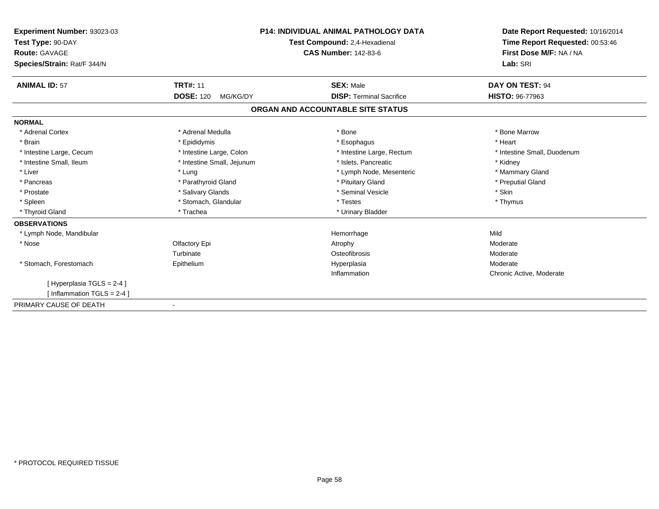| Experiment Number: 93023-03<br>Test Type: 90-DAY<br>Route: GAVAGE<br>Species/Strain: Rat/F 344/N |                              | <b>P14: INDIVIDUAL ANIMAL PATHOLOGY DATA</b><br>Test Compound: 2,4-Hexadienal<br><b>CAS Number: 142-83-6</b> | Date Report Requested: 10/16/2014<br>Time Report Requested: 00:53:46<br>First Dose M/F: NA / NA<br>Lab: SRI |
|--------------------------------------------------------------------------------------------------|------------------------------|--------------------------------------------------------------------------------------------------------------|-------------------------------------------------------------------------------------------------------------|
| <b>ANIMAL ID: 57</b>                                                                             | <b>TRT#: 11</b>              | <b>SEX: Male</b>                                                                                             | DAY ON TEST: 94                                                                                             |
|                                                                                                  | <b>DOSE: 120</b><br>MG/KG/DY | <b>DISP: Terminal Sacrifice</b>                                                                              | <b>HISTO: 96-77963</b>                                                                                      |
|                                                                                                  |                              | ORGAN AND ACCOUNTABLE SITE STATUS                                                                            |                                                                                                             |
| <b>NORMAL</b>                                                                                    |                              |                                                                                                              |                                                                                                             |
| * Adrenal Cortex                                                                                 | * Adrenal Medulla            | * Bone                                                                                                       | * Bone Marrow                                                                                               |
| * Brain                                                                                          | * Epididymis                 | * Esophagus                                                                                                  | * Heart                                                                                                     |
| * Intestine Large, Cecum                                                                         | * Intestine Large, Colon     | * Intestine Large, Rectum                                                                                    | * Intestine Small, Duodenum                                                                                 |
| * Intestine Small, Ileum                                                                         | * Intestine Small, Jejunum   | * Islets, Pancreatic                                                                                         | * Kidney                                                                                                    |
| * Liver                                                                                          | * Lung                       | * Lymph Node, Mesenteric                                                                                     | * Mammary Gland                                                                                             |
| * Pancreas                                                                                       | * Parathyroid Gland          | * Pituitary Gland                                                                                            | * Preputial Gland                                                                                           |
| * Prostate                                                                                       | * Salivary Glands            | * Seminal Vesicle                                                                                            | * Skin                                                                                                      |
| * Spleen                                                                                         | * Stomach, Glandular         | * Testes                                                                                                     | * Thymus                                                                                                    |
| * Thyroid Gland                                                                                  | * Trachea                    | * Urinary Bladder                                                                                            |                                                                                                             |
| <b>OBSERVATIONS</b>                                                                              |                              |                                                                                                              |                                                                                                             |
| * Lymph Node, Mandibular                                                                         |                              | Hemorrhage                                                                                                   | Mild                                                                                                        |
| * Nose                                                                                           | Olfactory Epi                | Atrophy                                                                                                      | Moderate                                                                                                    |
|                                                                                                  | Turbinate                    | Osteofibrosis                                                                                                | Moderate                                                                                                    |
| * Stomach, Forestomach                                                                           | Epithelium                   | Hyperplasia                                                                                                  | Moderate                                                                                                    |
|                                                                                                  |                              | Inflammation                                                                                                 | Chronic Active, Moderate                                                                                    |
| [Hyperplasia TGLS = 2-4]                                                                         |                              |                                                                                                              |                                                                                                             |
| [ Inflammation TGLS = $2-4$ ]                                                                    |                              |                                                                                                              |                                                                                                             |
| PRIMARY CAUSE OF DEATH                                                                           |                              |                                                                                                              |                                                                                                             |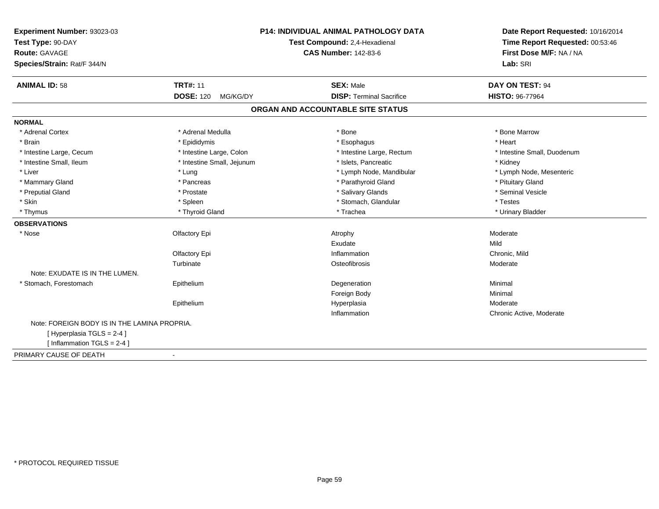| Experiment Number: 93023-03                            | P14: INDIVIDUAL ANIMAL PATHOLOGY DATA | Date Report Requested: 10/16/2014 |
|--------------------------------------------------------|---------------------------------------|-----------------------------------|
| Test Type: 90-DAY                                      | Test Compound: 2,4-Hexadienal         | Time Report Requested: 00:53:46   |
| <b>Route: GAVAGE</b>                                   | <b>CAS Number: 142-83-6</b>           | First Dose M/F: NA / NA           |
| Species/Strain: Rat/F 344/N                            |                                       | Lab: SRI                          |
| <b>TRT#: 11</b><br><b>ANIMAL ID: 58</b>                | <b>SEX: Male</b>                      | DAY ON TEST: 94                   |
| <b>DOSE: 120</b><br>MG/KG/DY                           | <b>DISP: Terminal Sacrifice</b>       | <b>HISTO: 96-77964</b>            |
|                                                        | ORGAN AND ACCOUNTABLE SITE STATUS     |                                   |
| <b>NORMAL</b>                                          |                                       |                                   |
| * Adrenal Cortex<br>* Adrenal Medulla                  | * Bone                                | * Bone Marrow                     |
| * Brain<br>* Epididymis                                | * Esophagus                           | * Heart                           |
| * Intestine Large, Cecum<br>* Intestine Large, Colon   | * Intestine Large, Rectum             | * Intestine Small, Duodenum       |
| * Intestine Small, Ileum<br>* Intestine Small, Jejunum | * Islets, Pancreatic                  | * Kidney                          |
| * Liver<br>* Lung                                      | * Lymph Node, Mandibular              | * Lymph Node, Mesenteric          |
| * Mammary Gland<br>* Pancreas                          | * Parathyroid Gland                   | * Pituitary Gland                 |
| * Preputial Gland<br>* Prostate                        | * Salivary Glands                     | * Seminal Vesicle                 |
| * Skin<br>* Spleen                                     | * Stomach, Glandular                  | * Testes                          |
| * Thyroid Gland<br>* Thymus                            | * Trachea                             | * Urinary Bladder                 |
| <b>OBSERVATIONS</b>                                    |                                       |                                   |
| Olfactory Epi<br>* Nose                                | Atrophy                               | Moderate                          |
|                                                        | Exudate                               | Mild                              |
| Olfactory Epi                                          | Inflammation                          | Chronic, Mild                     |
| Turbinate                                              | Osteofibrosis                         | Moderate                          |
| Note: EXUDATE IS IN THE LUMEN.                         |                                       |                                   |
| * Stomach, Forestomach<br>Epithelium                   | Degeneration                          | Minimal                           |
|                                                        | Foreign Body                          | Minimal                           |
| Epithelium                                             | Hyperplasia                           | Moderate                          |
|                                                        | Inflammation                          | Chronic Active, Moderate          |
| Note: FOREIGN BODY IS IN THE LAMINA PROPRIA.           |                                       |                                   |
| [Hyperplasia TGLS = 2-4]                               |                                       |                                   |
| [Inflammation TGLS = $2-4$ ]                           |                                       |                                   |
| PRIMARY CAUSE OF DEATH<br>$\blacksquare$               |                                       |                                   |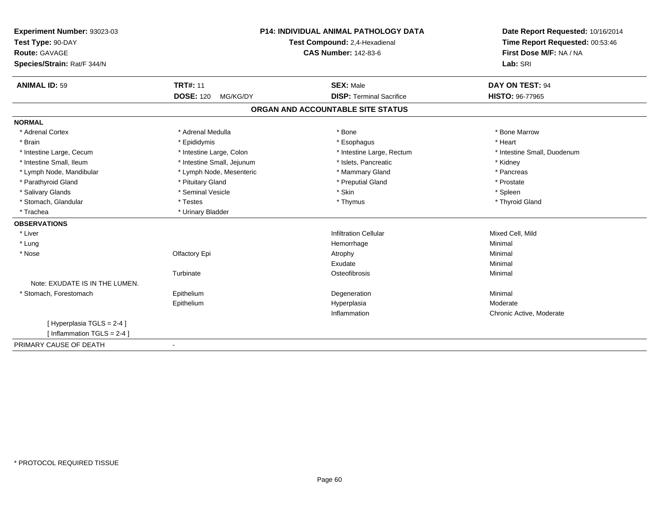| Experiment Number: 93023-03    |                               | P14: INDIVIDUAL ANIMAL PATHOLOGY DATA | Date Report Requested: 10/16/2014 |
|--------------------------------|-------------------------------|---------------------------------------|-----------------------------------|
| Test Type: 90-DAY              | Test Compound: 2,4-Hexadienal |                                       | Time Report Requested: 00:53:46   |
| <b>Route: GAVAGE</b>           |                               | <b>CAS Number: 142-83-6</b>           | First Dose M/F: NA / NA           |
| Species/Strain: Rat/F 344/N    |                               |                                       | Lab: SRI                          |
| <b>ANIMAL ID: 59</b>           | <b>TRT#: 11</b>               | <b>SEX: Male</b>                      | DAY ON TEST: 94                   |
|                                | <b>DOSE: 120</b><br>MG/KG/DY  | <b>DISP: Terminal Sacrifice</b>       | <b>HISTO: 96-77965</b>            |
|                                |                               | ORGAN AND ACCOUNTABLE SITE STATUS     |                                   |
| <b>NORMAL</b>                  |                               |                                       |                                   |
| * Adrenal Cortex               | * Adrenal Medulla             | $*$ Bone                              | * Bone Marrow                     |
| * Brain                        | * Epididymis                  | * Esophagus                           | * Heart                           |
| * Intestine Large, Cecum       | * Intestine Large, Colon      | * Intestine Large, Rectum             | * Intestine Small, Duodenum       |
| * Intestine Small, Ileum       | * Intestine Small, Jejunum    | * Islets, Pancreatic                  | * Kidney                          |
| * Lymph Node, Mandibular       | * Lymph Node, Mesenteric      | * Mammary Gland                       | * Pancreas                        |
| * Parathyroid Gland            | * Pituitary Gland             | * Preputial Gland                     | * Prostate                        |
| * Salivary Glands              | * Seminal Vesicle             | * Skin                                | * Spleen                          |
| * Stomach, Glandular           | * Testes                      | * Thymus                              | * Thyroid Gland                   |
| * Trachea                      | * Urinary Bladder             |                                       |                                   |
| <b>OBSERVATIONS</b>            |                               |                                       |                                   |
| * Liver                        |                               | <b>Infiltration Cellular</b>          | Mixed Cell, Mild                  |
| * Lung                         |                               | Hemorrhage                            | Minimal                           |
| * Nose                         | Olfactory Epi                 | Atrophy                               | Minimal                           |
|                                |                               | Exudate                               | Minimal                           |
|                                | Turbinate                     | Osteofibrosis                         | Minimal                           |
| Note: EXUDATE IS IN THE LUMEN. |                               |                                       |                                   |
| * Stomach, Forestomach         | Epithelium                    | Degeneration                          | Minimal                           |
|                                | Epithelium                    | Hyperplasia                           | Moderate                          |
|                                |                               | Inflammation                          | Chronic Active, Moderate          |
| [ Hyperplasia TGLS = 2-4 ]     |                               |                                       |                                   |
| [ Inflammation $TGLS = 2-4$ ]  |                               |                                       |                                   |
| PRIMARY CAUSE OF DEATH         |                               |                                       |                                   |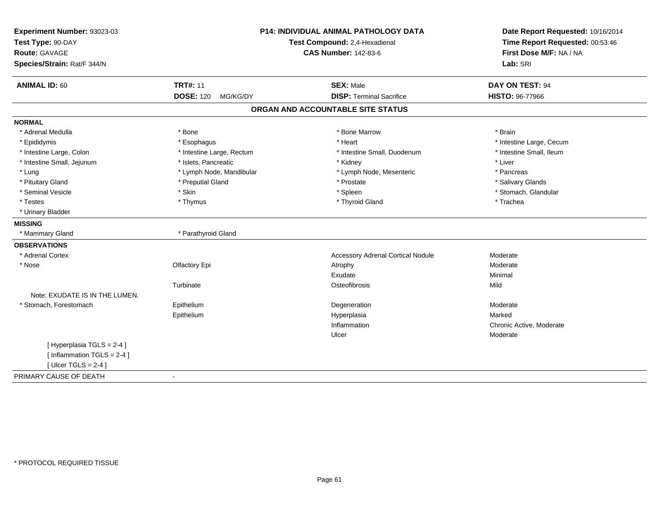|                                                                                    | <b>TRT#: 11</b>              |                                                     |                                           |
|------------------------------------------------------------------------------------|------------------------------|-----------------------------------------------------|-------------------------------------------|
| <b>ANIMAL ID: 60</b>                                                               | <b>DOSE: 120</b><br>MG/KG/DY | <b>SEX: Male</b><br><b>DISP: Terminal Sacrifice</b> | DAY ON TEST: 94<br><b>HISTO: 96-77966</b> |
|                                                                                    |                              | ORGAN AND ACCOUNTABLE SITE STATUS                   |                                           |
| <b>NORMAL</b>                                                                      |                              |                                                     |                                           |
| * Adrenal Medulla                                                                  | * Bone                       | * Bone Marrow                                       | * Brain                                   |
| * Epididymis                                                                       | * Esophagus                  | * Heart                                             | * Intestine Large, Cecum                  |
| * Intestine Large, Colon                                                           | * Intestine Large, Rectum    | * Intestine Small. Duodenum                         | * Intestine Small, Ileum                  |
| * Intestine Small, Jejunum                                                         | * Islets, Pancreatic         | * Kidney                                            | * Liver                                   |
| * Lung                                                                             | * Lymph Node, Mandibular     | * Lymph Node, Mesenteric                            | * Pancreas                                |
| * Pituitary Gland                                                                  | * Preputial Gland            | * Prostate                                          | * Salivary Glands                         |
| * Seminal Vesicle                                                                  | * Skin                       | * Spleen                                            | * Stomach, Glandular                      |
| * Testes                                                                           | * Thymus                     | * Thyroid Gland                                     | * Trachea                                 |
| * Urinary Bladder                                                                  |                              |                                                     |                                           |
| <b>MISSING</b>                                                                     |                              |                                                     |                                           |
| * Mammary Gland                                                                    | * Parathyroid Gland          |                                                     |                                           |
| <b>OBSERVATIONS</b>                                                                |                              |                                                     |                                           |
| * Adrenal Cortex                                                                   |                              | <b>Accessory Adrenal Cortical Nodule</b>            | Moderate                                  |
| * Nose                                                                             | Olfactory Epi                | Atrophy                                             | Moderate                                  |
|                                                                                    |                              | Exudate                                             | Minimal                                   |
|                                                                                    | Turbinate                    | Osteofibrosis                                       | Mild                                      |
| Note: EXUDATE IS IN THE LUMEN.                                                     |                              |                                                     |                                           |
| * Stomach, Forestomach                                                             | Epithelium                   | Degeneration                                        | Moderate                                  |
|                                                                                    | Epithelium                   | Hyperplasia                                         | Marked                                    |
|                                                                                    |                              | Inflammation                                        | Chronic Active, Moderate                  |
|                                                                                    |                              | Ulcer                                               | Moderate                                  |
| [Hyperplasia TGLS = 2-4]<br>[Inflammation TGLS = $2-4$ ]<br>[ Ulcer TGLS = $2-4$ ] |                              |                                                     |                                           |
| PRIMARY CAUSE OF DEATH                                                             | $\sim$                       |                                                     |                                           |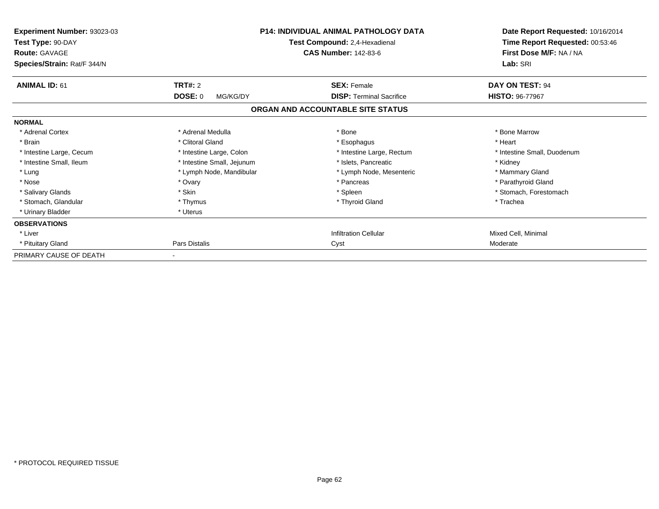| Experiment Number: 93023-03<br>Test Type: 90-DAY<br><b>Route: GAVAGE</b><br>Species/Strain: Rat/F 344/N | <b>P14: INDIVIDUAL ANIMAL PATHOLOGY DATA</b><br>Test Compound: 2,4-Hexadienal<br><b>CAS Number: 142-83-6</b> |                                   | Date Report Requested: 10/16/2014<br>Time Report Requested: 00:53:46<br>First Dose M/F: NA / NA<br>Lab: SRI |
|---------------------------------------------------------------------------------------------------------|--------------------------------------------------------------------------------------------------------------|-----------------------------------|-------------------------------------------------------------------------------------------------------------|
| <b>ANIMAL ID: 61</b>                                                                                    | TRT#: 2                                                                                                      | <b>SEX: Female</b>                | DAY ON TEST: 94                                                                                             |
|                                                                                                         | <b>DOSE: 0</b><br>MG/KG/DY                                                                                   | <b>DISP: Terminal Sacrifice</b>   | <b>HISTO: 96-77967</b>                                                                                      |
|                                                                                                         |                                                                                                              | ORGAN AND ACCOUNTABLE SITE STATUS |                                                                                                             |
| <b>NORMAL</b>                                                                                           |                                                                                                              |                                   |                                                                                                             |
| * Adrenal Cortex                                                                                        | * Adrenal Medulla                                                                                            | * Bone                            | * Bone Marrow                                                                                               |
| * Brain                                                                                                 | * Clitoral Gland                                                                                             | * Esophagus                       | * Heart                                                                                                     |
| * Intestine Large, Cecum                                                                                | * Intestine Large, Colon                                                                                     | * Intestine Large, Rectum         | * Intestine Small, Duodenum                                                                                 |
| * Intestine Small, Ileum                                                                                | * Intestine Small, Jejunum                                                                                   | * Islets, Pancreatic              | * Kidney                                                                                                    |
| * Lung                                                                                                  | * Lymph Node, Mandibular                                                                                     | * Lymph Node, Mesenteric          | * Mammary Gland                                                                                             |
| * Nose                                                                                                  | * Ovary                                                                                                      | * Pancreas                        | * Parathyroid Gland                                                                                         |
| * Salivary Glands                                                                                       | * Skin                                                                                                       | * Spleen                          | * Stomach, Forestomach                                                                                      |
| * Stomach, Glandular                                                                                    | * Thymus                                                                                                     | * Thyroid Gland                   | * Trachea                                                                                                   |
| * Urinary Bladder                                                                                       | * Uterus                                                                                                     |                                   |                                                                                                             |
| <b>OBSERVATIONS</b>                                                                                     |                                                                                                              |                                   |                                                                                                             |
| * Liver                                                                                                 |                                                                                                              | <b>Infiltration Cellular</b>      | Mixed Cell, Minimal                                                                                         |
| * Pituitary Gland                                                                                       | Pars Distalis                                                                                                | Cyst                              | Moderate                                                                                                    |
| PRIMARY CAUSE OF DEATH                                                                                  |                                                                                                              |                                   |                                                                                                             |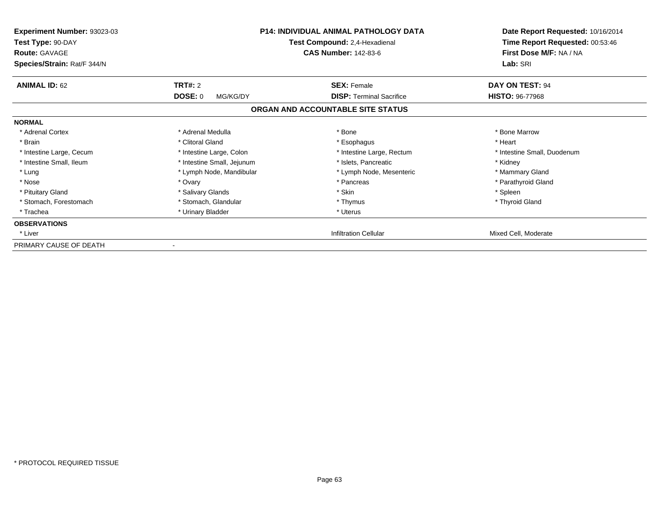| <b>Experiment Number: 93023-03</b><br>Test Type: 90-DAY<br><b>Route: GAVAGE</b><br>Species/Strain: Rat/F 344/N |                            | <b>P14: INDIVIDUAL ANIMAL PATHOLOGY DATA</b><br>Test Compound: 2,4-Hexadienal<br><b>CAS Number: 142-83-6</b> | Date Report Requested: 10/16/2014<br>Time Report Requested: 00:53:46<br>First Dose M/F: NA / NA<br>Lab: SRI |
|----------------------------------------------------------------------------------------------------------------|----------------------------|--------------------------------------------------------------------------------------------------------------|-------------------------------------------------------------------------------------------------------------|
| <b>ANIMAL ID: 62</b>                                                                                           | <b>TRT#: 2</b>             | <b>SEX: Female</b>                                                                                           | <b>DAY ON TEST: 94</b>                                                                                      |
|                                                                                                                | <b>DOSE: 0</b><br>MG/KG/DY | <b>DISP:</b> Terminal Sacrifice                                                                              | <b>HISTO: 96-77968</b>                                                                                      |
|                                                                                                                |                            | ORGAN AND ACCOUNTABLE SITE STATUS                                                                            |                                                                                                             |
| <b>NORMAL</b>                                                                                                  |                            |                                                                                                              |                                                                                                             |
| * Adrenal Cortex                                                                                               | * Adrenal Medulla          | * Bone                                                                                                       | * Bone Marrow                                                                                               |
| * Brain                                                                                                        | * Clitoral Gland           | * Esophagus                                                                                                  | * Heart                                                                                                     |
| * Intestine Large, Cecum                                                                                       | * Intestine Large, Colon   | * Intestine Large, Rectum                                                                                    | * Intestine Small, Duodenum                                                                                 |
| * Intestine Small, Ileum                                                                                       | * Intestine Small, Jejunum | * Islets, Pancreatic                                                                                         | * Kidney                                                                                                    |
| * Lung                                                                                                         | * Lymph Node, Mandibular   | * Lymph Node, Mesenteric                                                                                     | * Mammary Gland                                                                                             |
| * Nose                                                                                                         | * Ovary                    | * Pancreas                                                                                                   | * Parathyroid Gland                                                                                         |
| * Pituitary Gland                                                                                              | * Salivary Glands          | * Skin                                                                                                       | * Spleen                                                                                                    |
| * Stomach, Forestomach                                                                                         | * Stomach, Glandular       | * Thymus                                                                                                     | * Thyroid Gland                                                                                             |
| * Trachea                                                                                                      | * Urinary Bladder          | * Uterus                                                                                                     |                                                                                                             |
| <b>OBSERVATIONS</b>                                                                                            |                            |                                                                                                              |                                                                                                             |
| * Liver                                                                                                        |                            | <b>Infiltration Cellular</b>                                                                                 | Mixed Cell, Moderate                                                                                        |
| PRIMARY CAUSE OF DEATH                                                                                         |                            |                                                                                                              |                                                                                                             |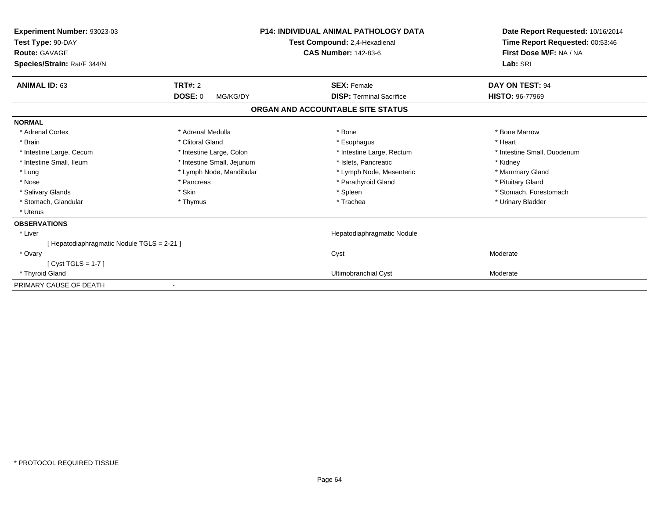| Experiment Number: 93023-03<br>Test Type: 90-DAY<br><b>Route: GAVAGE</b><br>Species/Strain: Rat/F 344/N | <b>P14: INDIVIDUAL ANIMAL PATHOLOGY DATA</b><br>Test Compound: 2,4-Hexadienal<br><b>CAS Number: 142-83-6</b> |                                   | Date Report Requested: 10/16/2014<br>Time Report Requested: 00:53:46<br>First Dose M/F: NA / NA<br>Lab: SRI |
|---------------------------------------------------------------------------------------------------------|--------------------------------------------------------------------------------------------------------------|-----------------------------------|-------------------------------------------------------------------------------------------------------------|
| <b>ANIMAL ID: 63</b>                                                                                    | TRT#: 2                                                                                                      | <b>SEX: Female</b>                | DAY ON TEST: 94                                                                                             |
|                                                                                                         | <b>DOSE: 0</b><br>MG/KG/DY                                                                                   | <b>DISP: Terminal Sacrifice</b>   | HISTO: 96-77969                                                                                             |
|                                                                                                         |                                                                                                              | ORGAN AND ACCOUNTABLE SITE STATUS |                                                                                                             |
| <b>NORMAL</b>                                                                                           |                                                                                                              |                                   |                                                                                                             |
| * Adrenal Cortex                                                                                        | * Adrenal Medulla                                                                                            | * Bone                            | * Bone Marrow                                                                                               |
| * Brain                                                                                                 | * Clitoral Gland                                                                                             | * Esophagus                       | * Heart                                                                                                     |
| * Intestine Large, Cecum                                                                                | * Intestine Large, Colon                                                                                     | * Intestine Large, Rectum         | * Intestine Small, Duodenum                                                                                 |
| * Intestine Small, Ileum                                                                                | * Intestine Small, Jejunum                                                                                   | * Islets, Pancreatic              | * Kidney                                                                                                    |
| * Lung                                                                                                  | * Lymph Node, Mandibular                                                                                     | * Lymph Node, Mesenteric          | * Mammary Gland                                                                                             |
| * Nose                                                                                                  | * Pancreas                                                                                                   | * Parathyroid Gland               | * Pituitary Gland                                                                                           |
| * Salivary Glands                                                                                       | * Skin                                                                                                       | * Spleen                          | * Stomach, Forestomach                                                                                      |
| * Stomach, Glandular                                                                                    | * Thymus                                                                                                     | * Trachea                         | * Urinary Bladder                                                                                           |
| * Uterus                                                                                                |                                                                                                              |                                   |                                                                                                             |
| <b>OBSERVATIONS</b>                                                                                     |                                                                                                              |                                   |                                                                                                             |
| * Liver                                                                                                 |                                                                                                              | Hepatodiaphragmatic Nodule        |                                                                                                             |
| [Hepatodiaphragmatic Nodule TGLS = 2-21]                                                                |                                                                                                              |                                   |                                                                                                             |
| * Ovary                                                                                                 |                                                                                                              | Cyst                              | Moderate                                                                                                    |
| $[Cyst TGLS = 1-7]$                                                                                     |                                                                                                              |                                   |                                                                                                             |
| * Thyroid Gland                                                                                         |                                                                                                              | Ultimobranchial Cyst              | Moderate                                                                                                    |
| PRIMARY CAUSE OF DEATH                                                                                  |                                                                                                              |                                   |                                                                                                             |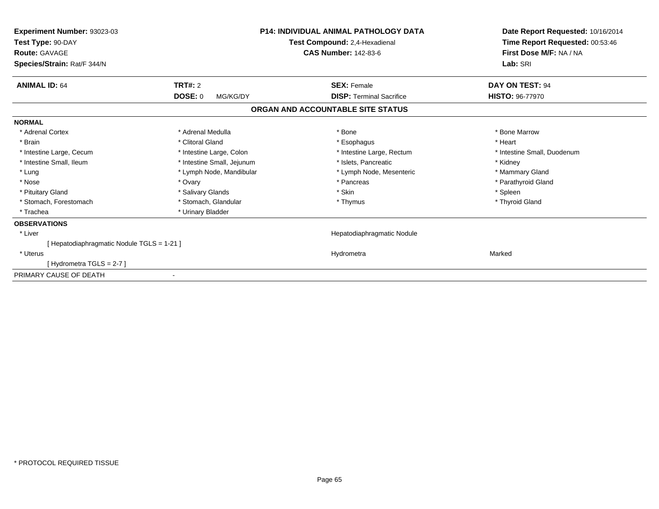| Experiment Number: 93023-03<br>Test Type: 90-DAY<br><b>Route: GAVAGE</b><br>Species/Strain: Rat/F 344/N | <b>P14: INDIVIDUAL ANIMAL PATHOLOGY DATA</b><br>Test Compound: 2,4-Hexadienal<br><b>CAS Number: 142-83-6</b> |                                   |                             |  | Date Report Requested: 10/16/2014<br>Time Report Requested: 00:53:46<br>First Dose M/F: NA / NA<br>Lab: SRI |
|---------------------------------------------------------------------------------------------------------|--------------------------------------------------------------------------------------------------------------|-----------------------------------|-----------------------------|--|-------------------------------------------------------------------------------------------------------------|
| <b>ANIMAL ID: 64</b>                                                                                    | <b>TRT#: 2</b>                                                                                               | <b>SEX: Female</b>                | DAY ON TEST: 94             |  |                                                                                                             |
|                                                                                                         | <b>DOSE: 0</b><br>MG/KG/DY                                                                                   | <b>DISP: Terminal Sacrifice</b>   | <b>HISTO: 96-77970</b>      |  |                                                                                                             |
|                                                                                                         |                                                                                                              | ORGAN AND ACCOUNTABLE SITE STATUS |                             |  |                                                                                                             |
| <b>NORMAL</b>                                                                                           |                                                                                                              |                                   |                             |  |                                                                                                             |
| * Adrenal Cortex                                                                                        | * Adrenal Medulla                                                                                            | * Bone                            | * Bone Marrow               |  |                                                                                                             |
| * Brain                                                                                                 | * Clitoral Gland                                                                                             | * Esophagus                       | * Heart                     |  |                                                                                                             |
| * Intestine Large, Cecum                                                                                | * Intestine Large, Colon                                                                                     | * Intestine Large, Rectum         | * Intestine Small, Duodenum |  |                                                                                                             |
| * Intestine Small, Ileum                                                                                | * Intestine Small, Jejunum                                                                                   | * Islets. Pancreatic              | * Kidney                    |  |                                                                                                             |
| * Lung                                                                                                  | * Lymph Node, Mandibular                                                                                     | * Lymph Node, Mesenteric          | * Mammary Gland             |  |                                                                                                             |
| * Nose                                                                                                  | * Ovary                                                                                                      | * Pancreas                        | * Parathyroid Gland         |  |                                                                                                             |
| * Pituitary Gland                                                                                       | * Salivary Glands                                                                                            | * Skin                            | * Spleen                    |  |                                                                                                             |
| * Stomach, Forestomach                                                                                  | * Stomach, Glandular                                                                                         | * Thymus                          | * Thyroid Gland             |  |                                                                                                             |
| * Trachea                                                                                               | * Urinary Bladder                                                                                            |                                   |                             |  |                                                                                                             |
| <b>OBSERVATIONS</b>                                                                                     |                                                                                                              |                                   |                             |  |                                                                                                             |
| * Liver                                                                                                 |                                                                                                              | Hepatodiaphragmatic Nodule        |                             |  |                                                                                                             |
| [ Hepatodiaphragmatic Nodule TGLS = 1-21 ]                                                              |                                                                                                              |                                   |                             |  |                                                                                                             |
| * Uterus                                                                                                |                                                                                                              | Hydrometra                        | Marked                      |  |                                                                                                             |
| [Hydrometra TGLS = 2-7]                                                                                 |                                                                                                              |                                   |                             |  |                                                                                                             |
| PRIMARY CAUSE OF DEATH                                                                                  |                                                                                                              |                                   |                             |  |                                                                                                             |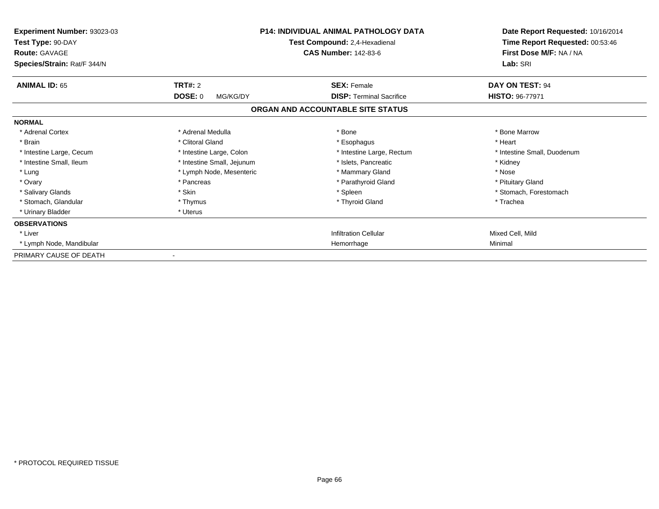| Experiment Number: 93023-03<br>Test Type: 90-DAY<br><b>Route: GAVAGE</b><br>Species/Strain: Rat/F 344/N | <b>P14: INDIVIDUAL ANIMAL PATHOLOGY DATA</b><br>Test Compound: 2,4-Hexadienal<br><b>CAS Number: 142-83-6</b> |                                   | Date Report Requested: 10/16/2014<br>Time Report Requested: 00:53:46<br>First Dose M/F: NA / NA<br>Lab: SRI |
|---------------------------------------------------------------------------------------------------------|--------------------------------------------------------------------------------------------------------------|-----------------------------------|-------------------------------------------------------------------------------------------------------------|
| <b>ANIMAL ID: 65</b>                                                                                    | TRT#: 2                                                                                                      | <b>SEX: Female</b>                | <b>DAY ON TEST: 94</b>                                                                                      |
|                                                                                                         | <b>DOSE: 0</b><br>MG/KG/DY                                                                                   | <b>DISP: Terminal Sacrifice</b>   | <b>HISTO: 96-77971</b>                                                                                      |
|                                                                                                         |                                                                                                              | ORGAN AND ACCOUNTABLE SITE STATUS |                                                                                                             |
| <b>NORMAL</b>                                                                                           |                                                                                                              |                                   |                                                                                                             |
| * Adrenal Cortex                                                                                        | * Adrenal Medulla                                                                                            | * Bone                            | * Bone Marrow                                                                                               |
| * Brain                                                                                                 | * Clitoral Gland                                                                                             | * Esophagus                       | * Heart                                                                                                     |
| * Intestine Large, Cecum                                                                                | * Intestine Large, Colon                                                                                     | * Intestine Large, Rectum         | * Intestine Small, Duodenum                                                                                 |
| * Intestine Small, Ileum                                                                                | * Intestine Small, Jejunum                                                                                   | * Islets, Pancreatic              | * Kidney                                                                                                    |
| * Lung                                                                                                  | * Lymph Node, Mesenteric                                                                                     | * Mammary Gland                   | * Nose                                                                                                      |
| * Ovary                                                                                                 | * Pancreas                                                                                                   | * Parathyroid Gland               | * Pituitary Gland                                                                                           |
| * Salivary Glands                                                                                       | * Skin                                                                                                       | * Spleen                          | * Stomach, Forestomach                                                                                      |
| * Stomach, Glandular                                                                                    | * Thymus                                                                                                     | * Thyroid Gland                   | * Trachea                                                                                                   |
| * Urinary Bladder                                                                                       | * Uterus                                                                                                     |                                   |                                                                                                             |
| <b>OBSERVATIONS</b>                                                                                     |                                                                                                              |                                   |                                                                                                             |
| * Liver                                                                                                 |                                                                                                              | <b>Infiltration Cellular</b>      | Mixed Cell, Mild                                                                                            |
| * Lymph Node, Mandibular                                                                                |                                                                                                              | Hemorrhage                        | Minimal                                                                                                     |
| PRIMARY CAUSE OF DEATH                                                                                  |                                                                                                              |                                   |                                                                                                             |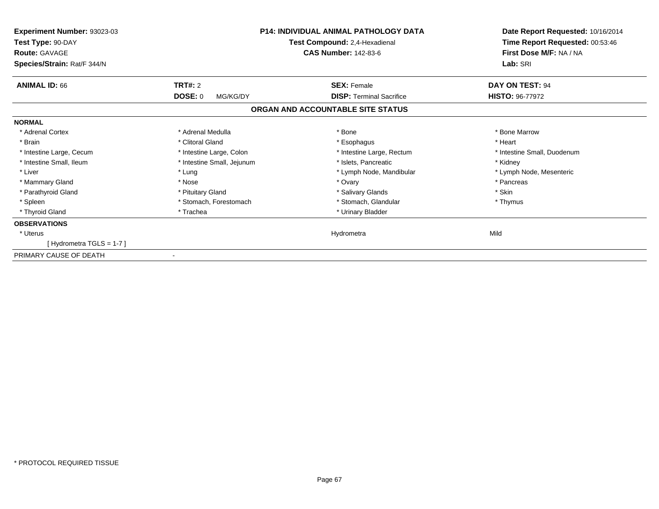| Experiment Number: 93023-03<br>Test Type: 90-DAY<br><b>Route: GAVAGE</b><br>Species/Strain: Rat/F 344/N | <b>P14: INDIVIDUAL ANIMAL PATHOLOGY DATA</b><br>Test Compound: 2,4-Hexadienal<br><b>CAS Number: 142-83-6</b> |                                   |                             |  | Date Report Requested: 10/16/2014<br>Time Report Requested: 00:53:46<br>First Dose M/F: NA / NA<br>Lab: SRI |
|---------------------------------------------------------------------------------------------------------|--------------------------------------------------------------------------------------------------------------|-----------------------------------|-----------------------------|--|-------------------------------------------------------------------------------------------------------------|
| <b>ANIMAL ID: 66</b>                                                                                    | <b>TRT#: 2</b>                                                                                               | <b>SEX: Female</b>                | DAY ON TEST: 94             |  |                                                                                                             |
|                                                                                                         | <b>DOSE: 0</b><br>MG/KG/DY                                                                                   | <b>DISP:</b> Terminal Sacrifice   | <b>HISTO: 96-77972</b>      |  |                                                                                                             |
|                                                                                                         |                                                                                                              | ORGAN AND ACCOUNTABLE SITE STATUS |                             |  |                                                                                                             |
| <b>NORMAL</b>                                                                                           |                                                                                                              |                                   |                             |  |                                                                                                             |
| * Adrenal Cortex                                                                                        | * Adrenal Medulla                                                                                            | * Bone                            | * Bone Marrow               |  |                                                                                                             |
| * Brain                                                                                                 | * Clitoral Gland                                                                                             | * Esophagus                       | * Heart                     |  |                                                                                                             |
| * Intestine Large, Cecum                                                                                | * Intestine Large, Colon                                                                                     | * Intestine Large, Rectum         | * Intestine Small, Duodenum |  |                                                                                                             |
| * Intestine Small, Ileum                                                                                | * Intestine Small, Jejunum                                                                                   | * Islets, Pancreatic              | * Kidney                    |  |                                                                                                             |
| * Liver                                                                                                 | * Lung                                                                                                       | * Lymph Node, Mandibular          | * Lymph Node, Mesenteric    |  |                                                                                                             |
| * Mammary Gland                                                                                         | * Nose                                                                                                       | * Ovary                           | * Pancreas                  |  |                                                                                                             |
| * Parathyroid Gland                                                                                     | * Pituitary Gland                                                                                            | * Salivary Glands                 | * Skin                      |  |                                                                                                             |
| * Spleen                                                                                                | * Stomach, Forestomach                                                                                       | * Stomach, Glandular              | * Thymus                    |  |                                                                                                             |
| * Thyroid Gland                                                                                         | * Trachea                                                                                                    | * Urinary Bladder                 |                             |  |                                                                                                             |
| <b>OBSERVATIONS</b>                                                                                     |                                                                                                              |                                   |                             |  |                                                                                                             |
| * Uterus                                                                                                |                                                                                                              | Hydrometra                        | Mild                        |  |                                                                                                             |
| [Hydrometra TGLS = $1-7$ ]                                                                              |                                                                                                              |                                   |                             |  |                                                                                                             |
| PRIMARY CAUSE OF DEATH                                                                                  |                                                                                                              |                                   |                             |  |                                                                                                             |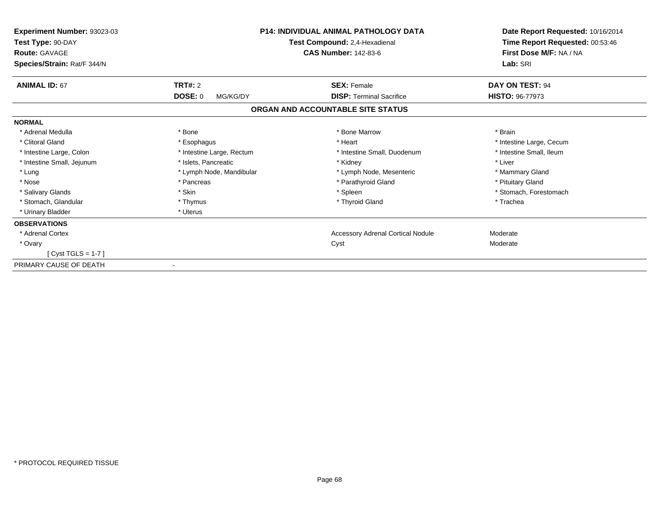| Experiment Number: 93023-03<br>Test Type: 90-DAY<br><b>Route: GAVAGE</b><br>Species/Strain: Rat/F 344/N | <b>P14: INDIVIDUAL ANIMAL PATHOLOGY DATA</b><br>Test Compound: 2,4-Hexadienal<br><b>CAS Number: 142-83-6</b> |                                                       | Date Report Requested: 10/16/2014<br>Time Report Requested: 00:53:46<br>First Dose M/F: NA / NA<br>Lab: SRI |
|---------------------------------------------------------------------------------------------------------|--------------------------------------------------------------------------------------------------------------|-------------------------------------------------------|-------------------------------------------------------------------------------------------------------------|
| <b>ANIMAL ID: 67</b>                                                                                    | <b>TRT#: 2</b><br>DOSE: 0<br>MG/KG/DY                                                                        | <b>SEX: Female</b><br><b>DISP: Terminal Sacrifice</b> | DAY ON TEST: 94<br><b>HISTO: 96-77973</b>                                                                   |
|                                                                                                         |                                                                                                              | ORGAN AND ACCOUNTABLE SITE STATUS                     |                                                                                                             |
| <b>NORMAL</b>                                                                                           |                                                                                                              |                                                       |                                                                                                             |
| * Adrenal Medulla                                                                                       | * Bone                                                                                                       | * Bone Marrow                                         | * Brain                                                                                                     |
| * Clitoral Gland                                                                                        | * Esophagus                                                                                                  | * Heart                                               | * Intestine Large, Cecum                                                                                    |
| * Intestine Large, Colon                                                                                | * Intestine Large, Rectum                                                                                    | * Intestine Small, Duodenum                           | * Intestine Small, Ileum                                                                                    |
| * Intestine Small, Jejunum                                                                              | * Islets, Pancreatic                                                                                         | * Kidney                                              | * Liver                                                                                                     |
| * Lung                                                                                                  | * Lymph Node, Mandibular                                                                                     | * Lymph Node, Mesenteric                              | * Mammary Gland                                                                                             |
| * Nose                                                                                                  | * Pancreas                                                                                                   | * Parathyroid Gland                                   | * Pituitary Gland                                                                                           |
| * Salivary Glands                                                                                       | * Skin                                                                                                       | * Spleen                                              | * Stomach, Forestomach                                                                                      |
| * Stomach, Glandular                                                                                    | * Thymus                                                                                                     | * Thyroid Gland                                       | * Trachea                                                                                                   |
| * Urinary Bladder                                                                                       | * Uterus                                                                                                     |                                                       |                                                                                                             |
| <b>OBSERVATIONS</b>                                                                                     |                                                                                                              |                                                       |                                                                                                             |
| * Adrenal Cortex                                                                                        |                                                                                                              | <b>Accessory Adrenal Cortical Nodule</b>              | Moderate                                                                                                    |
| * Ovary                                                                                                 |                                                                                                              | Cyst                                                  | Moderate                                                                                                    |
| [Cyst TGLS = $1-7$ ]                                                                                    |                                                                                                              |                                                       |                                                                                                             |
| PRIMARY CAUSE OF DEATH                                                                                  |                                                                                                              |                                                       |                                                                                                             |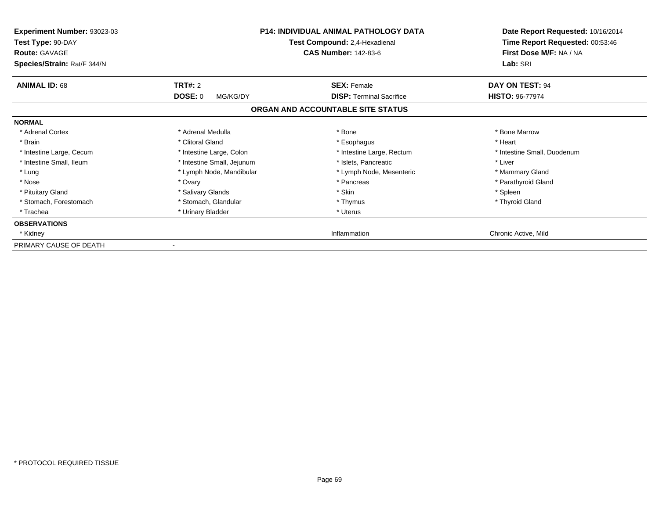| <b>Experiment Number: 93023-03</b><br>Test Type: 90-DAY<br><b>Route: GAVAGE</b><br>Species/Strain: Rat/F 344/N |                            | <b>P14: INDIVIDUAL ANIMAL PATHOLOGY DATA</b><br>Test Compound: 2,4-Hexadienal<br><b>CAS Number: 142-83-6</b> | Date Report Requested: 10/16/2014<br>Time Report Requested: 00:53:46<br>First Dose M/F: NA / NA<br>Lab: SRI |
|----------------------------------------------------------------------------------------------------------------|----------------------------|--------------------------------------------------------------------------------------------------------------|-------------------------------------------------------------------------------------------------------------|
| <b>ANIMAL ID: 68</b>                                                                                           | <b>TRT#: 2</b>             | <b>SEX: Female</b>                                                                                           | <b>DAY ON TEST: 94</b>                                                                                      |
|                                                                                                                | <b>DOSE: 0</b><br>MG/KG/DY | <b>DISP:</b> Terminal Sacrifice                                                                              | <b>HISTO: 96-77974</b>                                                                                      |
|                                                                                                                |                            | ORGAN AND ACCOUNTABLE SITE STATUS                                                                            |                                                                                                             |
| <b>NORMAL</b>                                                                                                  |                            |                                                                                                              |                                                                                                             |
| * Adrenal Cortex                                                                                               | * Adrenal Medulla          | * Bone                                                                                                       | * Bone Marrow                                                                                               |
| * Brain                                                                                                        | * Clitoral Gland           | * Esophagus                                                                                                  | * Heart                                                                                                     |
| * Intestine Large, Cecum                                                                                       | * Intestine Large, Colon   | * Intestine Large, Rectum                                                                                    | * Intestine Small, Duodenum                                                                                 |
| * Intestine Small, Ileum                                                                                       | * Intestine Small, Jejunum | * Islets, Pancreatic                                                                                         | * Liver                                                                                                     |
| * Lung                                                                                                         | * Lymph Node, Mandibular   | * Lymph Node, Mesenteric                                                                                     | * Mammary Gland                                                                                             |
| * Nose                                                                                                         | * Ovary                    | * Pancreas                                                                                                   | * Parathyroid Gland                                                                                         |
| * Pituitary Gland                                                                                              | * Salivary Glands          | * Skin                                                                                                       | * Spleen                                                                                                    |
| * Stomach, Forestomach                                                                                         | * Stomach, Glandular       | * Thymus                                                                                                     | * Thyroid Gland                                                                                             |
| * Trachea                                                                                                      | * Urinary Bladder          | * Uterus                                                                                                     |                                                                                                             |
| <b>OBSERVATIONS</b>                                                                                            |                            |                                                                                                              |                                                                                                             |
| * Kidney                                                                                                       |                            | Inflammation                                                                                                 | Chronic Active, Mild                                                                                        |
| PRIMARY CAUSE OF DEATH                                                                                         |                            |                                                                                                              |                                                                                                             |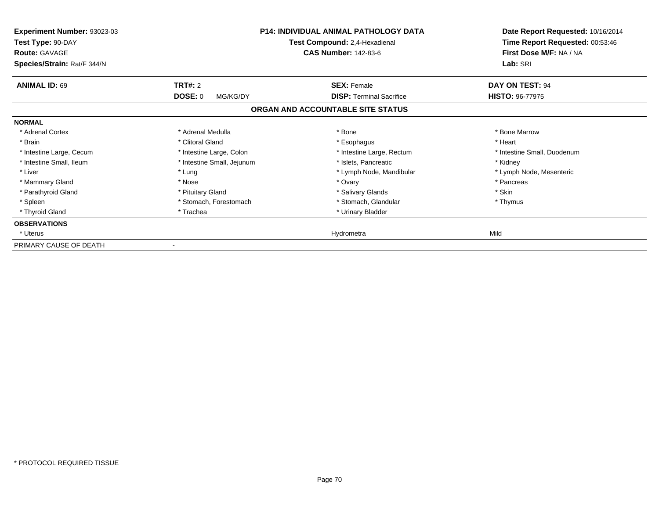| <b>Experiment Number: 93023-03</b><br>Test Type: 90-DAY<br><b>Route: GAVAGE</b><br>Species/Strain: Rat/F 344/N |                            | <b>P14: INDIVIDUAL ANIMAL PATHOLOGY DATA</b><br>Test Compound: 2,4-Hexadienal<br><b>CAS Number: 142-83-6</b> | Date Report Requested: 10/16/2014<br>Time Report Requested: 00:53:46<br>First Dose M/F: NA / NA<br>Lab: SRI |
|----------------------------------------------------------------------------------------------------------------|----------------------------|--------------------------------------------------------------------------------------------------------------|-------------------------------------------------------------------------------------------------------------|
| <b>ANIMAL ID: 69</b>                                                                                           | <b>TRT#: 2</b>             | <b>SEX: Female</b>                                                                                           | DAY ON TEST: 94                                                                                             |
|                                                                                                                | <b>DOSE: 0</b><br>MG/KG/DY | <b>DISP:</b> Terminal Sacrifice                                                                              | <b>HISTO: 96-77975</b>                                                                                      |
|                                                                                                                |                            | ORGAN AND ACCOUNTABLE SITE STATUS                                                                            |                                                                                                             |
| <b>NORMAL</b>                                                                                                  |                            |                                                                                                              |                                                                                                             |
| * Adrenal Cortex                                                                                               | * Adrenal Medulla          | * Bone                                                                                                       | * Bone Marrow                                                                                               |
| * Brain                                                                                                        | * Clitoral Gland           | * Esophagus                                                                                                  | * Heart                                                                                                     |
| * Intestine Large, Cecum                                                                                       | * Intestine Large, Colon   | * Intestine Large, Rectum                                                                                    | * Intestine Small, Duodenum                                                                                 |
| * Intestine Small, Ileum                                                                                       | * Intestine Small, Jejunum | * Islets, Pancreatic                                                                                         | * Kidney                                                                                                    |
| * Liver                                                                                                        | * Lung                     | * Lymph Node, Mandibular                                                                                     | * Lymph Node, Mesenteric                                                                                    |
| * Mammary Gland                                                                                                | * Nose                     | * Ovary                                                                                                      | * Pancreas                                                                                                  |
| * Parathyroid Gland                                                                                            | * Pituitary Gland          | * Salivary Glands                                                                                            | * Skin                                                                                                      |
| * Spleen                                                                                                       | * Stomach, Forestomach     | * Stomach, Glandular                                                                                         | * Thymus                                                                                                    |
| * Thyroid Gland                                                                                                | * Trachea                  | * Urinary Bladder                                                                                            |                                                                                                             |
| <b>OBSERVATIONS</b>                                                                                            |                            |                                                                                                              |                                                                                                             |
| * Uterus                                                                                                       |                            | Hydrometra                                                                                                   | Mild                                                                                                        |
| PRIMARY CAUSE OF DEATH                                                                                         |                            |                                                                                                              |                                                                                                             |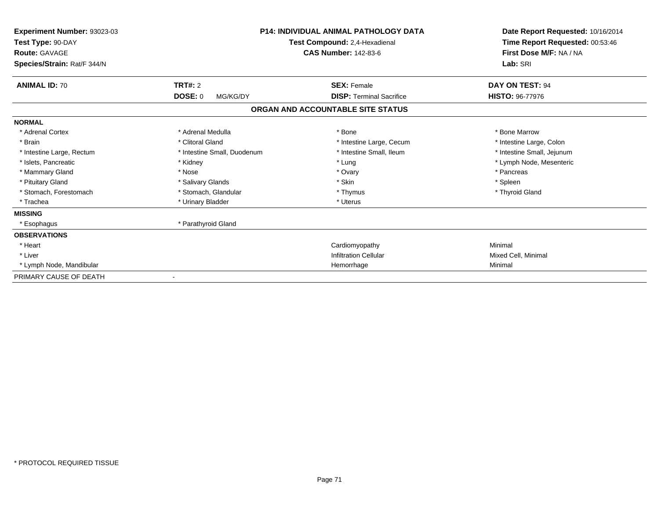| Experiment Number: 93023-03<br>Test Type: 90-DAY<br><b>Route: GAVAGE</b><br>Species/Strain: Rat/F 344/N | <b>P14: INDIVIDUAL ANIMAL PATHOLOGY DATA</b><br>Test Compound: 2,4-Hexadienal<br><b>CAS Number: 142-83-6</b> |                                   | Date Report Requested: 10/16/2014<br>Time Report Requested: 00:53:46<br>First Dose M/F: NA / NA<br>Lab: SRI |
|---------------------------------------------------------------------------------------------------------|--------------------------------------------------------------------------------------------------------------|-----------------------------------|-------------------------------------------------------------------------------------------------------------|
| <b>ANIMAL ID: 70</b>                                                                                    | <b>TRT#: 2</b>                                                                                               | <b>SEX: Female</b>                | DAY ON TEST: 94                                                                                             |
|                                                                                                         | DOSE: 0<br>MG/KG/DY                                                                                          | <b>DISP: Terminal Sacrifice</b>   | <b>HISTO: 96-77976</b>                                                                                      |
|                                                                                                         |                                                                                                              | ORGAN AND ACCOUNTABLE SITE STATUS |                                                                                                             |
| <b>NORMAL</b>                                                                                           |                                                                                                              |                                   |                                                                                                             |
| * Adrenal Cortex                                                                                        | * Adrenal Medulla                                                                                            | * Bone                            | * Bone Marrow                                                                                               |
| * Brain                                                                                                 | * Clitoral Gland                                                                                             | * Intestine Large, Cecum          | * Intestine Large, Colon                                                                                    |
| * Intestine Large, Rectum                                                                               | * Intestine Small, Duodenum                                                                                  | * Intestine Small, Ileum          | * Intestine Small, Jejunum                                                                                  |
| * Islets, Pancreatic                                                                                    | * Kidney                                                                                                     | * Lung                            | * Lymph Node, Mesenteric                                                                                    |
| * Mammary Gland                                                                                         | * Nose                                                                                                       | * Ovary                           | * Pancreas                                                                                                  |
| * Pituitary Gland                                                                                       | * Salivary Glands                                                                                            | * Skin                            | * Spleen                                                                                                    |
| * Stomach, Forestomach                                                                                  | * Stomach, Glandular                                                                                         | * Thymus                          | * Thyroid Gland                                                                                             |
| * Trachea                                                                                               | * Urinary Bladder                                                                                            | * Uterus                          |                                                                                                             |
| <b>MISSING</b>                                                                                          |                                                                                                              |                                   |                                                                                                             |
| * Esophagus                                                                                             | * Parathyroid Gland                                                                                          |                                   |                                                                                                             |
| <b>OBSERVATIONS</b>                                                                                     |                                                                                                              |                                   |                                                                                                             |
| * Heart                                                                                                 |                                                                                                              | Cardiomyopathy                    | Minimal                                                                                                     |
| * Liver                                                                                                 |                                                                                                              | <b>Infiltration Cellular</b>      | Mixed Cell, Minimal                                                                                         |
| * Lymph Node, Mandibular                                                                                |                                                                                                              | Hemorrhage                        | Minimal                                                                                                     |
| PRIMARY CAUSE OF DEATH                                                                                  |                                                                                                              |                                   |                                                                                                             |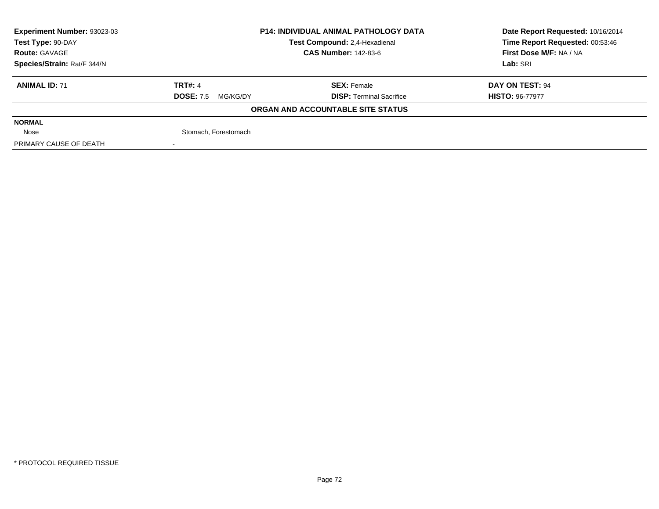| Experiment Number: 93023-03<br><b>P14: INDIVIDUAL ANIMAL PATHOLOGY DATA</b> |                                                              |                                   | Date Report Requested: 10/16/2014 |  |
|-----------------------------------------------------------------------------|--------------------------------------------------------------|-----------------------------------|-----------------------------------|--|
| Test Type: 90-DAY                                                           | Test Compound: 2,4-Hexadienal<br><b>CAS Number: 142-83-6</b> |                                   | Time Report Requested: 00:53:46   |  |
| <b>Route: GAVAGE</b>                                                        |                                                              |                                   | First Dose M/F: NA / NA           |  |
| Species/Strain: Rat/F 344/N                                                 |                                                              |                                   | Lab: SRI                          |  |
| <b>ANIMAL ID: 71</b>                                                        | <b>TRT#: 4</b>                                               | <b>SEX: Female</b>                | DAY ON TEST: 94                   |  |
|                                                                             | <b>DOSE: 7.5</b><br>MG/KG/DY                                 | <b>DISP: Terminal Sacrifice</b>   | <b>HISTO: 96-77977</b>            |  |
|                                                                             |                                                              | ORGAN AND ACCOUNTABLE SITE STATUS |                                   |  |
| <b>NORMAL</b>                                                               |                                                              |                                   |                                   |  |
| Nose                                                                        | Stomach, Forestomach                                         |                                   |                                   |  |
| PRIMARY CAUSE OF DEATH                                                      |                                                              |                                   |                                   |  |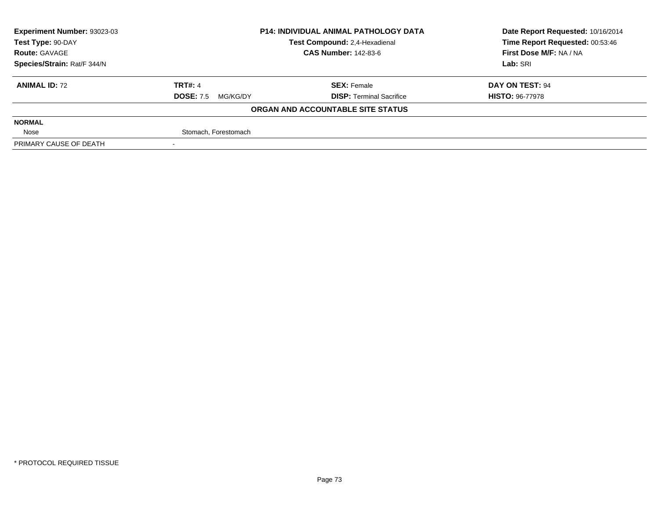| Experiment Number: 93023-03 | <b>P14: INDIVIDUAL ANIMAL PATHOLOGY DATA</b> |                                   | Date Report Requested: 10/16/2014 |  |
|-----------------------------|----------------------------------------------|-----------------------------------|-----------------------------------|--|
| Test Type: 90-DAY           |                                              | Test Compound: 2,4-Hexadienal     | Time Report Requested: 00:53:46   |  |
| <b>Route: GAVAGE</b>        |                                              | <b>CAS Number: 142-83-6</b>       | First Dose M/F: NA / NA           |  |
| Species/Strain: Rat/F 344/N |                                              |                                   | Lab: SRI                          |  |
| <b>ANIMAL ID: 72</b>        | <b>TRT#: 4</b>                               | <b>SEX: Female</b>                | DAY ON TEST: 94                   |  |
|                             | <b>DOSE: 7.5</b><br>MG/KG/DY                 | <b>DISP: Terminal Sacrifice</b>   | <b>HISTO: 96-77978</b>            |  |
|                             |                                              | ORGAN AND ACCOUNTABLE SITE STATUS |                                   |  |
| <b>NORMAL</b>               |                                              |                                   |                                   |  |
| Nose                        | Stomach, Forestomach                         |                                   |                                   |  |
| PRIMARY CAUSE OF DEATH      |                                              |                                   |                                   |  |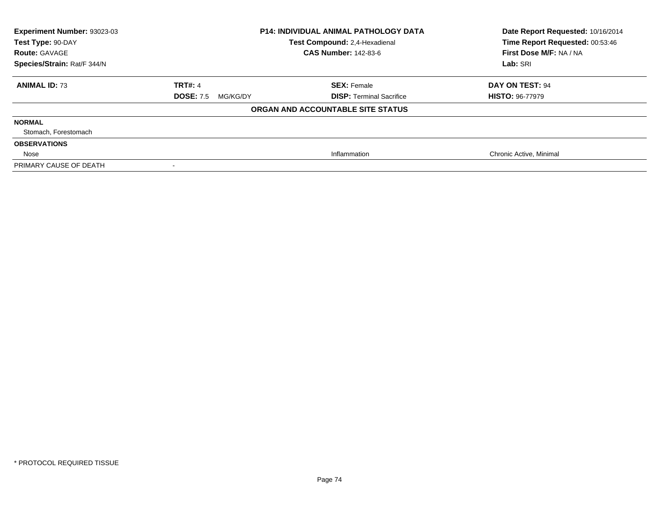| Experiment Number: 93023-03<br>Test Type: 90-DAY | <b>P14: INDIVIDUAL ANIMAL PATHOLOGY DATA</b><br>Test Compound: 2,4-Hexadienal |                                   | Date Report Requested: 10/16/2014<br>Time Report Requested: 00:53:46 |
|--------------------------------------------------|-------------------------------------------------------------------------------|-----------------------------------|----------------------------------------------------------------------|
| <b>Route: GAVAGE</b>                             |                                                                               | <b>CAS Number: 142-83-6</b>       | First Dose M/F: NA / NA                                              |
| Species/Strain: Rat/F 344/N                      |                                                                               |                                   | Lab: SRI                                                             |
| <b>ANIMAL ID: 73</b>                             | <b>TRT#: 4</b>                                                                | <b>SEX: Female</b>                | DAY ON TEST: 94                                                      |
|                                                  | <b>DOSE: 7.5</b><br>MG/KG/DY                                                  | <b>DISP:</b> Terminal Sacrifice   | <b>HISTO: 96-77979</b>                                               |
|                                                  |                                                                               | ORGAN AND ACCOUNTABLE SITE STATUS |                                                                      |
| <b>NORMAL</b>                                    |                                                                               |                                   |                                                                      |
| Stomach, Forestomach                             |                                                                               |                                   |                                                                      |
| <b>OBSERVATIONS</b>                              |                                                                               |                                   |                                                                      |
| Nose                                             |                                                                               | Inflammation                      | Chronic Active, Minimal                                              |
| PRIMARY CAUSE OF DEATH                           |                                                                               |                                   |                                                                      |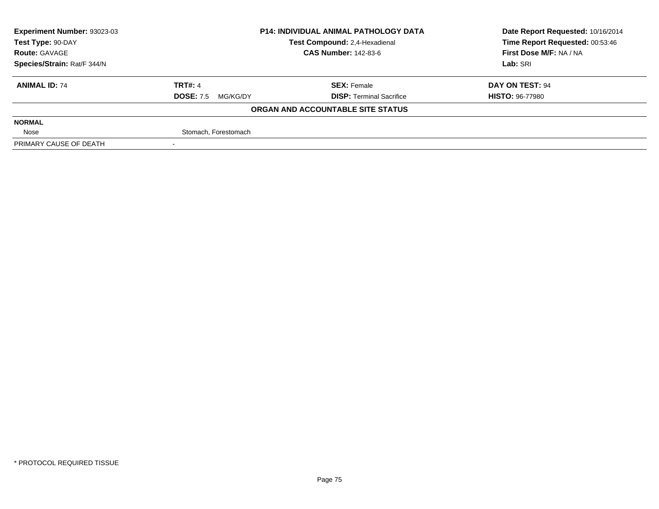| Experiment Number: 93023-03 | <b>P14: INDIVIDUAL ANIMAL PATHOLOGY DATA</b> |                                   | Date Report Requested: 10/16/2014 |  |
|-----------------------------|----------------------------------------------|-----------------------------------|-----------------------------------|--|
| Test Type: 90-DAY           |                                              | Test Compound: 2,4-Hexadienal     | Time Report Requested: 00:53:46   |  |
| <b>Route: GAVAGE</b>        |                                              | <b>CAS Number: 142-83-6</b>       | First Dose M/F: NA / NA           |  |
| Species/Strain: Rat/F 344/N |                                              |                                   | Lab: SRI                          |  |
| <b>ANIMAL ID: 74</b>        | <b>TRT#: 4</b>                               | <b>SEX: Female</b>                | DAY ON TEST: 94                   |  |
|                             | <b>DOSE: 7.5</b><br>MG/KG/DY                 | <b>DISP: Terminal Sacrifice</b>   | <b>HISTO: 96-77980</b>            |  |
|                             |                                              | ORGAN AND ACCOUNTABLE SITE STATUS |                                   |  |
| <b>NORMAL</b>               |                                              |                                   |                                   |  |
| Nose                        | Stomach, Forestomach                         |                                   |                                   |  |
| PRIMARY CAUSE OF DEATH      |                                              |                                   |                                   |  |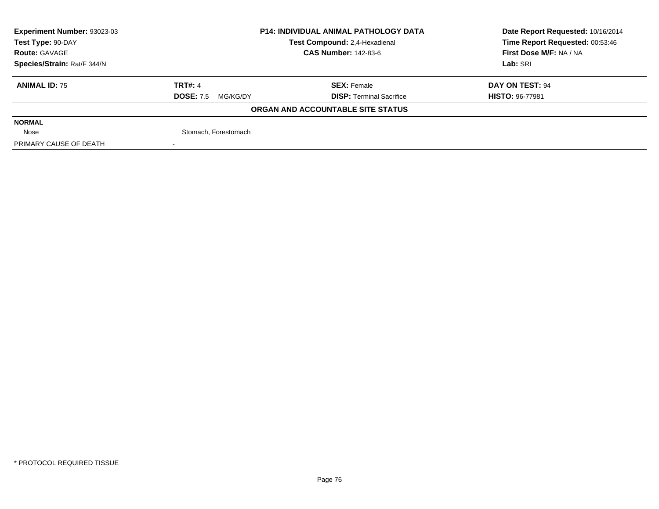| Experiment Number: 93023-03 | <b>P14: INDIVIDUAL ANIMAL PATHOLOGY DATA</b> |                                   | Date Report Requested: 10/16/2014 |  |
|-----------------------------|----------------------------------------------|-----------------------------------|-----------------------------------|--|
| Test Type: 90-DAY           |                                              | Test Compound: 2,4-Hexadienal     | Time Report Requested: 00:53:46   |  |
| <b>Route: GAVAGE</b>        |                                              | <b>CAS Number: 142-83-6</b>       | First Dose M/F: NA / NA           |  |
| Species/Strain: Rat/F 344/N |                                              |                                   | Lab: SRI                          |  |
| <b>ANIMAL ID: 75</b>        | <b>TRT#: 4</b>                               | <b>SEX: Female</b>                | DAY ON TEST: 94                   |  |
|                             | <b>DOSE: 7.5</b><br>MG/KG/DY                 | <b>DISP: Terminal Sacrifice</b>   | <b>HISTO: 96-77981</b>            |  |
|                             |                                              | ORGAN AND ACCOUNTABLE SITE STATUS |                                   |  |
| <b>NORMAL</b>               |                                              |                                   |                                   |  |
| Nose                        | Stomach, Forestomach                         |                                   |                                   |  |
| PRIMARY CAUSE OF DEATH      |                                              |                                   |                                   |  |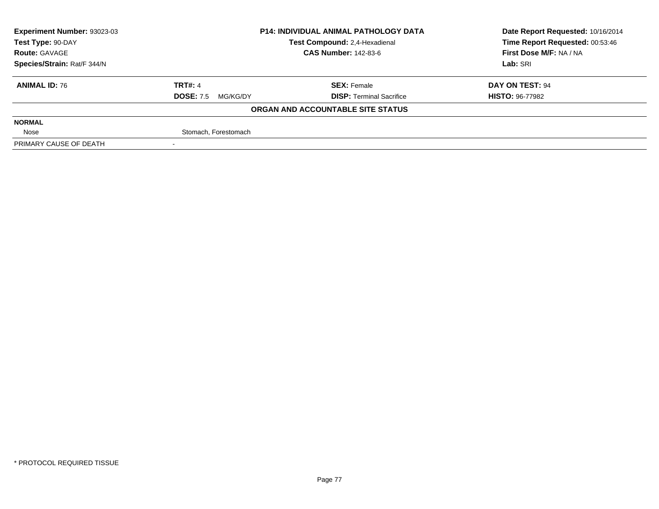| Experiment Number: 93023-03 | <b>P14: INDIVIDUAL ANIMAL PATHOLOGY DATA</b> |                                   | Date Report Requested: 10/16/2014 |  |
|-----------------------------|----------------------------------------------|-----------------------------------|-----------------------------------|--|
| Test Type: 90-DAY           |                                              | Test Compound: 2,4-Hexadienal     | Time Report Requested: 00:53:46   |  |
| <b>Route: GAVAGE</b>        |                                              | <b>CAS Number: 142-83-6</b>       | First Dose M/F: NA / NA           |  |
| Species/Strain: Rat/F 344/N |                                              |                                   | Lab: SRI                          |  |
| <b>ANIMAL ID: 76</b>        | <b>TRT#: 4</b>                               | <b>SEX: Female</b>                | DAY ON TEST: 94                   |  |
|                             | <b>DOSE: 7.5</b><br>MG/KG/DY                 | <b>DISP: Terminal Sacrifice</b>   | <b>HISTO: 96-77982</b>            |  |
|                             |                                              | ORGAN AND ACCOUNTABLE SITE STATUS |                                   |  |
| <b>NORMAL</b>               |                                              |                                   |                                   |  |
| Nose                        | Stomach, Forestomach                         |                                   |                                   |  |
| PRIMARY CAUSE OF DEATH      |                                              |                                   |                                   |  |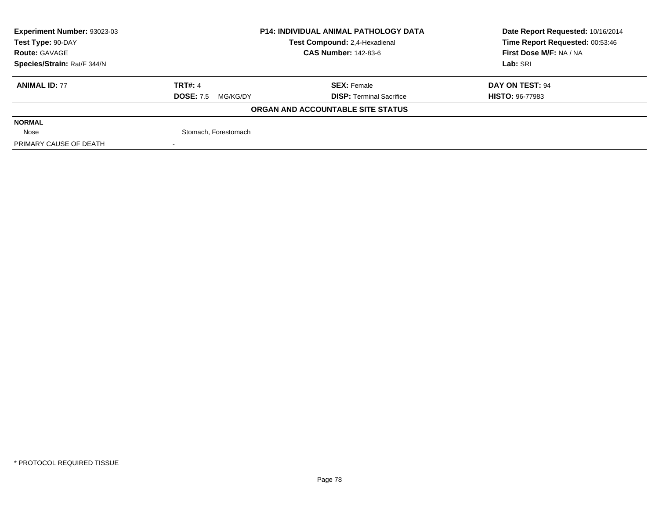| Experiment Number: 93023-03 | <b>P14: INDIVIDUAL ANIMAL PATHOLOGY DATA</b> |                                   | Date Report Requested: 10/16/2014 |  |
|-----------------------------|----------------------------------------------|-----------------------------------|-----------------------------------|--|
| Test Type: 90-DAY           |                                              | Test Compound: 2.4-Hexadienal     | Time Report Requested: 00:53:46   |  |
| <b>Route: GAVAGE</b>        |                                              | <b>CAS Number: 142-83-6</b>       | First Dose M/F: NA / NA           |  |
| Species/Strain: Rat/F 344/N |                                              |                                   | Lab: SRI                          |  |
| <b>ANIMAL ID: 77</b>        | <b>TRT#: 4</b>                               | <b>SEX: Female</b>                | DAY ON TEST: 94                   |  |
|                             | <b>DOSE: 7.5</b><br>MG/KG/DY                 | <b>DISP: Terminal Sacrifice</b>   | <b>HISTO: 96-77983</b>            |  |
|                             |                                              | ORGAN AND ACCOUNTABLE SITE STATUS |                                   |  |
| <b>NORMAL</b>               |                                              |                                   |                                   |  |
| Nose                        | Stomach, Forestomach                         |                                   |                                   |  |
| PRIMARY CAUSE OF DEATH      |                                              |                                   |                                   |  |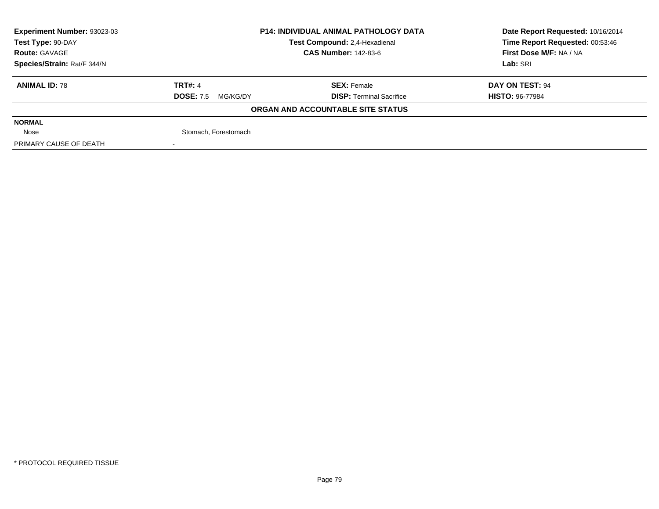| Experiment Number: 93023-03 | <b>P14: INDIVIDUAL ANIMAL PATHOLOGY DATA</b> |                                   | Date Report Requested: 10/16/2014 |  |
|-----------------------------|----------------------------------------------|-----------------------------------|-----------------------------------|--|
| Test Type: 90-DAY           |                                              | Test Compound: 2,4-Hexadienal     | Time Report Requested: 00:53:46   |  |
| <b>Route: GAVAGE</b>        |                                              | <b>CAS Number: 142-83-6</b>       | First Dose M/F: NA / NA           |  |
| Species/Strain: Rat/F 344/N |                                              |                                   | Lab: SRI                          |  |
| <b>ANIMAL ID: 78</b>        | <b>TRT#: 4</b>                               | <b>SEX: Female</b>                | DAY ON TEST: 94                   |  |
|                             | <b>DOSE: 7.5</b><br>MG/KG/DY                 | <b>DISP: Terminal Sacrifice</b>   | <b>HISTO: 96-77984</b>            |  |
|                             |                                              | ORGAN AND ACCOUNTABLE SITE STATUS |                                   |  |
| <b>NORMAL</b>               |                                              |                                   |                                   |  |
| Nose                        | Stomach, Forestomach                         |                                   |                                   |  |
| PRIMARY CAUSE OF DEATH      |                                              |                                   |                                   |  |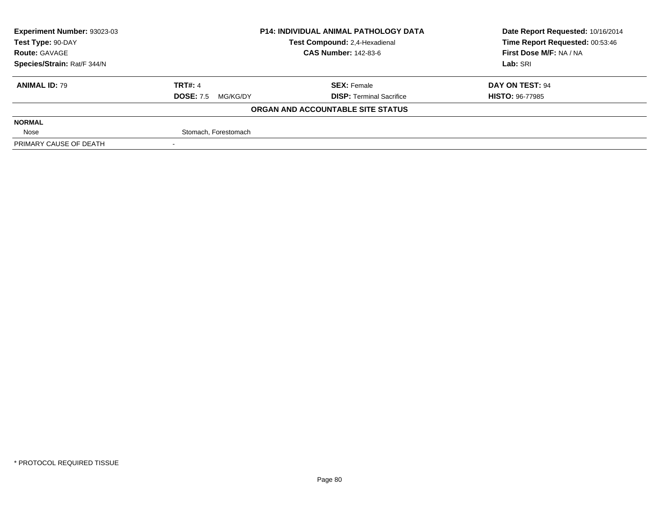| Experiment Number: 93023-03 | <b>P14: INDIVIDUAL ANIMAL PATHOLOGY DATA</b> |                                   | Date Report Requested: 10/16/2014 |  |
|-----------------------------|----------------------------------------------|-----------------------------------|-----------------------------------|--|
| Test Type: 90-DAY           |                                              | Test Compound: 2,4-Hexadienal     | Time Report Requested: 00:53:46   |  |
| <b>Route: GAVAGE</b>        |                                              | <b>CAS Number: 142-83-6</b>       | First Dose M/F: NA / NA           |  |
| Species/Strain: Rat/F 344/N |                                              |                                   | Lab: SRI                          |  |
| <b>ANIMAL ID: 79</b>        | <b>TRT#: 4</b>                               | <b>SEX: Female</b>                | DAY ON TEST: 94                   |  |
|                             | <b>DOSE: 7.5</b><br>MG/KG/DY                 | <b>DISP: Terminal Sacrifice</b>   | <b>HISTO: 96-77985</b>            |  |
|                             |                                              | ORGAN AND ACCOUNTABLE SITE STATUS |                                   |  |
| <b>NORMAL</b>               |                                              |                                   |                                   |  |
| Nose                        | Stomach, Forestomach                         |                                   |                                   |  |
| PRIMARY CAUSE OF DEATH      |                                              |                                   |                                   |  |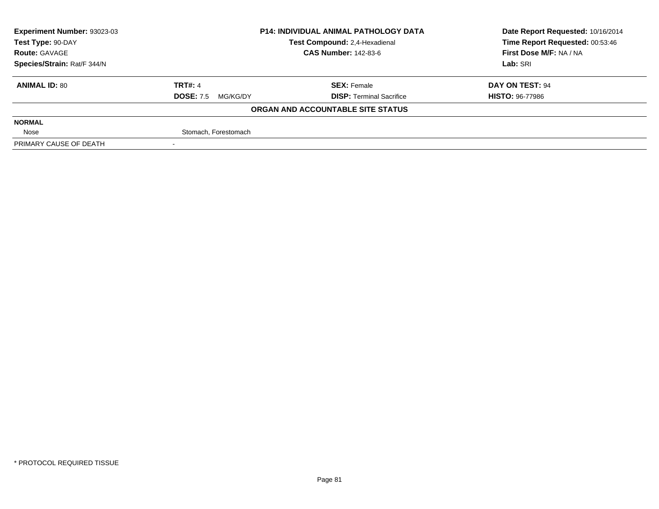| Experiment Number: 93023-03 | <b>P14: INDIVIDUAL ANIMAL PATHOLOGY DATA</b> |                                   | Date Report Requested: 10/16/2014 |  |
|-----------------------------|----------------------------------------------|-----------------------------------|-----------------------------------|--|
| Test Type: 90-DAY           |                                              | Test Compound: 2,4-Hexadienal     | Time Report Requested: 00:53:46   |  |
| <b>Route: GAVAGE</b>        |                                              | <b>CAS Number: 142-83-6</b>       | First Dose M/F: NA / NA           |  |
| Species/Strain: Rat/F 344/N |                                              |                                   | Lab: SRI                          |  |
| <b>ANIMAL ID: 80</b>        | <b>TRT#: 4</b>                               | <b>SEX: Female</b>                | DAY ON TEST: 94                   |  |
|                             | <b>DOSE: 7.5</b><br>MG/KG/DY                 | <b>DISP: Terminal Sacrifice</b>   | <b>HISTO: 96-77986</b>            |  |
|                             |                                              | ORGAN AND ACCOUNTABLE SITE STATUS |                                   |  |
| <b>NORMAL</b>               |                                              |                                   |                                   |  |
| Nose                        | Stomach, Forestomach                         |                                   |                                   |  |
| PRIMARY CAUSE OF DEATH      |                                              |                                   |                                   |  |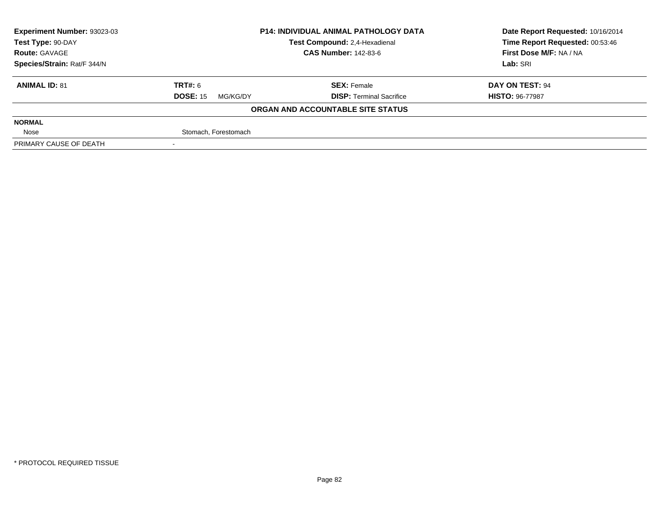| Experiment Number: 93023-03 | <b>P14: INDIVIDUAL ANIMAL PATHOLOGY DATA</b> |                                   | Date Report Requested: 10/16/2014 |  |
|-----------------------------|----------------------------------------------|-----------------------------------|-----------------------------------|--|
| Test Type: 90-DAY           |                                              | Test Compound: 2,4-Hexadienal     | Time Report Requested: 00:53:46   |  |
| <b>Route: GAVAGE</b>        |                                              | <b>CAS Number: 142-83-6</b>       | First Dose M/F: NA / NA           |  |
| Species/Strain: Rat/F 344/N |                                              |                                   | Lab: SRI                          |  |
| <b>ANIMAL ID: 81</b>        | TRT#: 6                                      | <b>SEX: Female</b>                | DAY ON TEST: 94                   |  |
|                             | <b>DOSE: 15</b><br>MG/KG/DY                  | <b>DISP: Terminal Sacrifice</b>   | <b>HISTO: 96-77987</b>            |  |
|                             |                                              | ORGAN AND ACCOUNTABLE SITE STATUS |                                   |  |
| <b>NORMAL</b>               |                                              |                                   |                                   |  |
| Nose                        | Stomach, Forestomach                         |                                   |                                   |  |
| PRIMARY CAUSE OF DEATH      |                                              |                                   |                                   |  |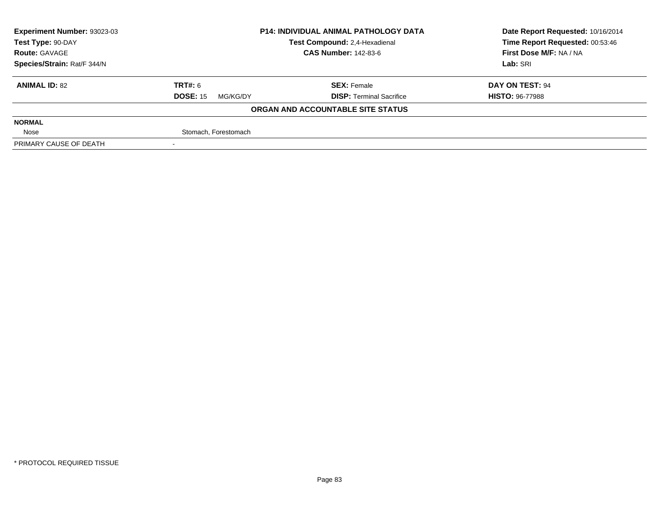| Experiment Number: 93023-03 | <b>P14: INDIVIDUAL ANIMAL PATHOLOGY DATA</b> |                                   | Date Report Requested: 10/16/2014 |  |
|-----------------------------|----------------------------------------------|-----------------------------------|-----------------------------------|--|
| Test Type: 90-DAY           |                                              | Test Compound: 2,4-Hexadienal     | Time Report Requested: 00:53:46   |  |
| <b>Route: GAVAGE</b>        |                                              | <b>CAS Number: 142-83-6</b>       | First Dose M/F: NA / NA           |  |
| Species/Strain: Rat/F 344/N |                                              |                                   | Lab: SRI                          |  |
| <b>ANIMAL ID: 82</b>        | TRT#: 6                                      | <b>SEX: Female</b>                | DAY ON TEST: 94                   |  |
|                             | <b>DOSE: 15</b><br>MG/KG/DY                  | <b>DISP: Terminal Sacrifice</b>   | <b>HISTO: 96-77988</b>            |  |
|                             |                                              | ORGAN AND ACCOUNTABLE SITE STATUS |                                   |  |
| <b>NORMAL</b>               |                                              |                                   |                                   |  |
| Nose                        | Stomach, Forestomach                         |                                   |                                   |  |
| PRIMARY CAUSE OF DEATH      |                                              |                                   |                                   |  |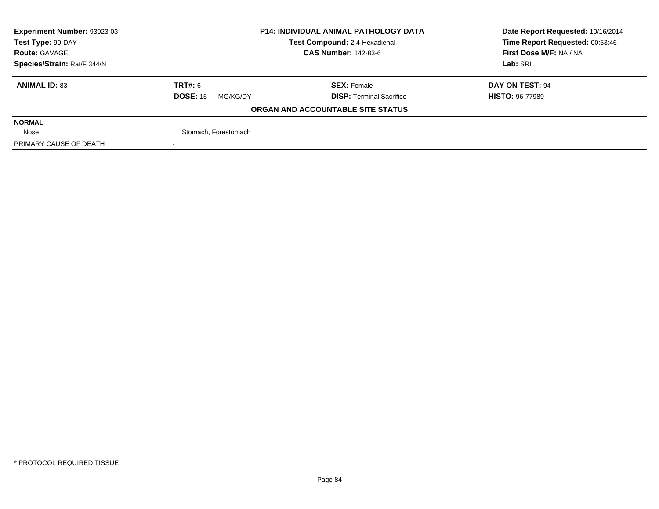| Experiment Number: 93023-03 | <b>P14: INDIVIDUAL ANIMAL PATHOLOGY DATA</b> |                                   | Date Report Requested: 10/16/2014 |  |
|-----------------------------|----------------------------------------------|-----------------------------------|-----------------------------------|--|
| Test Type: 90-DAY           |                                              | Test Compound: 2,4-Hexadienal     | Time Report Requested: 00:53:46   |  |
| <b>Route: GAVAGE</b>        |                                              | <b>CAS Number: 142-83-6</b>       | First Dose M/F: NA / NA           |  |
| Species/Strain: Rat/F 344/N |                                              |                                   | Lab: SRI                          |  |
| <b>ANIMAL ID: 83</b>        | TRT#: 6                                      | <b>SEX: Female</b>                | DAY ON TEST: 94                   |  |
|                             | <b>DOSE: 15</b><br>MG/KG/DY                  | <b>DISP: Terminal Sacrifice</b>   | <b>HISTO: 96-77989</b>            |  |
|                             |                                              | ORGAN AND ACCOUNTABLE SITE STATUS |                                   |  |
| <b>NORMAL</b>               |                                              |                                   |                                   |  |
| Nose                        | Stomach, Forestomach                         |                                   |                                   |  |
| PRIMARY CAUSE OF DEATH      |                                              |                                   |                                   |  |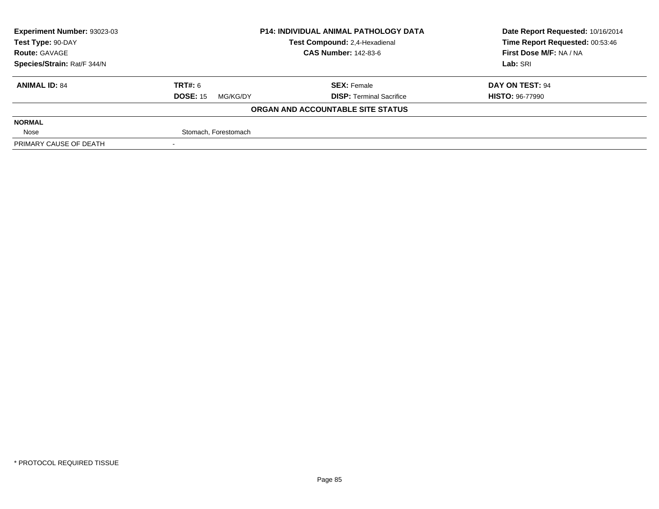| Experiment Number: 93023-03 |                             | <b>P14: INDIVIDUAL ANIMAL PATHOLOGY DATA</b> | Date Report Requested: 10/16/2014 |  |
|-----------------------------|-----------------------------|----------------------------------------------|-----------------------------------|--|
| Test Type: 90-DAY           |                             | Test Compound: 2,4-Hexadienal                | Time Report Requested: 00:53:46   |  |
| <b>Route: GAVAGE</b>        |                             | <b>CAS Number: 142-83-6</b>                  | First Dose M/F: NA / NA           |  |
| Species/Strain: Rat/F 344/N |                             |                                              | Lab: SRI                          |  |
| <b>ANIMAL ID: 84</b>        | TRT#: 6                     | <b>SEX: Female</b>                           | DAY ON TEST: 94                   |  |
|                             | <b>DOSE: 15</b><br>MG/KG/DY | <b>DISP: Terminal Sacrifice</b>              | <b>HISTO: 96-77990</b>            |  |
|                             |                             | ORGAN AND ACCOUNTABLE SITE STATUS            |                                   |  |
| <b>NORMAL</b>               |                             |                                              |                                   |  |
| Nose                        | Stomach, Forestomach        |                                              |                                   |  |
| PRIMARY CAUSE OF DEATH      |                             |                                              |                                   |  |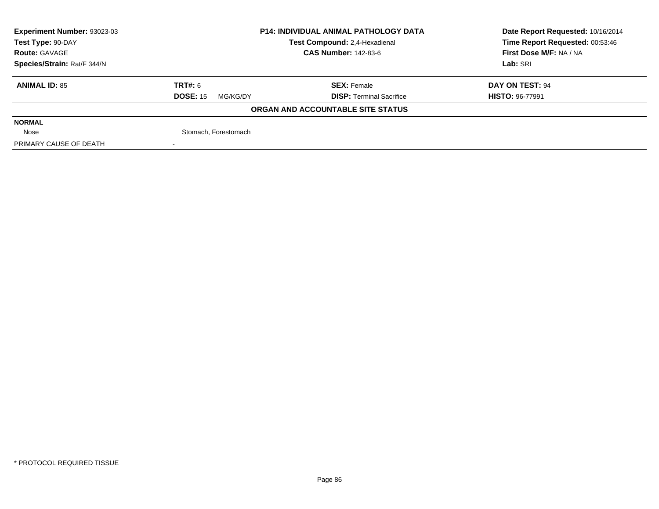| Experiment Number: 93023-03 | <b>P14: INDIVIDUAL ANIMAL PATHOLOGY DATA</b> |                                   | Date Report Requested: 10/16/2014 |  |
|-----------------------------|----------------------------------------------|-----------------------------------|-----------------------------------|--|
| Test Type: 90-DAY           |                                              | Test Compound: 2,4-Hexadienal     | Time Report Requested: 00:53:46   |  |
| <b>Route: GAVAGE</b>        |                                              | <b>CAS Number: 142-83-6</b>       | First Dose M/F: NA / NA           |  |
| Species/Strain: Rat/F 344/N |                                              |                                   | Lab: SRI                          |  |
| <b>ANIMAL ID: 85</b>        | TRT#: 6                                      | <b>SEX: Female</b>                | DAY ON TEST: 94                   |  |
|                             | <b>DOSE: 15</b><br>MG/KG/DY                  | <b>DISP: Terminal Sacrifice</b>   | <b>HISTO: 96-77991</b>            |  |
|                             |                                              | ORGAN AND ACCOUNTABLE SITE STATUS |                                   |  |
| <b>NORMAL</b>               |                                              |                                   |                                   |  |
| Nose                        | Stomach, Forestomach                         |                                   |                                   |  |
| PRIMARY CAUSE OF DEATH      |                                              |                                   |                                   |  |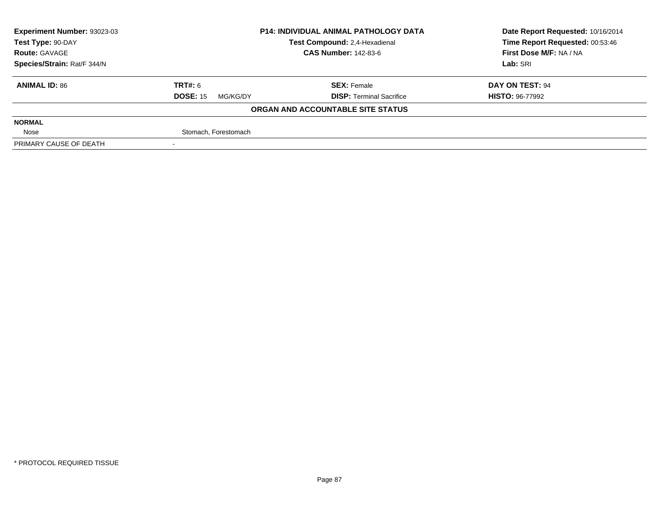| Experiment Number: 93023-03 |                             | <b>P14: INDIVIDUAL ANIMAL PATHOLOGY DATA</b> | Date Report Requested: 10/16/2014 |  |
|-----------------------------|-----------------------------|----------------------------------------------|-----------------------------------|--|
| Test Type: 90-DAY           |                             | Test Compound: 2,4-Hexadienal                | Time Report Requested: 00:53:46   |  |
| <b>Route: GAVAGE</b>        |                             | <b>CAS Number: 142-83-6</b>                  | First Dose M/F: NA / NA           |  |
| Species/Strain: Rat/F 344/N |                             |                                              | Lab: SRI                          |  |
| <b>ANIMAL ID: 86</b>        | TRT#: 6                     | <b>SEX: Female</b>                           | DAY ON TEST: 94                   |  |
|                             | <b>DOSE: 15</b><br>MG/KG/DY | <b>DISP: Terminal Sacrifice</b>              | <b>HISTO: 96-77992</b>            |  |
|                             |                             | ORGAN AND ACCOUNTABLE SITE STATUS            |                                   |  |
| <b>NORMAL</b>               |                             |                                              |                                   |  |
| Nose                        | Stomach, Forestomach        |                                              |                                   |  |
| PRIMARY CAUSE OF DEATH      |                             |                                              |                                   |  |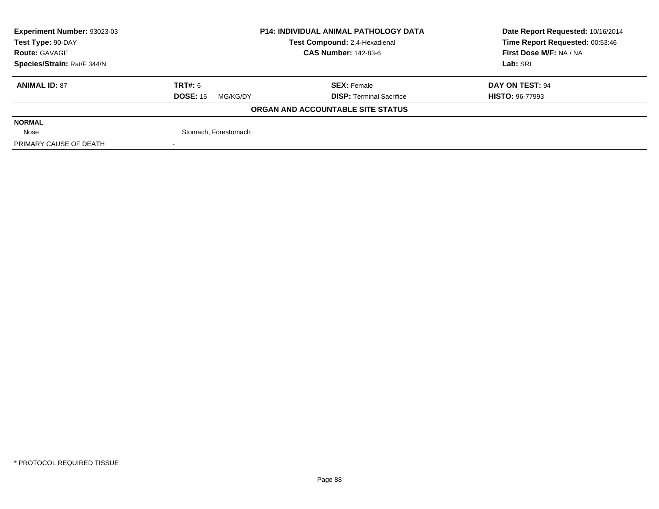| Experiment Number: 93023-03 |                             | <b>P14: INDIVIDUAL ANIMAL PATHOLOGY DATA</b> | Date Report Requested: 10/16/2014 |  |
|-----------------------------|-----------------------------|----------------------------------------------|-----------------------------------|--|
| Test Type: 90-DAY           |                             | Test Compound: 2,4-Hexadienal                | Time Report Requested: 00:53:46   |  |
| <b>Route: GAVAGE</b>        |                             | <b>CAS Number: 142-83-6</b>                  | First Dose M/F: NA / NA           |  |
| Species/Strain: Rat/F 344/N |                             |                                              | Lab: SRI                          |  |
| <b>ANIMAL ID: 87</b>        | TRT#: 6                     | <b>SEX: Female</b>                           | DAY ON TEST: 94                   |  |
|                             | <b>DOSE: 15</b><br>MG/KG/DY | <b>DISP: Terminal Sacrifice</b>              | <b>HISTO: 96-77993</b>            |  |
|                             |                             | ORGAN AND ACCOUNTABLE SITE STATUS            |                                   |  |
| <b>NORMAL</b>               |                             |                                              |                                   |  |
| Nose                        | Stomach, Forestomach        |                                              |                                   |  |
| PRIMARY CAUSE OF DEATH      |                             |                                              |                                   |  |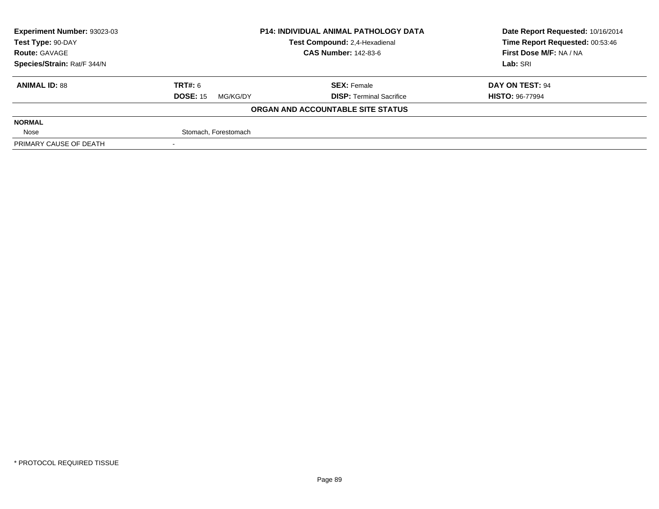| Experiment Number: 93023-03 |                             | <b>P14: INDIVIDUAL ANIMAL PATHOLOGY DATA</b> | Date Report Requested: 10/16/2014 |  |
|-----------------------------|-----------------------------|----------------------------------------------|-----------------------------------|--|
| Test Type: 90-DAY           |                             | Test Compound: 2,4-Hexadienal                | Time Report Requested: 00:53:46   |  |
| <b>Route: GAVAGE</b>        |                             | <b>CAS Number: 142-83-6</b>                  | First Dose M/F: NA / NA           |  |
| Species/Strain: Rat/F 344/N |                             |                                              | Lab: SRI                          |  |
| <b>ANIMAL ID: 88</b>        | TRT#: 6                     | <b>SEX: Female</b>                           | DAY ON TEST: 94                   |  |
|                             | <b>DOSE: 15</b><br>MG/KG/DY | <b>DISP: Terminal Sacrifice</b>              | <b>HISTO: 96-77994</b>            |  |
|                             |                             | ORGAN AND ACCOUNTABLE SITE STATUS            |                                   |  |
| <b>NORMAL</b>               |                             |                                              |                                   |  |
| Nose                        | Stomach, Forestomach        |                                              |                                   |  |
| PRIMARY CAUSE OF DEATH      |                             |                                              |                                   |  |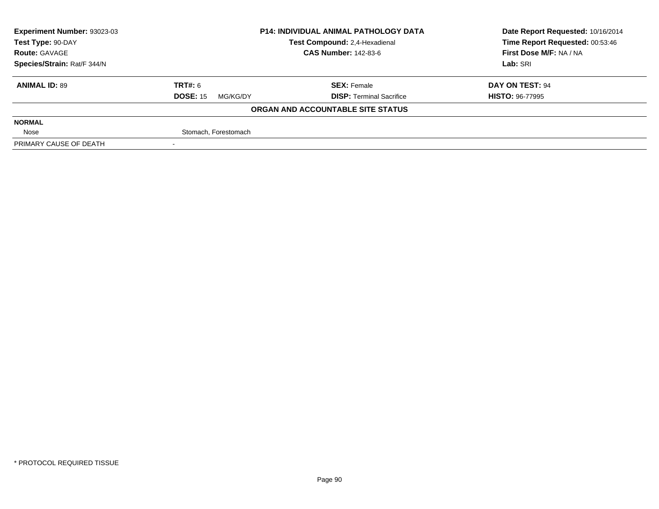| Experiment Number: 93023-03 |                             | <b>P14: INDIVIDUAL ANIMAL PATHOLOGY DATA</b> | Date Report Requested: 10/16/2014 |  |
|-----------------------------|-----------------------------|----------------------------------------------|-----------------------------------|--|
| Test Type: 90-DAY           |                             | Test Compound: 2,4-Hexadienal                | Time Report Requested: 00:53:46   |  |
| <b>Route: GAVAGE</b>        |                             | <b>CAS Number: 142-83-6</b>                  | First Dose M/F: NA / NA           |  |
| Species/Strain: Rat/F 344/N |                             |                                              | Lab: SRI                          |  |
| <b>ANIMAL ID: 89</b>        | TRT#: 6                     | <b>SEX: Female</b>                           | DAY ON TEST: 94                   |  |
|                             | <b>DOSE: 15</b><br>MG/KG/DY | <b>DISP: Terminal Sacrifice</b>              | <b>HISTO: 96-77995</b>            |  |
|                             |                             | ORGAN AND ACCOUNTABLE SITE STATUS            |                                   |  |
| <b>NORMAL</b>               |                             |                                              |                                   |  |
| Nose                        | Stomach, Forestomach        |                                              |                                   |  |
| PRIMARY CAUSE OF DEATH      |                             |                                              |                                   |  |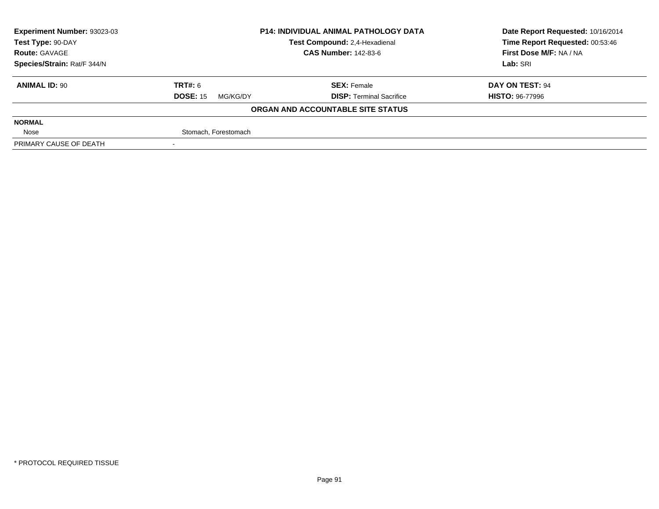| Experiment Number: 93023-03 |                             | <b>P14: INDIVIDUAL ANIMAL PATHOLOGY DATA</b> | Date Report Requested: 10/16/2014 |  |
|-----------------------------|-----------------------------|----------------------------------------------|-----------------------------------|--|
| Test Type: 90-DAY           |                             | Test Compound: 2,4-Hexadienal                | Time Report Requested: 00:53:46   |  |
| <b>Route: GAVAGE</b>        |                             | <b>CAS Number: 142-83-6</b>                  | First Dose M/F: NA / NA           |  |
| Species/Strain: Rat/F 344/N |                             |                                              | Lab: SRI                          |  |
| <b>ANIMAL ID: 90</b>        | TRT#: 6                     | <b>SEX: Female</b>                           | DAY ON TEST: 94                   |  |
|                             | <b>DOSE: 15</b><br>MG/KG/DY | <b>DISP: Terminal Sacrifice</b>              | <b>HISTO: 96-77996</b>            |  |
|                             |                             | ORGAN AND ACCOUNTABLE SITE STATUS            |                                   |  |
| <b>NORMAL</b>               |                             |                                              |                                   |  |
| Nose                        | Stomach, Forestomach        |                                              |                                   |  |
| PRIMARY CAUSE OF DEATH      |                             |                                              |                                   |  |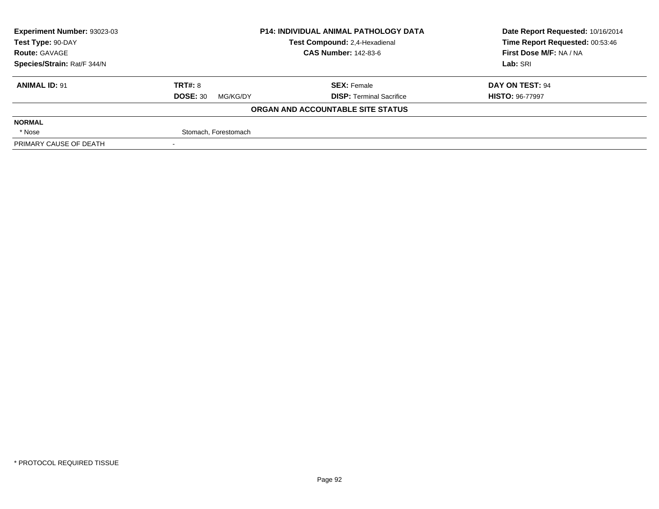| Experiment Number: 93023-03 |                             | <b>P14: INDIVIDUAL ANIMAL PATHOLOGY DATA</b> | Date Report Requested: 10/16/2014 |  |
|-----------------------------|-----------------------------|----------------------------------------------|-----------------------------------|--|
| Test Type: 90-DAY           |                             | Test Compound: 2,4-Hexadienal                | Time Report Requested: 00:53:46   |  |
| <b>Route: GAVAGE</b>        |                             | <b>CAS Number: 142-83-6</b>                  | First Dose M/F: NA / NA           |  |
| Species/Strain: Rat/F 344/N |                             |                                              | Lab: SRI                          |  |
| <b>ANIMAL ID: 91</b>        | <b>TRT#: 8</b>              | <b>SEX: Female</b>                           | DAY ON TEST: 94                   |  |
|                             | <b>DOSE: 30</b><br>MG/KG/DY | <b>DISP: Terminal Sacrifice</b>              | <b>HISTO: 96-77997</b>            |  |
|                             |                             | ORGAN AND ACCOUNTABLE SITE STATUS            |                                   |  |
| <b>NORMAL</b>               |                             |                                              |                                   |  |
| * Nose                      | Stomach, Forestomach        |                                              |                                   |  |
| PRIMARY CAUSE OF DEATH      |                             |                                              |                                   |  |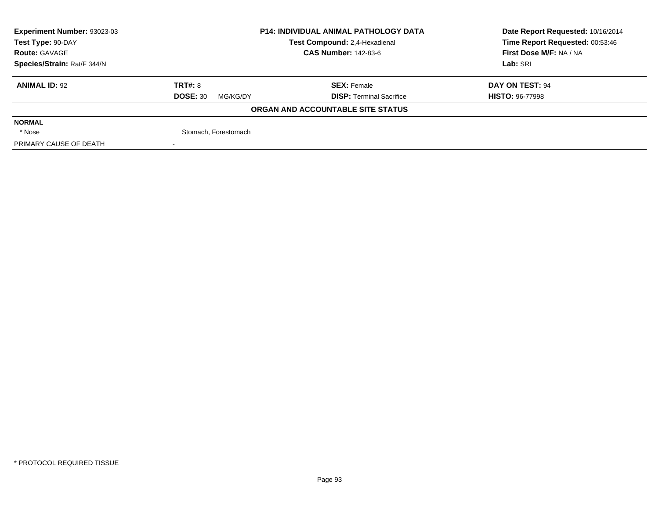| Experiment Number: 93023-03 |                             | <b>P14: INDIVIDUAL ANIMAL PATHOLOGY DATA</b> | Date Report Requested: 10/16/2014 |  |
|-----------------------------|-----------------------------|----------------------------------------------|-----------------------------------|--|
| Test Type: 90-DAY           |                             | Test Compound: 2,4-Hexadienal                | Time Report Requested: 00:53:46   |  |
| <b>Route: GAVAGE</b>        |                             | <b>CAS Number: 142-83-6</b>                  | First Dose M/F: NA / NA           |  |
| Species/Strain: Rat/F 344/N |                             |                                              | Lab: SRI                          |  |
| <b>ANIMAL ID: 92</b>        | <b>TRT#: 8</b>              | <b>SEX: Female</b>                           | DAY ON TEST: 94                   |  |
|                             | <b>DOSE: 30</b><br>MG/KG/DY | <b>DISP: Terminal Sacrifice</b>              | <b>HISTO: 96-77998</b>            |  |
|                             |                             | ORGAN AND ACCOUNTABLE SITE STATUS            |                                   |  |
| <b>NORMAL</b>               |                             |                                              |                                   |  |
| * Nose                      | Stomach, Forestomach        |                                              |                                   |  |
| PRIMARY CAUSE OF DEATH      |                             |                                              |                                   |  |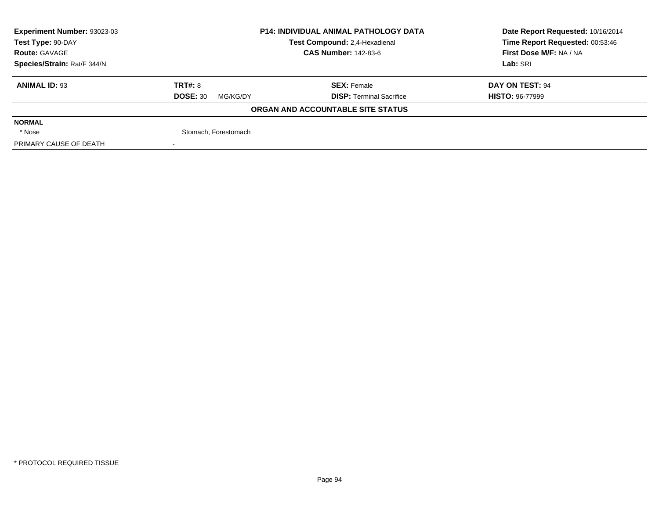| Experiment Number: 93023-03 |                             | <b>P14: INDIVIDUAL ANIMAL PATHOLOGY DATA</b> | Date Report Requested: 10/16/2014 |  |
|-----------------------------|-----------------------------|----------------------------------------------|-----------------------------------|--|
| Test Type: 90-DAY           |                             | Test Compound: 2,4-Hexadienal                | Time Report Requested: 00:53:46   |  |
| <b>Route: GAVAGE</b>        |                             | <b>CAS Number: 142-83-6</b>                  | First Dose M/F: NA / NA           |  |
| Species/Strain: Rat/F 344/N |                             |                                              | Lab: SRI                          |  |
| <b>ANIMAL ID: 93</b>        | <b>TRT#: 8</b>              | <b>SEX: Female</b>                           | DAY ON TEST: 94                   |  |
|                             | <b>DOSE: 30</b><br>MG/KG/DY | <b>DISP: Terminal Sacrifice</b>              | <b>HISTO: 96-77999</b>            |  |
|                             |                             | ORGAN AND ACCOUNTABLE SITE STATUS            |                                   |  |
| <b>NORMAL</b>               |                             |                                              |                                   |  |
| * Nose                      | Stomach, Forestomach        |                                              |                                   |  |
| PRIMARY CAUSE OF DEATH      |                             |                                              |                                   |  |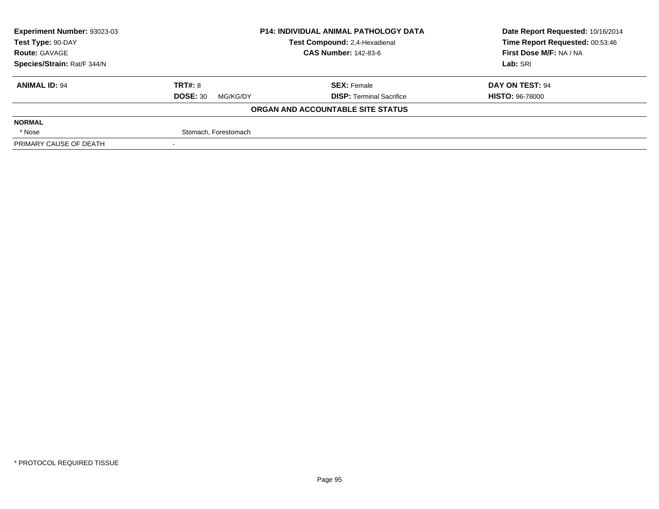| Experiment Number: 93023-03 |                             | <b>P14: INDIVIDUAL ANIMAL PATHOLOGY DATA</b> | Date Report Requested: 10/16/2014 |  |
|-----------------------------|-----------------------------|----------------------------------------------|-----------------------------------|--|
| Test Type: 90-DAY           |                             | Test Compound: 2,4-Hexadienal                | Time Report Requested: 00:53:46   |  |
| <b>Route: GAVAGE</b>        |                             | <b>CAS Number: 142-83-6</b>                  | First Dose M/F: NA / NA           |  |
| Species/Strain: Rat/F 344/N |                             |                                              | Lab: SRI                          |  |
| <b>ANIMAL ID: 94</b>        | <b>TRT#: 8</b>              | <b>SEX: Female</b>                           | DAY ON TEST: 94                   |  |
|                             | <b>DOSE: 30</b><br>MG/KG/DY | <b>DISP: Terminal Sacrifice</b>              | <b>HISTO: 96-78000</b>            |  |
|                             |                             | ORGAN AND ACCOUNTABLE SITE STATUS            |                                   |  |
| <b>NORMAL</b>               |                             |                                              |                                   |  |
| * Nose                      | Stomach, Forestomach        |                                              |                                   |  |
| PRIMARY CAUSE OF DEATH      |                             |                                              |                                   |  |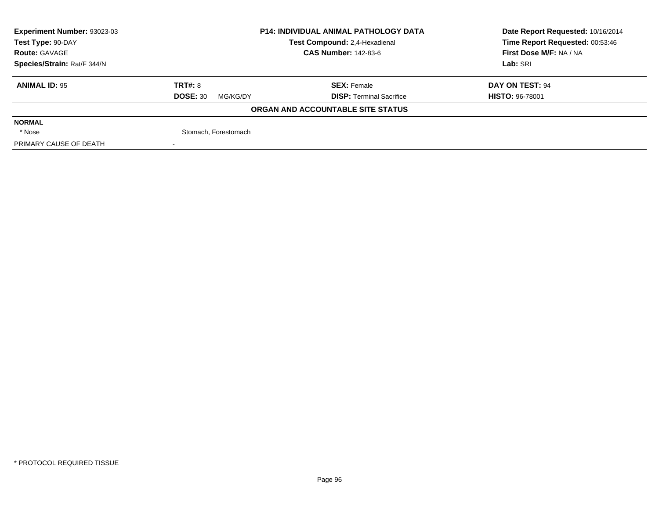| Experiment Number: 93023-03<br><b>P14: INDIVIDUAL ANIMAL PATHOLOGY DATA</b> |                             |                                   | Date Report Requested: 10/16/2014 |  |
|-----------------------------------------------------------------------------|-----------------------------|-----------------------------------|-----------------------------------|--|
| Test Type: 90-DAY                                                           |                             | Test Compound: 2,4-Hexadienal     | Time Report Requested: 00:53:46   |  |
| <b>Route: GAVAGE</b>                                                        |                             | <b>CAS Number: 142-83-6</b>       | First Dose M/F: NA / NA           |  |
| Species/Strain: Rat/F 344/N                                                 |                             |                                   | Lab: SRI                          |  |
| <b>ANIMAL ID: 95</b>                                                        | TRT#: 8                     | <b>SEX: Female</b>                | DAY ON TEST: 94                   |  |
|                                                                             | <b>DOSE: 30</b><br>MG/KG/DY | <b>DISP: Terminal Sacrifice</b>   | <b>HISTO: 96-78001</b>            |  |
|                                                                             |                             | ORGAN AND ACCOUNTABLE SITE STATUS |                                   |  |
| <b>NORMAL</b>                                                               |                             |                                   |                                   |  |
| * Nose                                                                      | Stomach, Forestomach        |                                   |                                   |  |
| PRIMARY CAUSE OF DEATH                                                      |                             |                                   |                                   |  |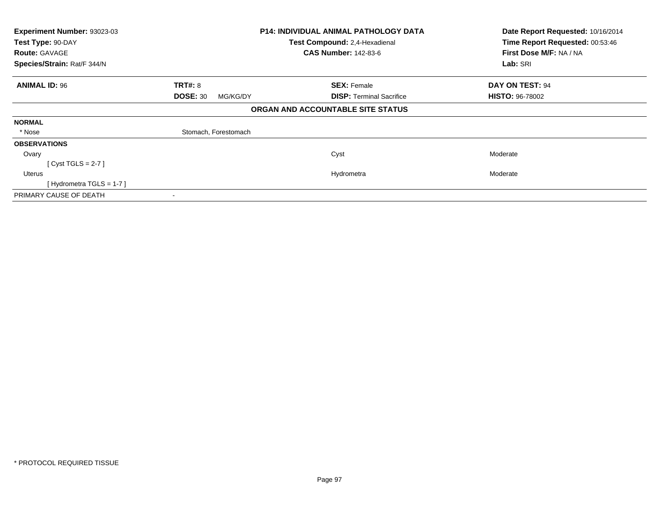| Experiment Number: 93023-03            | <b>P14: INDIVIDUAL ANIMAL PATHOLOGY DATA</b><br>Test Compound: 2,4-Hexadienal |                                   | Date Report Requested: 10/16/2014<br>Time Report Requested: 00:53:46 |
|----------------------------------------|-------------------------------------------------------------------------------|-----------------------------------|----------------------------------------------------------------------|
| Test Type: 90-DAY                      |                                                                               |                                   |                                                                      |
| <b>Route: GAVAGE</b>                   |                                                                               | <b>CAS Number: 142-83-6</b>       | First Dose M/F: NA / NA                                              |
| Species/Strain: Rat/F 344/N            |                                                                               |                                   | Lab: SRI                                                             |
| <b>TRT#: 8</b><br><b>ANIMAL ID: 96</b> |                                                                               | <b>SEX: Female</b>                | DAY ON TEST: 94                                                      |
|                                        | <b>DOSE: 30</b><br>MG/KG/DY                                                   | <b>DISP:</b> Terminal Sacrifice   | <b>HISTO: 96-78002</b>                                               |
|                                        |                                                                               | ORGAN AND ACCOUNTABLE SITE STATUS |                                                                      |
| <b>NORMAL</b>                          |                                                                               |                                   |                                                                      |
| * Nose                                 | Stomach, Forestomach                                                          |                                   |                                                                      |
| <b>OBSERVATIONS</b>                    |                                                                               |                                   |                                                                      |
| Ovary                                  |                                                                               | Cyst                              | Moderate                                                             |
| [Cyst TGLS = $2-7$ ]                   |                                                                               |                                   |                                                                      |
| Uterus                                 |                                                                               | Hydrometra                        | Moderate                                                             |
| [Hydrometra TGLS = $1-7$ ]             |                                                                               |                                   |                                                                      |
| PRIMARY CAUSE OF DEATH                 |                                                                               |                                   |                                                                      |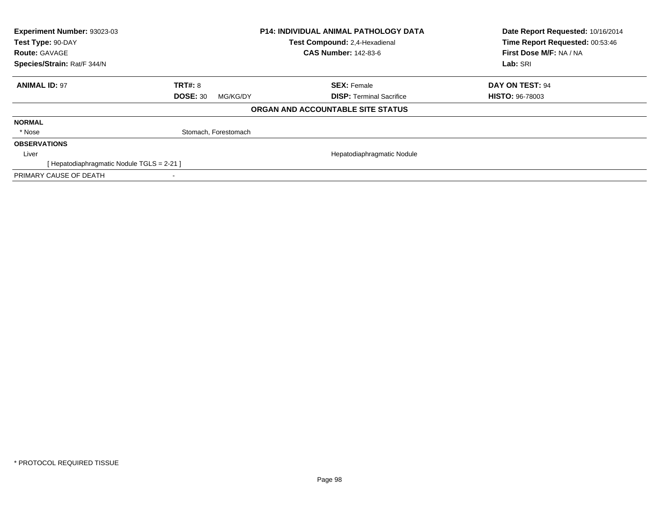| Experiment Number: 93023-03<br>Test Type: 90-DAY<br><b>Route: GAVAGE</b> |                             | <b>P14: INDIVIDUAL ANIMAL PATHOLOGY DATA</b><br>Test Compound: 2,4-Hexadienal<br><b>CAS Number: 142-83-6</b> | Date Report Requested: 10/16/2014<br>Time Report Requested: 00:53:46<br>First Dose M/F: NA / NA |
|--------------------------------------------------------------------------|-----------------------------|--------------------------------------------------------------------------------------------------------------|-------------------------------------------------------------------------------------------------|
| Species/Strain: Rat/F 344/N                                              |                             |                                                                                                              | Lab: SRI                                                                                        |
| <b>ANIMAL ID: 97</b>                                                     | <b>TRT#: 8</b>              | <b>SEX: Female</b>                                                                                           | DAY ON TEST: 94                                                                                 |
|                                                                          | <b>DOSE: 30</b><br>MG/KG/DY | <b>DISP:</b> Terminal Sacrifice                                                                              | <b>HISTO: 96-78003</b>                                                                          |
|                                                                          |                             | ORGAN AND ACCOUNTABLE SITE STATUS                                                                            |                                                                                                 |
| <b>NORMAL</b>                                                            |                             |                                                                                                              |                                                                                                 |
| * Nose                                                                   | Stomach, Forestomach        |                                                                                                              |                                                                                                 |
| <b>OBSERVATIONS</b>                                                      |                             |                                                                                                              |                                                                                                 |
| Liver                                                                    |                             | Hepatodiaphragmatic Nodule                                                                                   |                                                                                                 |
| [Hepatodiaphragmatic Nodule TGLS = 2-21 ]                                |                             |                                                                                                              |                                                                                                 |
| PRIMARY CAUSE OF DEATH                                                   |                             |                                                                                                              |                                                                                                 |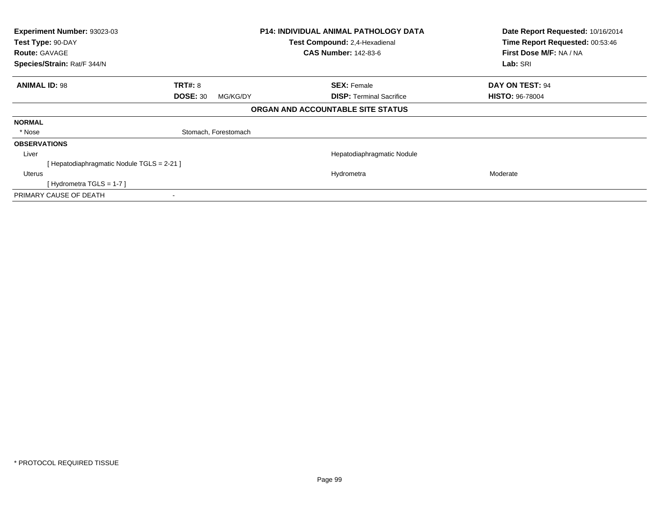| Experiment Number: 93023-03<br>Test Type: 90-DAY | <b>P14: INDIVIDUAL ANIMAL PATHOLOGY DATA</b><br>Test Compound: 2,4-Hexadienal |                                   | Date Report Requested: 10/16/2014<br>Time Report Requested: 00:53:46 |  |
|--------------------------------------------------|-------------------------------------------------------------------------------|-----------------------------------|----------------------------------------------------------------------|--|
| <b>Route: GAVAGE</b>                             |                                                                               | <b>CAS Number: 142-83-6</b>       | First Dose M/F: NA / NA                                              |  |
| Species/Strain: Rat/F 344/N                      |                                                                               |                                   | Lab: SRI                                                             |  |
| <b>ANIMAL ID: 98</b>                             | <b>TRT#: 8</b>                                                                | <b>SEX: Female</b>                | DAY ON TEST: 94                                                      |  |
|                                                  | <b>DOSE: 30</b><br>MG/KG/DY                                                   | <b>DISP:</b> Terminal Sacrifice   | <b>HISTO: 96-78004</b>                                               |  |
|                                                  |                                                                               | ORGAN AND ACCOUNTABLE SITE STATUS |                                                                      |  |
| <b>NORMAL</b>                                    |                                                                               |                                   |                                                                      |  |
| * Nose                                           | Stomach, Forestomach                                                          |                                   |                                                                      |  |
| <b>OBSERVATIONS</b>                              |                                                                               |                                   |                                                                      |  |
| Liver                                            |                                                                               | Hepatodiaphragmatic Nodule        |                                                                      |  |
| Hepatodiaphragmatic Nodule TGLS = 2-21 ]         |                                                                               |                                   |                                                                      |  |
| Uterus                                           |                                                                               | Hydrometra                        | Moderate                                                             |  |
| [Hydrometra TGLS = 1-7 ]                         |                                                                               |                                   |                                                                      |  |
| PRIMARY CAUSE OF DEATH                           |                                                                               |                                   |                                                                      |  |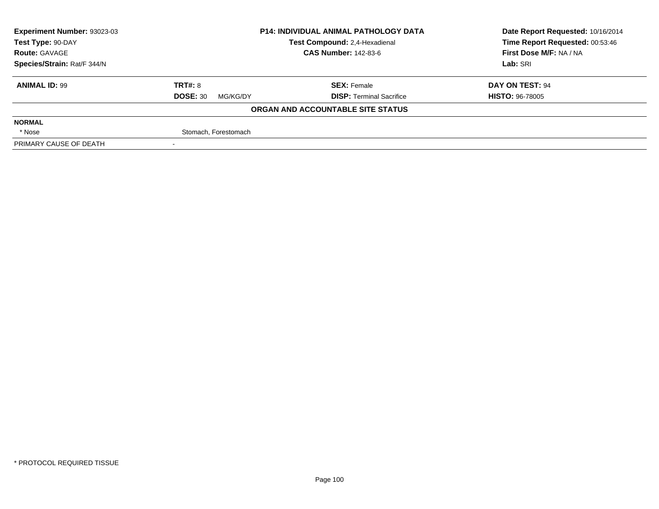| Experiment Number: 93023-03 | <b>P14: INDIVIDUAL ANIMAL PATHOLOGY DATA</b> |                                   | Date Report Requested: 10/16/2014 |  |
|-----------------------------|----------------------------------------------|-----------------------------------|-----------------------------------|--|
| Test Type: 90-DAY           |                                              | Test Compound: 2,4-Hexadienal     | Time Report Requested: 00:53:46   |  |
| <b>Route: GAVAGE</b>        |                                              | <b>CAS Number: 142-83-6</b>       | First Dose M/F: NA / NA           |  |
| Species/Strain: Rat/F 344/N |                                              |                                   | Lab: SRI                          |  |
| <b>ANIMAL ID: 99</b>        | <b>TRT#: 8</b>                               | <b>SEX: Female</b>                | DAY ON TEST: 94                   |  |
|                             | <b>DOSE: 30</b><br>MG/KG/DY                  | <b>DISP: Terminal Sacrifice</b>   | <b>HISTO: 96-78005</b>            |  |
|                             |                                              | ORGAN AND ACCOUNTABLE SITE STATUS |                                   |  |
| <b>NORMAL</b>               |                                              |                                   |                                   |  |
| * Nose                      | Stomach, Forestomach                         |                                   |                                   |  |
| PRIMARY CAUSE OF DEATH      |                                              |                                   |                                   |  |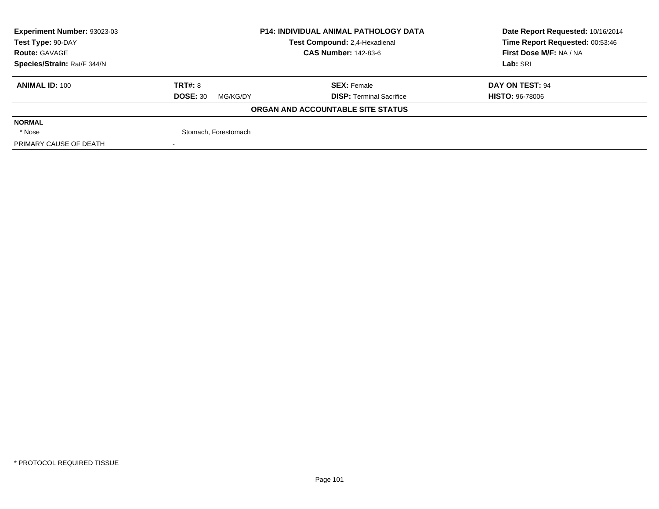| Experiment Number: 93023-03 | <b>P14: INDIVIDUAL ANIMAL PATHOLOGY DATA</b> |                                   | Date Report Requested: 10/16/2014 |  |
|-----------------------------|----------------------------------------------|-----------------------------------|-----------------------------------|--|
| Test Type: 90-DAY           |                                              | Test Compound: 2,4-Hexadienal     | Time Report Requested: 00:53:46   |  |
| <b>Route: GAVAGE</b>        |                                              | <b>CAS Number: 142-83-6</b>       | First Dose M/F: NA / NA           |  |
| Species/Strain: Rat/F 344/N |                                              |                                   | Lab: SRI                          |  |
| <b>ANIMAL ID: 100</b>       | <b>TRT#: 8</b>                               | <b>SEX: Female</b>                | DAY ON TEST: 94                   |  |
|                             | <b>DOSE: 30</b><br>MG/KG/DY                  | <b>DISP: Terminal Sacrifice</b>   | <b>HISTO: 96-78006</b>            |  |
|                             |                                              | ORGAN AND ACCOUNTABLE SITE STATUS |                                   |  |
| <b>NORMAL</b>               |                                              |                                   |                                   |  |
| * Nose                      | Stomach, Forestomach                         |                                   |                                   |  |
| PRIMARY CAUSE OF DEATH      |                                              |                                   |                                   |  |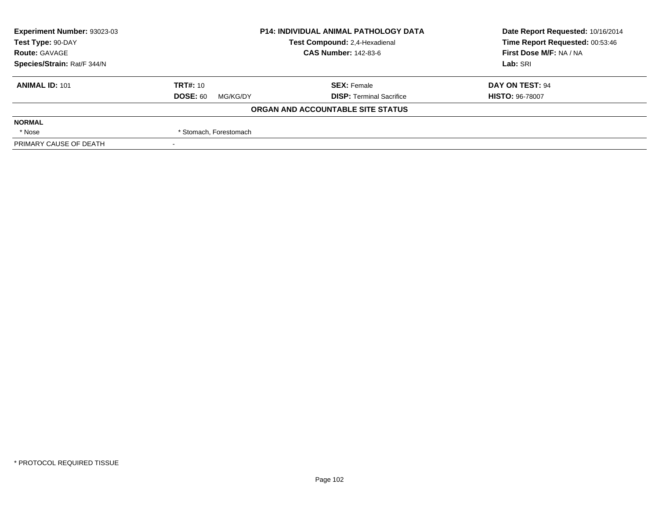| Experiment Number: 93023-03 | <b>P14: INDIVIDUAL ANIMAL PATHOLOGY DATA</b> |                                   | Date Report Requested: 10/16/2014 |  |
|-----------------------------|----------------------------------------------|-----------------------------------|-----------------------------------|--|
| Test Type: 90-DAY           |                                              | Test Compound: 2,4-Hexadienal     | Time Report Requested: 00:53:46   |  |
| <b>Route: GAVAGE</b>        |                                              | <b>CAS Number: 142-83-6</b>       | First Dose M/F: NA / NA           |  |
| Species/Strain: Rat/F 344/N |                                              |                                   | Lab: SRI                          |  |
| <b>ANIMAL ID: 101</b>       | <b>TRT#: 10</b>                              | <b>SEX: Female</b>                | DAY ON TEST: 94                   |  |
|                             | <b>DOSE: 60</b><br>MG/KG/DY                  | <b>DISP: Terminal Sacrifice</b>   | <b>HISTO: 96-78007</b>            |  |
|                             |                                              | ORGAN AND ACCOUNTABLE SITE STATUS |                                   |  |
| <b>NORMAL</b>               |                                              |                                   |                                   |  |
| * Nose                      | * Stomach, Forestomach                       |                                   |                                   |  |
| PRIMARY CAUSE OF DEATH      |                                              |                                   |                                   |  |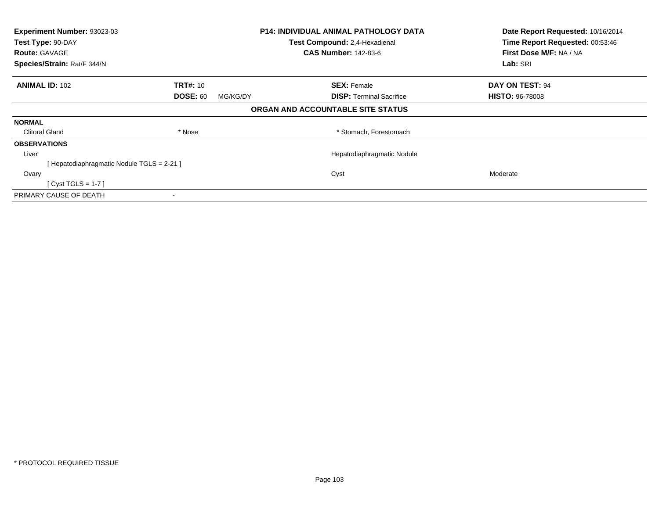| <b>P14: INDIVIDUAL ANIMAL PATHOLOGY DATA</b><br>Experiment Number: 93023-03 |                                 |
|-----------------------------------------------------------------------------|---------------------------------|
| Test Compound: 2,4-Hexadienal                                               | Time Report Requested: 00:53:46 |
| <b>CAS Number: 142-83-6</b>                                                 | First Dose M/F: NA / NA         |
|                                                                             | Lab: SRI                        |
| <b>SEX: Female</b>                                                          | DAY ON TEST: 94                 |
| <b>DISP: Terminal Sacrifice</b><br>MG/KG/DY                                 | <b>HISTO: 96-78008</b>          |
| ORGAN AND ACCOUNTABLE SITE STATUS                                           |                                 |
|                                                                             |                                 |
| * Stomach, Forestomach                                                      |                                 |
|                                                                             |                                 |
| Hepatodiaphragmatic Nodule                                                  |                                 |
|                                                                             |                                 |
| Cyst                                                                        | Moderate                        |
|                                                                             |                                 |
|                                                                             |                                 |
|                                                                             |                                 |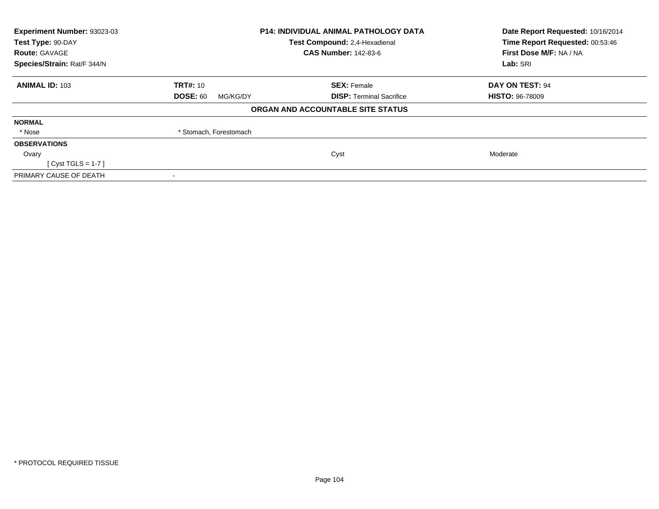| Experiment Number: 93023-03<br>Test Type: 90-DAY<br><b>Route: GAVAGE</b> | <b>P14: INDIVIDUAL ANIMAL PATHOLOGY DATA</b><br>Test Compound: 2,4-Hexadienal<br><b>CAS Number: 142-83-6</b> |                                   | Date Report Requested: 10/16/2014<br>Time Report Requested: 00:53:46<br>First Dose M/F: NA / NA |  |
|--------------------------------------------------------------------------|--------------------------------------------------------------------------------------------------------------|-----------------------------------|-------------------------------------------------------------------------------------------------|--|
| Species/Strain: Rat/F 344/N                                              |                                                                                                              |                                   | Lab: SRI                                                                                        |  |
| <b>ANIMAL ID: 103</b>                                                    | TRT#: 10                                                                                                     | <b>SEX: Female</b>                | DAY ON TEST: 94                                                                                 |  |
|                                                                          | <b>DOSE: 60</b><br>MG/KG/DY                                                                                  | <b>DISP:</b> Terminal Sacrifice   | <b>HISTO: 96-78009</b>                                                                          |  |
|                                                                          |                                                                                                              | ORGAN AND ACCOUNTABLE SITE STATUS |                                                                                                 |  |
| <b>NORMAL</b>                                                            |                                                                                                              |                                   |                                                                                                 |  |
| * Nose                                                                   | * Stomach, Forestomach                                                                                       |                                   |                                                                                                 |  |
| <b>OBSERVATIONS</b>                                                      |                                                                                                              |                                   |                                                                                                 |  |
| Ovary                                                                    |                                                                                                              | Cyst                              | Moderate                                                                                        |  |
| $Cyst TGLS = 1-7$                                                        |                                                                                                              |                                   |                                                                                                 |  |
| PRIMARY CAUSE OF DEATH                                                   |                                                                                                              |                                   |                                                                                                 |  |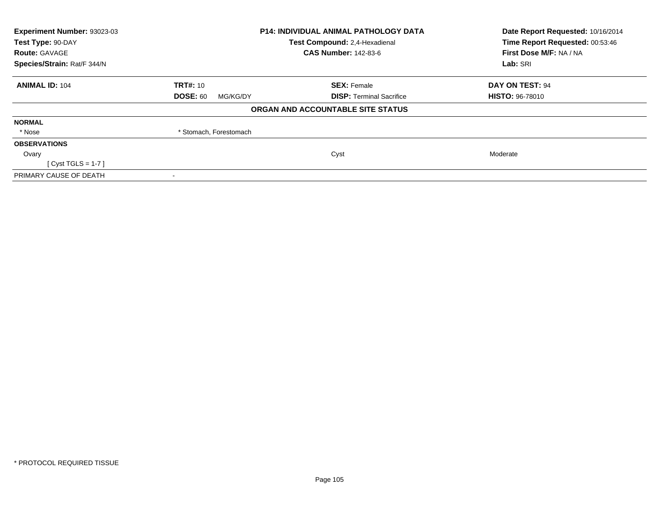| Experiment Number: 93023-03<br>Test Type: 90-DAY<br><b>Route: GAVAGE</b> | <b>P14: INDIVIDUAL ANIMAL PATHOLOGY DATA</b><br>Test Compound: 2,4-Hexadienal<br><b>CAS Number: 142-83-6</b> |                                   | Date Report Requested: 10/16/2014<br>Time Report Requested: 00:53:46<br>First Dose M/F: NA / NA |  |
|--------------------------------------------------------------------------|--------------------------------------------------------------------------------------------------------------|-----------------------------------|-------------------------------------------------------------------------------------------------|--|
| Species/Strain: Rat/F 344/N                                              |                                                                                                              |                                   | Lab: SRI                                                                                        |  |
| <b>ANIMAL ID: 104</b>                                                    | TRT#: 10                                                                                                     | <b>SEX: Female</b>                | DAY ON TEST: 94                                                                                 |  |
|                                                                          | <b>DOSE: 60</b><br>MG/KG/DY                                                                                  | <b>DISP:</b> Terminal Sacrifice   | <b>HISTO: 96-78010</b>                                                                          |  |
|                                                                          |                                                                                                              | ORGAN AND ACCOUNTABLE SITE STATUS |                                                                                                 |  |
| <b>NORMAL</b>                                                            |                                                                                                              |                                   |                                                                                                 |  |
| * Nose                                                                   | * Stomach, Forestomach                                                                                       |                                   |                                                                                                 |  |
| <b>OBSERVATIONS</b>                                                      |                                                                                                              |                                   |                                                                                                 |  |
| Ovary                                                                    |                                                                                                              | Cyst                              | Moderate                                                                                        |  |
| $Cyst TGLS = 1-7$                                                        |                                                                                                              |                                   |                                                                                                 |  |
| PRIMARY CAUSE OF DEATH                                                   |                                                                                                              |                                   |                                                                                                 |  |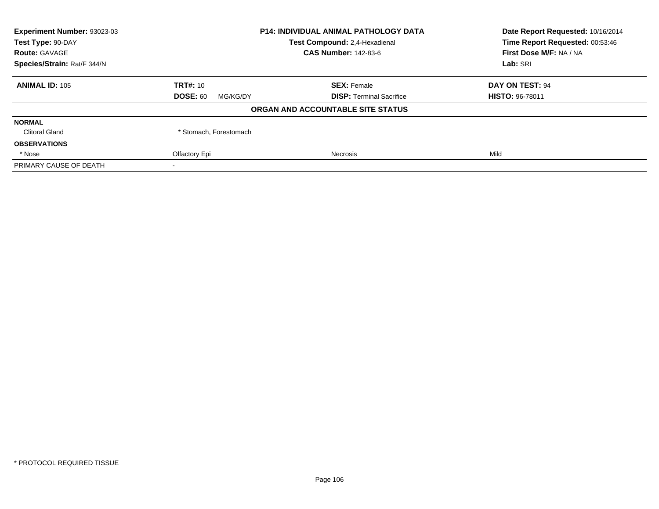| <b>Experiment Number: 93023-03</b> | <b>P14: INDIVIDUAL ANIMAL PATHOLOGY DATA</b> |                                   | Date Report Requested: 10/16/2014 |
|------------------------------------|----------------------------------------------|-----------------------------------|-----------------------------------|
| Test Type: 90-DAY                  |                                              | Test Compound: 2,4-Hexadienal     | Time Report Requested: 00:53:46   |
| <b>Route: GAVAGE</b>               |                                              | <b>CAS Number: 142-83-6</b>       | First Dose M/F: NA / NA           |
| Species/Strain: Rat/F 344/N        |                                              |                                   | Lab: SRI                          |
| <b>ANIMAL ID: 105</b>              | <b>TRT#: 10</b>                              | <b>SEX: Female</b>                | DAY ON TEST: 94                   |
|                                    | <b>DOSE: 60</b><br>MG/KG/DY                  | <b>DISP:</b> Terminal Sacrifice   | <b>HISTO: 96-78011</b>            |
|                                    |                                              | ORGAN AND ACCOUNTABLE SITE STATUS |                                   |
| <b>NORMAL</b>                      |                                              |                                   |                                   |
| <b>Clitoral Gland</b>              | * Stomach, Forestomach                       |                                   |                                   |
| <b>OBSERVATIONS</b>                |                                              |                                   |                                   |
| * Nose                             | Olfactory Epi                                | Necrosis                          | Mild                              |
| PRIMARY CAUSE OF DEATH             |                                              |                                   |                                   |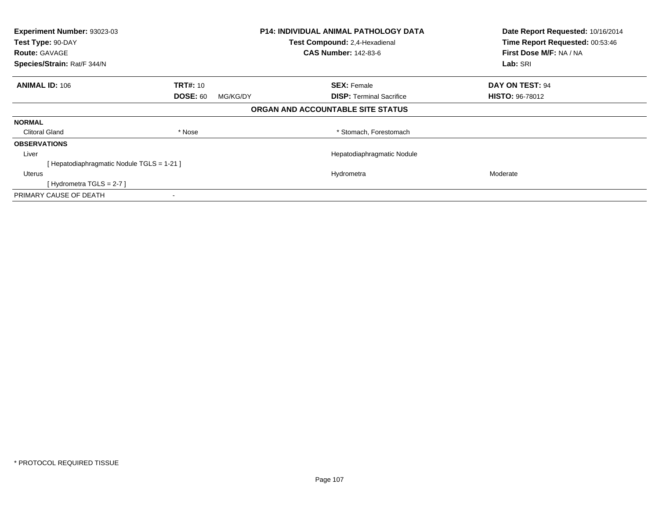| Experiment Number: 93023-03<br>Test Type: 90-DAY |                             | <b>P14: INDIVIDUAL ANIMAL PATHOLOGY DATA</b><br>Test Compound: 2,4-Hexadienal | Date Report Requested: 10/16/2014<br>Time Report Requested: 00:53:46 |
|--------------------------------------------------|-----------------------------|-------------------------------------------------------------------------------|----------------------------------------------------------------------|
| <b>Route: GAVAGE</b>                             |                             | <b>CAS Number: 142-83-6</b>                                                   | First Dose M/F: NA / NA                                              |
| Species/Strain: Rat/F 344/N                      |                             |                                                                               | Lab: SRI                                                             |
| <b>ANIMAL ID: 106</b>                            | <b>TRT#: 10</b>             | <b>SEX: Female</b>                                                            | <b>DAY ON TEST: 94</b>                                               |
|                                                  | <b>DOSE: 60</b><br>MG/KG/DY | <b>DISP:</b> Terminal Sacrifice                                               | <b>HISTO: 96-78012</b>                                               |
|                                                  |                             | ORGAN AND ACCOUNTABLE SITE STATUS                                             |                                                                      |
| <b>NORMAL</b>                                    |                             |                                                                               |                                                                      |
| <b>Clitoral Gland</b>                            | * Nose                      | * Stomach, Forestomach                                                        |                                                                      |
| <b>OBSERVATIONS</b>                              |                             |                                                                               |                                                                      |
| Liver                                            |                             | Hepatodiaphragmatic Nodule                                                    |                                                                      |
| [ Hepatodiaphragmatic Nodule TGLS = 1-21 ]       |                             |                                                                               |                                                                      |
| <b>Uterus</b>                                    |                             | Hydrometra                                                                    | Moderate                                                             |
| [Hydrometra TGLS = $2-7$ ]                       |                             |                                                                               |                                                                      |
| PRIMARY CAUSE OF DEATH                           |                             |                                                                               |                                                                      |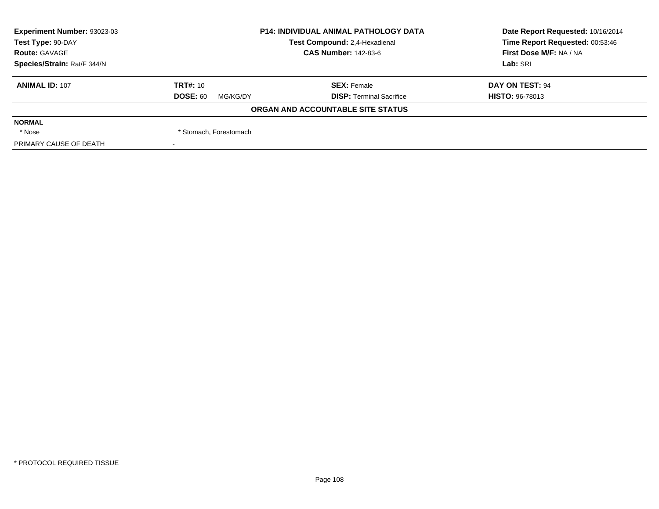| Experiment Number: 93023-03 | <b>P14: INDIVIDUAL ANIMAL PATHOLOGY DATA</b> |                                   | Date Report Requested: 10/16/2014 |  |
|-----------------------------|----------------------------------------------|-----------------------------------|-----------------------------------|--|
| Test Type: 90-DAY           |                                              | Test Compound: 2,4-Hexadienal     | Time Report Requested: 00:53:46   |  |
| <b>Route: GAVAGE</b>        |                                              | <b>CAS Number: 142-83-6</b>       | First Dose M/F: NA / NA           |  |
| Species/Strain: Rat/F 344/N |                                              |                                   | Lab: SRI                          |  |
| <b>ANIMAL ID: 107</b>       | <b>TRT#: 10</b>                              | <b>SEX: Female</b>                | DAY ON TEST: 94                   |  |
|                             | <b>DOSE: 60</b><br>MG/KG/DY                  | <b>DISP: Terminal Sacrifice</b>   | <b>HISTO: 96-78013</b>            |  |
|                             |                                              | ORGAN AND ACCOUNTABLE SITE STATUS |                                   |  |
| <b>NORMAL</b>               |                                              |                                   |                                   |  |
| * Nose                      | * Stomach, Forestomach                       |                                   |                                   |  |
| PRIMARY CAUSE OF DEATH      |                                              |                                   |                                   |  |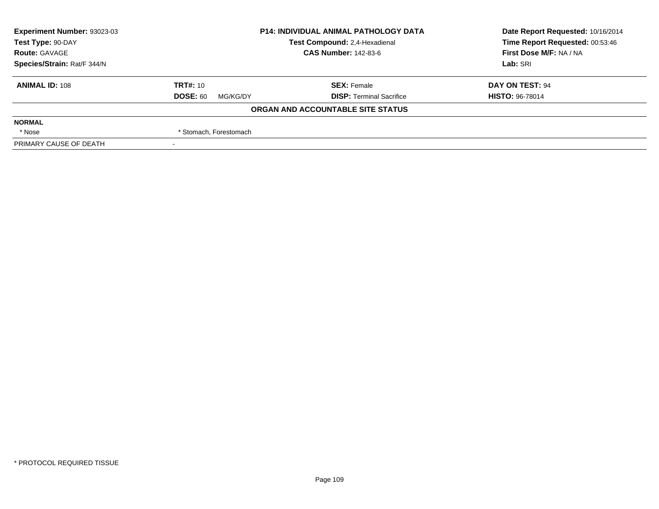| Experiment Number: 93023-03 | <b>P14: INDIVIDUAL ANIMAL PATHOLOGY DATA</b> |                                   | Date Report Requested: 10/16/2014 |  |
|-----------------------------|----------------------------------------------|-----------------------------------|-----------------------------------|--|
| Test Type: 90-DAY           |                                              | Test Compound: 2,4-Hexadienal     | Time Report Requested: 00:53:46   |  |
| <b>Route: GAVAGE</b>        |                                              | <b>CAS Number: 142-83-6</b>       | First Dose M/F: NA / NA           |  |
| Species/Strain: Rat/F 344/N |                                              |                                   | Lab: SRI                          |  |
| <b>ANIMAL ID: 108</b>       | <b>TRT#: 10</b>                              | <b>SEX: Female</b>                | DAY ON TEST: 94                   |  |
|                             | <b>DOSE: 60</b><br>MG/KG/DY                  | <b>DISP: Terminal Sacrifice</b>   | <b>HISTO: 96-78014</b>            |  |
|                             |                                              | ORGAN AND ACCOUNTABLE SITE STATUS |                                   |  |
| <b>NORMAL</b>               |                                              |                                   |                                   |  |
| * Nose                      | * Stomach, Forestomach                       |                                   |                                   |  |
| PRIMARY CAUSE OF DEATH      |                                              |                                   |                                   |  |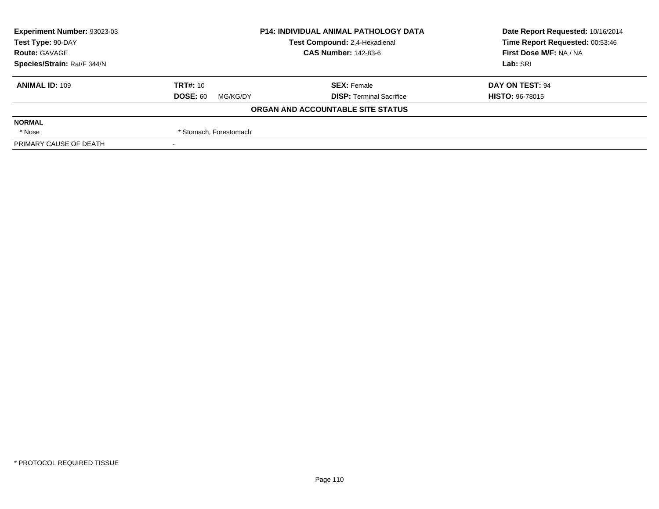| Experiment Number: 93023-03 | <b>P14: INDIVIDUAL ANIMAL PATHOLOGY DATA</b> |                                   | Date Report Requested: 10/16/2014 |  |
|-----------------------------|----------------------------------------------|-----------------------------------|-----------------------------------|--|
| Test Type: 90-DAY           |                                              | Test Compound: 2,4-Hexadienal     | Time Report Requested: 00:53:46   |  |
| <b>Route: GAVAGE</b>        |                                              | <b>CAS Number: 142-83-6</b>       | First Dose M/F: NA / NA           |  |
| Species/Strain: Rat/F 344/N |                                              |                                   | Lab: SRI                          |  |
| <b>ANIMAL ID: 109</b>       | <b>TRT#: 10</b>                              | <b>SEX: Female</b>                | DAY ON TEST: 94                   |  |
|                             | <b>DOSE: 60</b><br>MG/KG/DY                  | <b>DISP: Terminal Sacrifice</b>   | <b>HISTO: 96-78015</b>            |  |
|                             |                                              | ORGAN AND ACCOUNTABLE SITE STATUS |                                   |  |
| <b>NORMAL</b>               |                                              |                                   |                                   |  |
| * Nose                      | * Stomach, Forestomach                       |                                   |                                   |  |
| PRIMARY CAUSE OF DEATH      |                                              |                                   |                                   |  |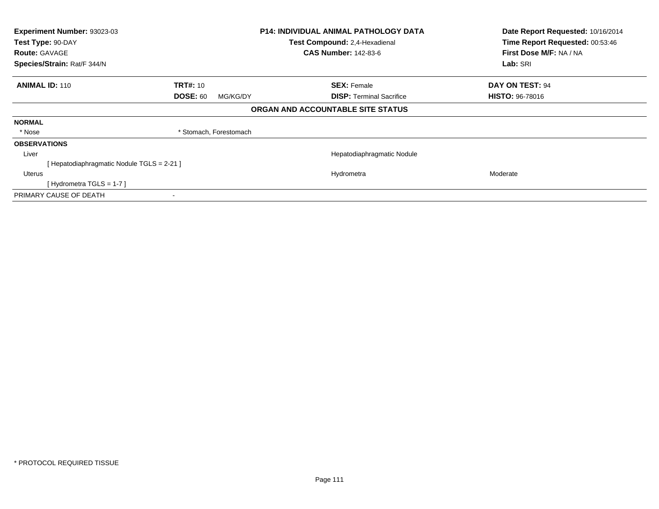| Test Type: 90-DAY<br><b>Route: GAVAGE</b> | Experiment Number: 93023-03<br><b>P14: INDIVIDUAL ANIMAL PATHOLOGY DATA</b><br>Test Compound: 2,4-Hexadienal<br><b>CAS Number: 142-83-6</b> |                                             | Date Report Requested: 10/16/2014<br>Time Report Requested: 00:53:46<br>First Dose M/F: NA / NA |  |
|-------------------------------------------|---------------------------------------------------------------------------------------------------------------------------------------------|---------------------------------------------|-------------------------------------------------------------------------------------------------|--|
| Species/Strain: Rat/F 344/N               |                                                                                                                                             |                                             | Lab: SRI                                                                                        |  |
| <b>ANIMAL ID: 110</b>                     | <b>TRT#: 10</b>                                                                                                                             | <b>SEX: Female</b>                          | DAY ON TEST: 94                                                                                 |  |
|                                           | <b>DOSE: 60</b>                                                                                                                             | <b>DISP:</b> Terminal Sacrifice<br>MG/KG/DY | <b>HISTO: 96-78016</b>                                                                          |  |
|                                           |                                                                                                                                             | ORGAN AND ACCOUNTABLE SITE STATUS           |                                                                                                 |  |
| <b>NORMAL</b>                             |                                                                                                                                             |                                             |                                                                                                 |  |
| * Nose                                    | * Stomach, Forestomach                                                                                                                      |                                             |                                                                                                 |  |
| <b>OBSERVATIONS</b>                       |                                                                                                                                             |                                             |                                                                                                 |  |
| Liver                                     |                                                                                                                                             | Hepatodiaphragmatic Nodule                  |                                                                                                 |  |
|                                           | Hepatodiaphragmatic Nodule TGLS = 2-21 ]                                                                                                    |                                             |                                                                                                 |  |
| <b>Uterus</b>                             |                                                                                                                                             | Hydrometra                                  | Moderate                                                                                        |  |
|                                           | [Hydrometra TGLS = 1-7 ]                                                                                                                    |                                             |                                                                                                 |  |
| PRIMARY CAUSE OF DEATH                    | ۰                                                                                                                                           |                                             |                                                                                                 |  |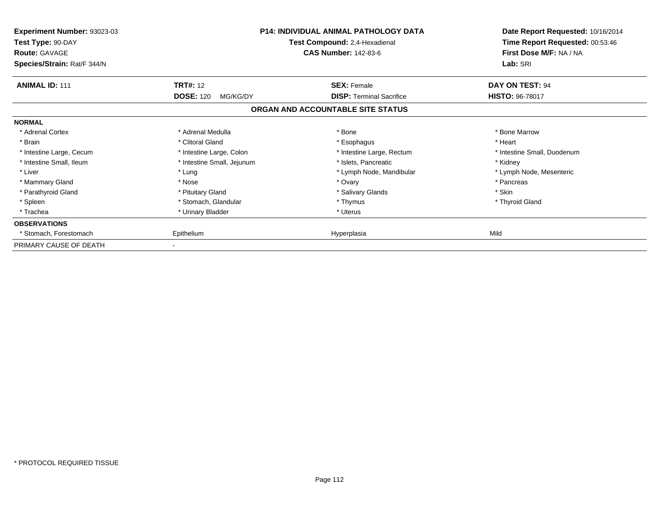| <b>Experiment Number: 93023-03</b><br>Test Type: 90-DAY<br><b>Route: GAVAGE</b><br>Species/Strain: Rat/F 344/N |                              | <b>P14: INDIVIDUAL ANIMAL PATHOLOGY DATA</b><br>Test Compound: 2,4-Hexadienal<br><b>CAS Number: 142-83-6</b> | Date Report Requested: 10/16/2014<br>Time Report Requested: 00:53:46<br>First Dose M/F: NA / NA<br>Lab: SRI |
|----------------------------------------------------------------------------------------------------------------|------------------------------|--------------------------------------------------------------------------------------------------------------|-------------------------------------------------------------------------------------------------------------|
| <b>ANIMAL ID: 111</b>                                                                                          | <b>TRT#: 12</b>              | <b>SEX: Female</b>                                                                                           | DAY ON TEST: 94                                                                                             |
|                                                                                                                | <b>DOSE: 120</b><br>MG/KG/DY | <b>DISP:</b> Terminal Sacrifice                                                                              | <b>HISTO: 96-78017</b>                                                                                      |
|                                                                                                                |                              | ORGAN AND ACCOUNTABLE SITE STATUS                                                                            |                                                                                                             |
| <b>NORMAL</b>                                                                                                  |                              |                                                                                                              |                                                                                                             |
| * Adrenal Cortex                                                                                               | * Adrenal Medulla            | * Bone                                                                                                       | * Bone Marrow                                                                                               |
| * Brain                                                                                                        | * Clitoral Gland             | * Esophagus                                                                                                  | * Heart                                                                                                     |
| * Intestine Large, Cecum                                                                                       | * Intestine Large, Colon     | * Intestine Large, Rectum                                                                                    | * Intestine Small, Duodenum                                                                                 |
| * Intestine Small, Ileum                                                                                       | * Intestine Small, Jejunum   | * Islets, Pancreatic                                                                                         | * Kidney                                                                                                    |
| * Liver                                                                                                        | * Lung                       | * Lymph Node, Mandibular                                                                                     | * Lymph Node, Mesenteric                                                                                    |
| * Mammary Gland                                                                                                | * Nose                       | * Ovary                                                                                                      | * Pancreas                                                                                                  |
| * Parathyroid Gland                                                                                            | * Pituitary Gland            | * Salivary Glands                                                                                            | * Skin                                                                                                      |
| * Spleen                                                                                                       | * Stomach, Glandular         | * Thymus                                                                                                     | * Thyroid Gland                                                                                             |
| * Trachea                                                                                                      | * Urinary Bladder            | * Uterus                                                                                                     |                                                                                                             |
| <b>OBSERVATIONS</b>                                                                                            |                              |                                                                                                              |                                                                                                             |
| * Stomach, Forestomach                                                                                         | Epithelium                   | Hyperplasia                                                                                                  | Mild                                                                                                        |
| PRIMARY CAUSE OF DEATH                                                                                         |                              |                                                                                                              |                                                                                                             |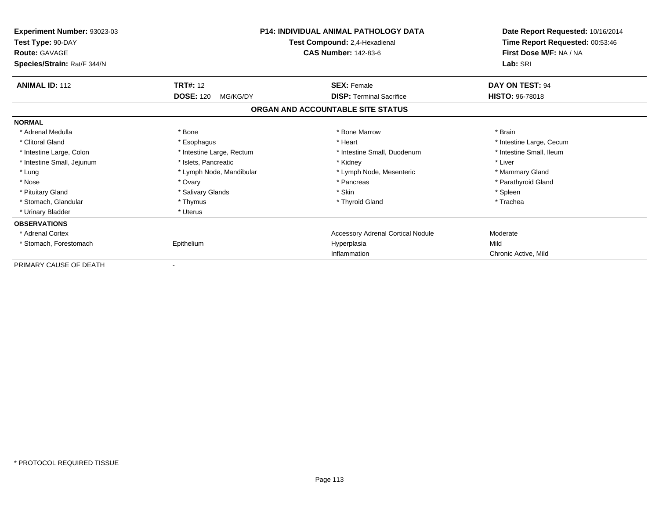| Experiment Number: 93023-03<br>Test Type: 90-DAY<br><b>Route: GAVAGE</b><br>Species/Strain: Rat/F 344/N |                                                 | <b>P14: INDIVIDUAL ANIMAL PATHOLOGY DATA</b><br>Test Compound: 2,4-Hexadienal<br><b>CAS Number: 142-83-6</b> | Date Report Requested: 10/16/2014<br>Time Report Requested: 00:53:46<br>First Dose M/F: NA / NA<br>Lab: SRI |  |
|---------------------------------------------------------------------------------------------------------|-------------------------------------------------|--------------------------------------------------------------------------------------------------------------|-------------------------------------------------------------------------------------------------------------|--|
| <b>ANIMAL ID: 112</b>                                                                                   | <b>TRT#: 12</b><br><b>DOSE: 120</b><br>MG/KG/DY | <b>SEX: Female</b><br><b>DISP: Terminal Sacrifice</b>                                                        | DAY ON TEST: 94<br><b>HISTO: 96-78018</b>                                                                   |  |
|                                                                                                         |                                                 | ORGAN AND ACCOUNTABLE SITE STATUS                                                                            |                                                                                                             |  |
| <b>NORMAL</b>                                                                                           |                                                 |                                                                                                              |                                                                                                             |  |
| * Adrenal Medulla                                                                                       | * Bone                                          | * Bone Marrow                                                                                                | * Brain                                                                                                     |  |
| * Clitoral Gland                                                                                        | * Esophagus                                     | * Heart                                                                                                      | * Intestine Large, Cecum                                                                                    |  |
| * Intestine Large, Colon                                                                                | * Intestine Large, Rectum                       | * Intestine Small, Duodenum                                                                                  | * Intestine Small, Ileum                                                                                    |  |
| * Intestine Small, Jejunum                                                                              | * Islets, Pancreatic                            | * Kidney                                                                                                     | * Liver                                                                                                     |  |
| * Lung                                                                                                  | * Lymph Node, Mandibular                        | * Lymph Node, Mesenteric                                                                                     | * Mammary Gland                                                                                             |  |
| * Nose                                                                                                  | * Ovary                                         | * Pancreas                                                                                                   | * Parathyroid Gland                                                                                         |  |
| * Pituitary Gland                                                                                       | * Salivary Glands                               | * Skin                                                                                                       | * Spleen                                                                                                    |  |
| * Stomach, Glandular                                                                                    | * Thymus                                        | * Thyroid Gland                                                                                              | * Trachea                                                                                                   |  |
| * Urinary Bladder                                                                                       | * Uterus                                        |                                                                                                              |                                                                                                             |  |
| <b>OBSERVATIONS</b>                                                                                     |                                                 |                                                                                                              |                                                                                                             |  |
| * Adrenal Cortex                                                                                        |                                                 | Accessory Adrenal Cortical Nodule                                                                            | Moderate                                                                                                    |  |
| * Stomach, Forestomach                                                                                  | Epithelium                                      | Hyperplasia                                                                                                  | Mild                                                                                                        |  |
|                                                                                                         |                                                 | Inflammation                                                                                                 | Chronic Active, Mild                                                                                        |  |
| PRIMARY CAUSE OF DEATH                                                                                  |                                                 |                                                                                                              |                                                                                                             |  |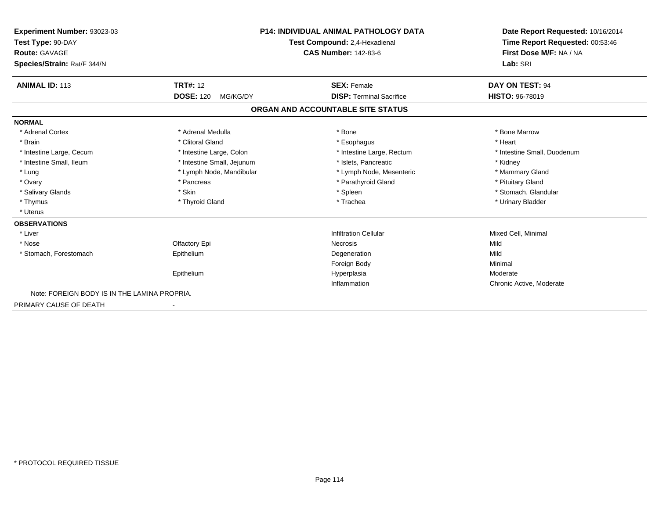| <b>Experiment Number: 93023-03</b><br>Test Type: 90-DAY<br><b>Route: GAVAGE</b><br>Species/Strain: Rat/F 344/N |                              | P14: INDIVIDUAL ANIMAL PATHOLOGY DATA<br>Test Compound: 2,4-Hexadienal<br><b>CAS Number: 142-83-6</b> |                             |
|----------------------------------------------------------------------------------------------------------------|------------------------------|-------------------------------------------------------------------------------------------------------|-----------------------------|
| <b>ANIMAL ID: 113</b>                                                                                          | <b>TRT#: 12</b>              | <b>SEX: Female</b>                                                                                    | DAY ON TEST: 94             |
|                                                                                                                | <b>DOSE: 120</b><br>MG/KG/DY | <b>DISP: Terminal Sacrifice</b>                                                                       | <b>HISTO: 96-78019</b>      |
|                                                                                                                |                              | ORGAN AND ACCOUNTABLE SITE STATUS                                                                     |                             |
| <b>NORMAL</b>                                                                                                  |                              |                                                                                                       |                             |
| * Adrenal Cortex                                                                                               | * Adrenal Medulla            | * Bone                                                                                                | * Bone Marrow               |
| * Brain                                                                                                        | * Clitoral Gland             | * Esophagus                                                                                           | * Heart                     |
| * Intestine Large, Cecum                                                                                       | * Intestine Large, Colon     | * Intestine Large, Rectum                                                                             | * Intestine Small, Duodenum |
| * Intestine Small, Ileum                                                                                       | * Intestine Small, Jejunum   | * Islets, Pancreatic                                                                                  | * Kidney                    |
| * Lung                                                                                                         | * Lymph Node, Mandibular     | * Lymph Node, Mesenteric                                                                              | * Mammary Gland             |
| * Ovary                                                                                                        | * Pancreas                   | * Parathyroid Gland                                                                                   | * Pituitary Gland           |
| * Salivary Glands                                                                                              | * Skin                       | * Spleen                                                                                              | * Stomach, Glandular        |
| * Thymus                                                                                                       | * Thyroid Gland              | * Trachea                                                                                             | * Urinary Bladder           |
| * Uterus                                                                                                       |                              |                                                                                                       |                             |
| <b>OBSERVATIONS</b>                                                                                            |                              |                                                                                                       |                             |
| * Liver                                                                                                        |                              | <b>Infiltration Cellular</b>                                                                          | Mixed Cell, Minimal         |
| * Nose                                                                                                         | Olfactory Epi                | Necrosis                                                                                              | Mild                        |
| * Stomach, Forestomach                                                                                         | Epithelium                   | Degeneration                                                                                          | Mild                        |
|                                                                                                                |                              | Foreign Body                                                                                          | Minimal                     |
|                                                                                                                | Epithelium                   | Hyperplasia                                                                                           | Moderate                    |
|                                                                                                                |                              | Inflammation                                                                                          | Chronic Active, Moderate    |
| Note: FOREIGN BODY IS IN THE LAMINA PROPRIA.                                                                   |                              |                                                                                                       |                             |
| PRIMARY CAUSE OF DEATH                                                                                         |                              |                                                                                                       |                             |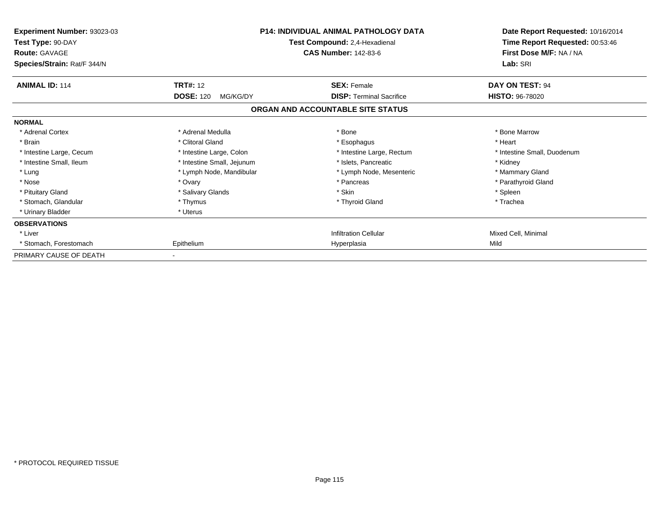| Experiment Number: 93023-03<br>Test Type: 90-DAY<br><b>Route: GAVAGE</b><br>Species/Strain: Rat/F 344/N | <b>P14: INDIVIDUAL ANIMAL PATHOLOGY DATA</b><br>Test Compound: 2,4-Hexadienal<br><b>CAS Number: 142-83-6</b> |                                   | Date Report Requested: 10/16/2014<br>Time Report Requested: 00:53:46<br>First Dose M/F: NA / NA<br>Lab: SRI |
|---------------------------------------------------------------------------------------------------------|--------------------------------------------------------------------------------------------------------------|-----------------------------------|-------------------------------------------------------------------------------------------------------------|
| <b>ANIMAL ID: 114</b>                                                                                   | <b>TRT#: 12</b>                                                                                              | <b>SEX: Female</b>                | DAY ON TEST: 94                                                                                             |
|                                                                                                         | <b>DOSE: 120</b><br>MG/KG/DY                                                                                 | <b>DISP: Terminal Sacrifice</b>   | <b>HISTO: 96-78020</b>                                                                                      |
|                                                                                                         |                                                                                                              | ORGAN AND ACCOUNTABLE SITE STATUS |                                                                                                             |
| <b>NORMAL</b>                                                                                           |                                                                                                              |                                   |                                                                                                             |
| * Adrenal Cortex                                                                                        | * Adrenal Medulla                                                                                            | * Bone                            | * Bone Marrow                                                                                               |
| * Brain                                                                                                 | * Clitoral Gland                                                                                             | * Esophagus                       | * Heart                                                                                                     |
| * Intestine Large, Cecum                                                                                | * Intestine Large, Colon                                                                                     | * Intestine Large, Rectum         | * Intestine Small, Duodenum                                                                                 |
| * Intestine Small, Ileum                                                                                | * Intestine Small, Jejunum                                                                                   | * Islets, Pancreatic              | * Kidney                                                                                                    |
| * Lung                                                                                                  | * Lymph Node, Mandibular                                                                                     | * Lymph Node, Mesenteric          | * Mammary Gland                                                                                             |
| * Nose                                                                                                  | * Ovary                                                                                                      | * Pancreas                        | * Parathyroid Gland                                                                                         |
| * Pituitary Gland                                                                                       | * Salivary Glands                                                                                            | * Skin                            | * Spleen                                                                                                    |
| * Stomach, Glandular                                                                                    | * Thymus                                                                                                     | * Thyroid Gland                   | * Trachea                                                                                                   |
| * Urinary Bladder                                                                                       | * Uterus                                                                                                     |                                   |                                                                                                             |
| <b>OBSERVATIONS</b>                                                                                     |                                                                                                              |                                   |                                                                                                             |
| * Liver                                                                                                 |                                                                                                              | <b>Infiltration Cellular</b>      | Mixed Cell, Minimal                                                                                         |
| * Stomach, Forestomach                                                                                  | Epithelium                                                                                                   | Hyperplasia                       | Mild                                                                                                        |
| PRIMARY CAUSE OF DEATH                                                                                  |                                                                                                              |                                   |                                                                                                             |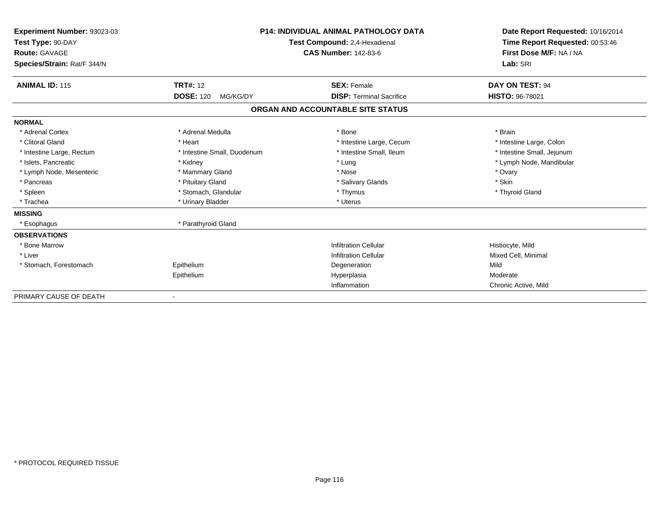| Experiment Number: 93023-03<br>Test Type: 90-DAY<br><b>Route: GAVAGE</b><br>Species/Strain: Rat/F 344/N | <b>P14: INDIVIDUAL ANIMAL PATHOLOGY DATA</b><br>Test Compound: 2,4-Hexadienal<br><b>CAS Number: 142-83-6</b> |                                   | Date Report Requested: 10/16/2014<br>Time Report Requested: 00:53:46<br>First Dose M/F: NA / NA<br>Lab: SRI |
|---------------------------------------------------------------------------------------------------------|--------------------------------------------------------------------------------------------------------------|-----------------------------------|-------------------------------------------------------------------------------------------------------------|
| <b>ANIMAL ID: 115</b>                                                                                   | <b>TRT#: 12</b>                                                                                              | <b>SEX: Female</b>                | DAY ON TEST: 94                                                                                             |
|                                                                                                         | <b>DOSE: 120</b><br>MG/KG/DY                                                                                 | <b>DISP: Terminal Sacrifice</b>   | HISTO: 96-78021                                                                                             |
|                                                                                                         |                                                                                                              | ORGAN AND ACCOUNTABLE SITE STATUS |                                                                                                             |
| <b>NORMAL</b>                                                                                           |                                                                                                              |                                   |                                                                                                             |
| * Adrenal Cortex                                                                                        | * Adrenal Medulla                                                                                            | * Bone                            | * Brain                                                                                                     |
| * Clitoral Gland                                                                                        | * Heart                                                                                                      | * Intestine Large, Cecum          | * Intestine Large, Colon                                                                                    |
| * Intestine Large, Rectum                                                                               | * Intestine Small, Duodenum                                                                                  | * Intestine Small, Ileum          | * Intestine Small, Jejunum                                                                                  |
| * Islets, Pancreatic                                                                                    | * Kidney                                                                                                     | * Lung                            | * Lymph Node, Mandibular                                                                                    |
| * Lymph Node, Mesenteric                                                                                | * Mammary Gland                                                                                              | * Nose                            | * Ovary                                                                                                     |
| * Pancreas                                                                                              | * Pituitary Gland                                                                                            | * Salivary Glands                 | * Skin                                                                                                      |
| * Spleen                                                                                                | * Stomach, Glandular                                                                                         | * Thymus                          | * Thyroid Gland                                                                                             |
| * Trachea                                                                                               | * Urinary Bladder                                                                                            | * Uterus                          |                                                                                                             |
| <b>MISSING</b>                                                                                          |                                                                                                              |                                   |                                                                                                             |
| * Esophagus                                                                                             | * Parathyroid Gland                                                                                          |                                   |                                                                                                             |
| <b>OBSERVATIONS</b>                                                                                     |                                                                                                              |                                   |                                                                                                             |
| * Bone Marrow                                                                                           |                                                                                                              | <b>Infiltration Cellular</b>      | Histiocyte, Mild                                                                                            |
| * Liver                                                                                                 |                                                                                                              | <b>Infiltration Cellular</b>      | Mixed Cell, Minimal                                                                                         |
| * Stomach, Forestomach                                                                                  | Epithelium                                                                                                   | Degeneration                      | Mild                                                                                                        |
|                                                                                                         | Epithelium                                                                                                   | Hyperplasia                       | Moderate                                                                                                    |
|                                                                                                         |                                                                                                              | Inflammation                      | Chronic Active, Mild                                                                                        |
| PRIMARY CAUSE OF DEATH                                                                                  |                                                                                                              |                                   |                                                                                                             |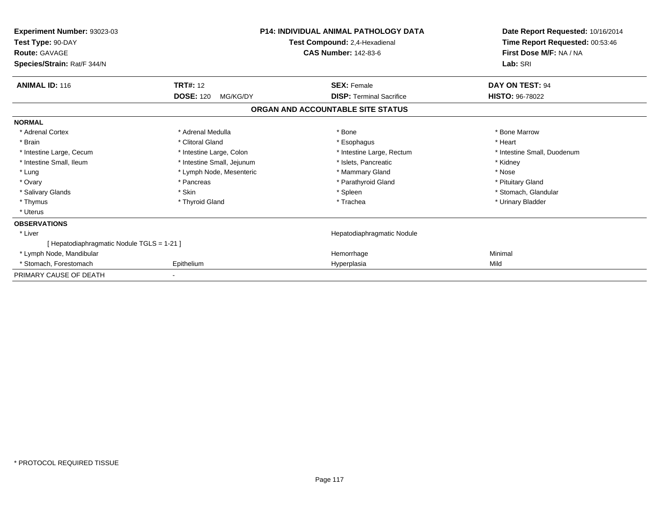| Experiment Number: 93023-03<br>Test Type: 90-DAY<br><b>Route: GAVAGE</b><br>Species/Strain: Rat/F 344/N | <b>P14: INDIVIDUAL ANIMAL PATHOLOGY DATA</b><br>Test Compound: 2,4-Hexadienal<br><b>CAS Number: 142-83-6</b> |                                   | Date Report Requested: 10/16/2014<br>Time Report Requested: 00:53:46<br>First Dose M/F: NA / NA<br>Lab: SRI |  |
|---------------------------------------------------------------------------------------------------------|--------------------------------------------------------------------------------------------------------------|-----------------------------------|-------------------------------------------------------------------------------------------------------------|--|
| <b>ANIMAL ID: 116</b>                                                                                   | <b>TRT#: 12</b>                                                                                              | <b>SEX: Female</b>                | DAY ON TEST: 94                                                                                             |  |
|                                                                                                         | <b>DOSE: 120</b><br>MG/KG/DY                                                                                 | <b>DISP: Terminal Sacrifice</b>   | <b>HISTO: 96-78022</b>                                                                                      |  |
|                                                                                                         |                                                                                                              | ORGAN AND ACCOUNTABLE SITE STATUS |                                                                                                             |  |
| <b>NORMAL</b>                                                                                           |                                                                                                              |                                   |                                                                                                             |  |
| * Adrenal Cortex                                                                                        | * Adrenal Medulla                                                                                            | * Bone                            | * Bone Marrow                                                                                               |  |
| * Brain                                                                                                 | * Clitoral Gland                                                                                             | * Esophagus                       | * Heart                                                                                                     |  |
| * Intestine Large, Cecum                                                                                | * Intestine Large, Colon                                                                                     | * Intestine Large, Rectum         | * Intestine Small, Duodenum                                                                                 |  |
| * Intestine Small, Ileum                                                                                | * Intestine Small, Jejunum                                                                                   | * Islets. Pancreatic              | * Kidney                                                                                                    |  |
| * Lung                                                                                                  | * Lymph Node, Mesenteric                                                                                     | * Mammary Gland                   | * Nose                                                                                                      |  |
| * Ovary                                                                                                 | * Pancreas                                                                                                   | * Parathyroid Gland               | * Pituitary Gland                                                                                           |  |
| * Salivary Glands                                                                                       | * Skin                                                                                                       | * Spleen                          | * Stomach, Glandular                                                                                        |  |
| * Thymus                                                                                                | * Thyroid Gland                                                                                              | * Trachea                         | * Urinary Bladder                                                                                           |  |
| * Uterus                                                                                                |                                                                                                              |                                   |                                                                                                             |  |
| <b>OBSERVATIONS</b>                                                                                     |                                                                                                              |                                   |                                                                                                             |  |
| * Liver                                                                                                 |                                                                                                              | Hepatodiaphragmatic Nodule        |                                                                                                             |  |
| [Hepatodiaphragmatic Nodule TGLS = 1-21]                                                                |                                                                                                              |                                   |                                                                                                             |  |
| * Lymph Node, Mandibular                                                                                |                                                                                                              | Hemorrhage                        | Minimal                                                                                                     |  |
| * Stomach, Forestomach                                                                                  | Epithelium                                                                                                   | Hyperplasia                       | Mild                                                                                                        |  |
| PRIMARY CAUSE OF DEATH                                                                                  |                                                                                                              |                                   |                                                                                                             |  |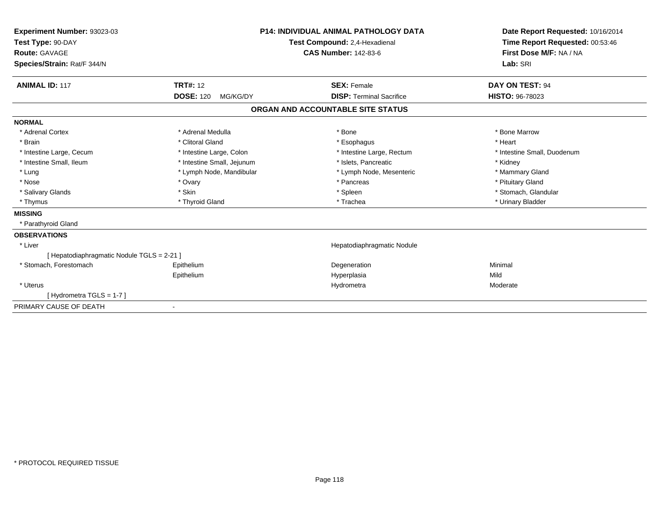| Experiment Number: 93023-03<br>Test Type: 90-DAY<br>Route: GAVAGE |                              | <b>P14: INDIVIDUAL ANIMAL PATHOLOGY DATA</b>                 | Date Report Requested: 10/16/2014<br>Time Report Requested: 00:53:46<br>First Dose M/F: NA / NA |
|-------------------------------------------------------------------|------------------------------|--------------------------------------------------------------|-------------------------------------------------------------------------------------------------|
|                                                                   |                              | Test Compound: 2,4-Hexadienal<br><b>CAS Number: 142-83-6</b> |                                                                                                 |
|                                                                   |                              |                                                              | Lab: SRI                                                                                        |
| Species/Strain: Rat/F 344/N                                       |                              |                                                              |                                                                                                 |
| <b>ANIMAL ID: 117</b>                                             | <b>TRT#: 12</b>              | <b>SEX: Female</b>                                           | DAY ON TEST: 94                                                                                 |
|                                                                   | <b>DOSE: 120</b><br>MG/KG/DY | <b>DISP: Terminal Sacrifice</b>                              | <b>HISTO: 96-78023</b>                                                                          |
|                                                                   |                              | ORGAN AND ACCOUNTABLE SITE STATUS                            |                                                                                                 |
| <b>NORMAL</b>                                                     |                              |                                                              |                                                                                                 |
| * Adrenal Cortex                                                  | * Adrenal Medulla            | * Bone                                                       | * Bone Marrow                                                                                   |
| * Brain                                                           | * Clitoral Gland             | * Esophagus                                                  | * Heart                                                                                         |
| * Intestine Large, Cecum                                          | * Intestine Large, Colon     | * Intestine Large, Rectum                                    | * Intestine Small, Duodenum                                                                     |
| * Intestine Small. Ileum                                          | * Intestine Small, Jejunum   | * Islets, Pancreatic                                         | * Kidney                                                                                        |
| * Lung                                                            | * Lymph Node, Mandibular     | * Lymph Node, Mesenteric                                     | * Mammary Gland                                                                                 |
| * Nose                                                            | * Ovary                      | * Pancreas                                                   | * Pituitary Gland                                                                               |
| * Salivary Glands                                                 | * Skin                       | * Spleen                                                     | * Stomach, Glandular                                                                            |
| * Thymus                                                          | * Thyroid Gland              | * Trachea                                                    | * Urinary Bladder                                                                               |
| <b>MISSING</b>                                                    |                              |                                                              |                                                                                                 |
| * Parathyroid Gland                                               |                              |                                                              |                                                                                                 |
| <b>OBSERVATIONS</b>                                               |                              |                                                              |                                                                                                 |
| * Liver                                                           |                              | Hepatodiaphragmatic Nodule                                   |                                                                                                 |
| [ Hepatodiaphragmatic Nodule TGLS = 2-21 ]                        |                              |                                                              |                                                                                                 |
| * Stomach, Forestomach                                            | Epithelium                   | Degeneration                                                 | Minimal                                                                                         |
|                                                                   | Epithelium                   | Hyperplasia                                                  | Mild                                                                                            |
| * Uterus                                                          |                              | Hydrometra                                                   | Moderate                                                                                        |
| [Hydrometra TGLS = 1-7]                                           |                              |                                                              |                                                                                                 |
| PRIMARY CAUSE OF DEATH                                            | $\overline{\phantom{a}}$     |                                                              |                                                                                                 |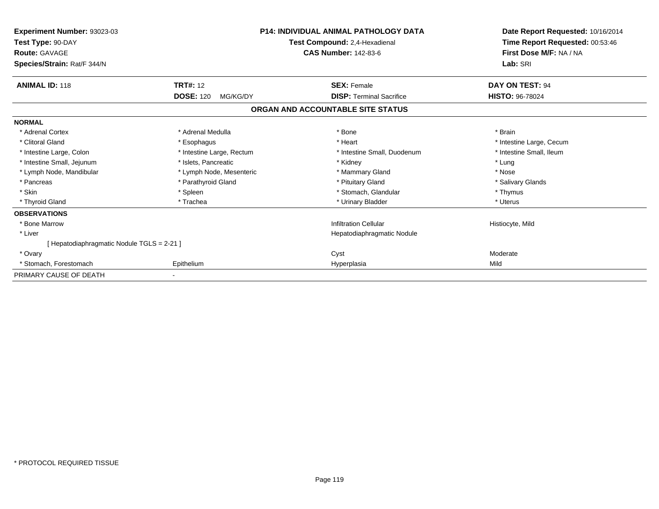| Experiment Number: 93023-03<br>Test Type: 90-DAY<br><b>Route: GAVAGE</b><br>Species/Strain: Rat/F 344/N | <b>P14: INDIVIDUAL ANIMAL PATHOLOGY DATA</b><br>Test Compound: 2,4-Hexadienal<br><b>CAS Number: 142-83-6</b> |                                   | Date Report Requested: 10/16/2014<br>Time Report Requested: 00:53:46<br>First Dose M/F: NA / NA<br>Lab: SRI |  |
|---------------------------------------------------------------------------------------------------------|--------------------------------------------------------------------------------------------------------------|-----------------------------------|-------------------------------------------------------------------------------------------------------------|--|
| <b>ANIMAL ID: 118</b>                                                                                   | <b>TRT#: 12</b>                                                                                              | <b>SEX: Female</b>                | DAY ON TEST: 94                                                                                             |  |
|                                                                                                         | <b>DOSE: 120</b><br>MG/KG/DY                                                                                 | <b>DISP: Terminal Sacrifice</b>   | <b>HISTO: 96-78024</b>                                                                                      |  |
|                                                                                                         |                                                                                                              | ORGAN AND ACCOUNTABLE SITE STATUS |                                                                                                             |  |
| <b>NORMAL</b>                                                                                           |                                                                                                              |                                   |                                                                                                             |  |
| * Adrenal Cortex                                                                                        | * Adrenal Medulla                                                                                            | * Bone                            | * Brain                                                                                                     |  |
| * Clitoral Gland                                                                                        | * Esophagus                                                                                                  | * Heart                           | * Intestine Large, Cecum                                                                                    |  |
| * Intestine Large, Colon                                                                                | * Intestine Large, Rectum                                                                                    | * Intestine Small, Duodenum       | * Intestine Small, Ileum                                                                                    |  |
| * Intestine Small, Jejunum                                                                              | * Islets. Pancreatic                                                                                         | * Kidney                          | * Lung                                                                                                      |  |
| * Lymph Node, Mandibular                                                                                | * Lymph Node, Mesenteric                                                                                     | * Mammary Gland                   | * Nose                                                                                                      |  |
| * Pancreas                                                                                              | * Parathyroid Gland                                                                                          | * Pituitary Gland                 | * Salivary Glands                                                                                           |  |
| * Skin                                                                                                  | * Spleen                                                                                                     | * Stomach, Glandular              | * Thymus                                                                                                    |  |
| * Thyroid Gland                                                                                         | * Trachea                                                                                                    | * Urinary Bladder                 | * Uterus                                                                                                    |  |
| <b>OBSERVATIONS</b>                                                                                     |                                                                                                              |                                   |                                                                                                             |  |
| * Bone Marrow                                                                                           |                                                                                                              | <b>Infiltration Cellular</b>      | Histiocyte, Mild                                                                                            |  |
| * Liver                                                                                                 |                                                                                                              | Hepatodiaphragmatic Nodule        |                                                                                                             |  |
| [ Hepatodiaphragmatic Nodule TGLS = 2-21 ]                                                              |                                                                                                              |                                   |                                                                                                             |  |
| * Ovary                                                                                                 |                                                                                                              | Cyst                              | Moderate                                                                                                    |  |
| * Stomach, Forestomach                                                                                  | Epithelium                                                                                                   | Hyperplasia                       | Mild                                                                                                        |  |
| PRIMARY CAUSE OF DEATH                                                                                  |                                                                                                              |                                   |                                                                                                             |  |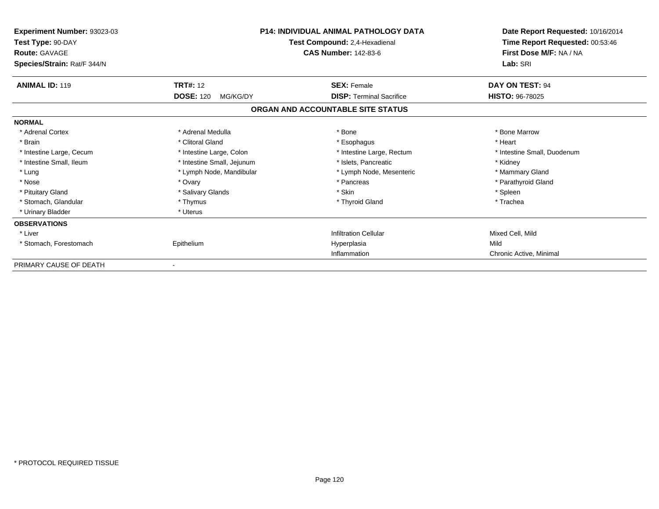| Experiment Number: 93023-03<br>Test Type: 90-DAY<br><b>Route: GAVAGE</b><br>Species/Strain: Rat/F 344/N |                              | <b>P14: INDIVIDUAL ANIMAL PATHOLOGY DATA</b><br>Test Compound: 2,4-Hexadienal<br><b>CAS Number: 142-83-6</b> | Date Report Requested: 10/16/2014<br>Time Report Requested: 00:53:46<br>First Dose M/F: NA / NA<br>Lab: SRI |
|---------------------------------------------------------------------------------------------------------|------------------------------|--------------------------------------------------------------------------------------------------------------|-------------------------------------------------------------------------------------------------------------|
| <b>ANIMAL ID: 119</b>                                                                                   | <b>TRT#: 12</b>              | <b>SEX: Female</b>                                                                                           | DAY ON TEST: 94                                                                                             |
|                                                                                                         | <b>DOSE: 120</b><br>MG/KG/DY | <b>DISP: Terminal Sacrifice</b><br>ORGAN AND ACCOUNTABLE SITE STATUS                                         | <b>HISTO: 96-78025</b>                                                                                      |
| <b>NORMAL</b>                                                                                           |                              |                                                                                                              |                                                                                                             |
| * Adrenal Cortex                                                                                        | * Adrenal Medulla            | * Bone                                                                                                       | * Bone Marrow                                                                                               |
| * Brain                                                                                                 | * Clitoral Gland             | * Esophagus                                                                                                  | * Heart                                                                                                     |
| * Intestine Large, Cecum                                                                                | * Intestine Large, Colon     | * Intestine Large, Rectum                                                                                    | * Intestine Small, Duodenum                                                                                 |
| * Intestine Small, Ileum                                                                                | * Intestine Small, Jejunum   | * Islets, Pancreatic                                                                                         | * Kidney                                                                                                    |
| * Lung                                                                                                  | * Lymph Node, Mandibular     | * Lymph Node, Mesenteric                                                                                     | * Mammary Gland                                                                                             |
| * Nose                                                                                                  | * Ovary                      | * Pancreas                                                                                                   | * Parathyroid Gland                                                                                         |
| * Pituitary Gland                                                                                       | * Salivary Glands            | * Skin                                                                                                       | * Spleen                                                                                                    |
| * Stomach, Glandular                                                                                    | * Thymus                     | * Thyroid Gland                                                                                              | * Trachea                                                                                                   |
| * Urinary Bladder                                                                                       | * Uterus                     |                                                                                                              |                                                                                                             |
| <b>OBSERVATIONS</b>                                                                                     |                              |                                                                                                              |                                                                                                             |
| * Liver                                                                                                 |                              | <b>Infiltration Cellular</b>                                                                                 | Mixed Cell, Mild                                                                                            |
| * Stomach, Forestomach                                                                                  | Epithelium                   | Hyperplasia                                                                                                  | Mild                                                                                                        |
|                                                                                                         |                              | Inflammation                                                                                                 | Chronic Active, Minimal                                                                                     |
| PRIMARY CAUSE OF DEATH                                                                                  |                              |                                                                                                              |                                                                                                             |